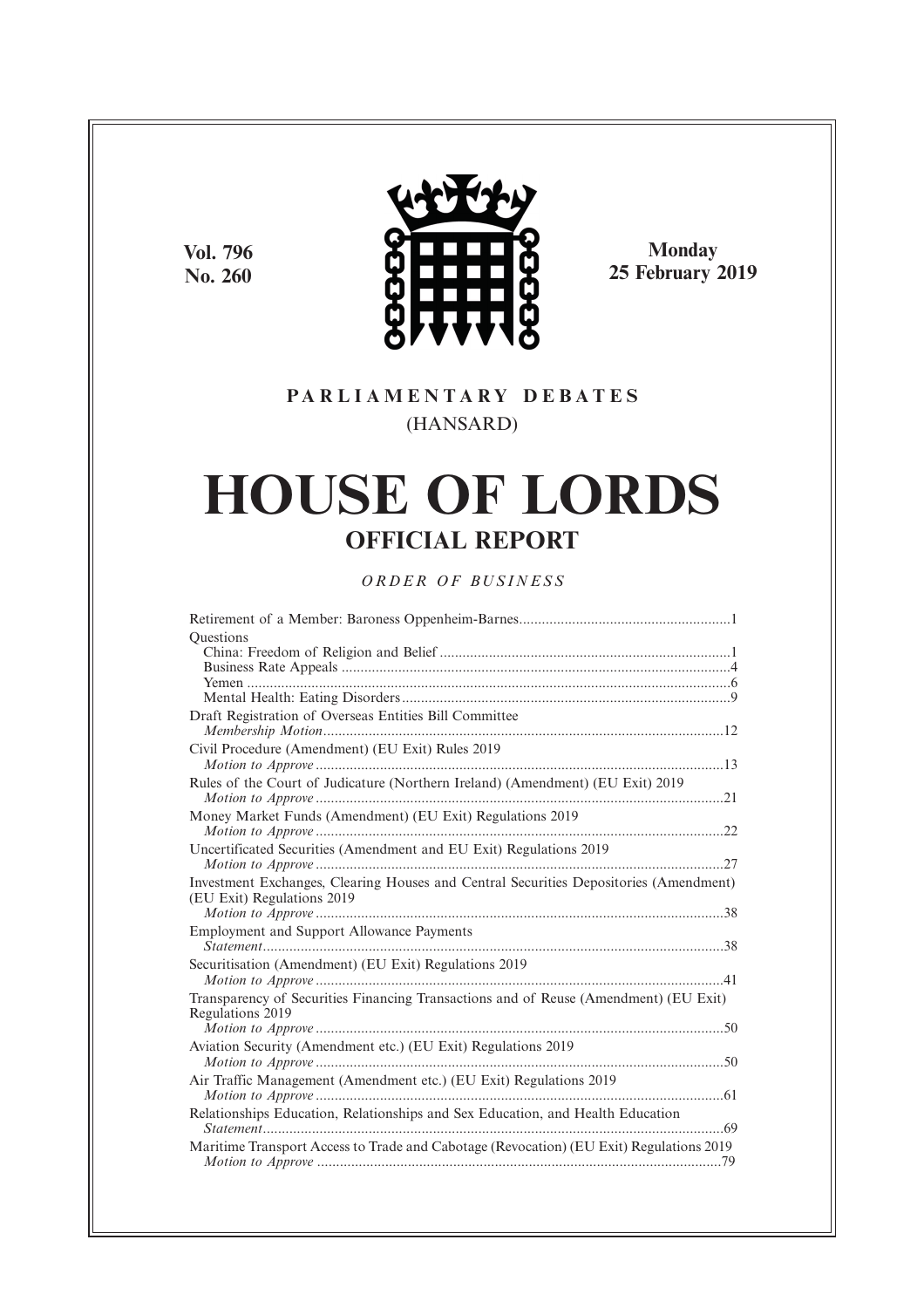**Vol. 796 No. 260**



**Monday 25 February 2019**

## **P A R L I A M E N T A R Y D E B A T E S** (HANSARD)

# **HOUSE OF LORDS OFFICIAL REPORT**

*O R D E R O F BU S I N E S S*

| Questions                                                                               |
|-----------------------------------------------------------------------------------------|
|                                                                                         |
|                                                                                         |
|                                                                                         |
|                                                                                         |
| Draft Registration of Overseas Entities Bill Committee                                  |
|                                                                                         |
| Civil Procedure (Amendment) (EU Exit) Rules 2019                                        |
|                                                                                         |
| Rules of the Court of Judicature (Northern Ireland) (Amendment) (EU Exit) 2019          |
|                                                                                         |
| Money Market Funds (Amendment) (EU Exit) Regulations 2019                               |
|                                                                                         |
| Uncertificated Securities (Amendment and EU Exit) Regulations 2019                      |
|                                                                                         |
| Investment Exchanges, Clearing Houses and Central Securities Depositories (Amendment)   |
| (EU Exit) Regulations 2019                                                              |
|                                                                                         |
| <b>Employment and Support Allowance Payments</b>                                        |
|                                                                                         |
| Securitisation (Amendment) (EU Exit) Regulations 2019                                   |
|                                                                                         |
| Transparency of Securities Financing Transactions and of Reuse (Amendment) (EU Exit)    |
| Regulations 2019                                                                        |
|                                                                                         |
|                                                                                         |
| Aviation Security (Amendment etc.) (EU Exit) Regulations 2019                           |
|                                                                                         |
| Air Traffic Management (Amendment etc.) (EU Exit) Regulations 2019                      |
|                                                                                         |
| Relationships Education, Relationships and Sex Education, and Health Education          |
|                                                                                         |
| Maritime Transport Access to Trade and Cabotage (Revocation) (EU Exit) Regulations 2019 |
|                                                                                         |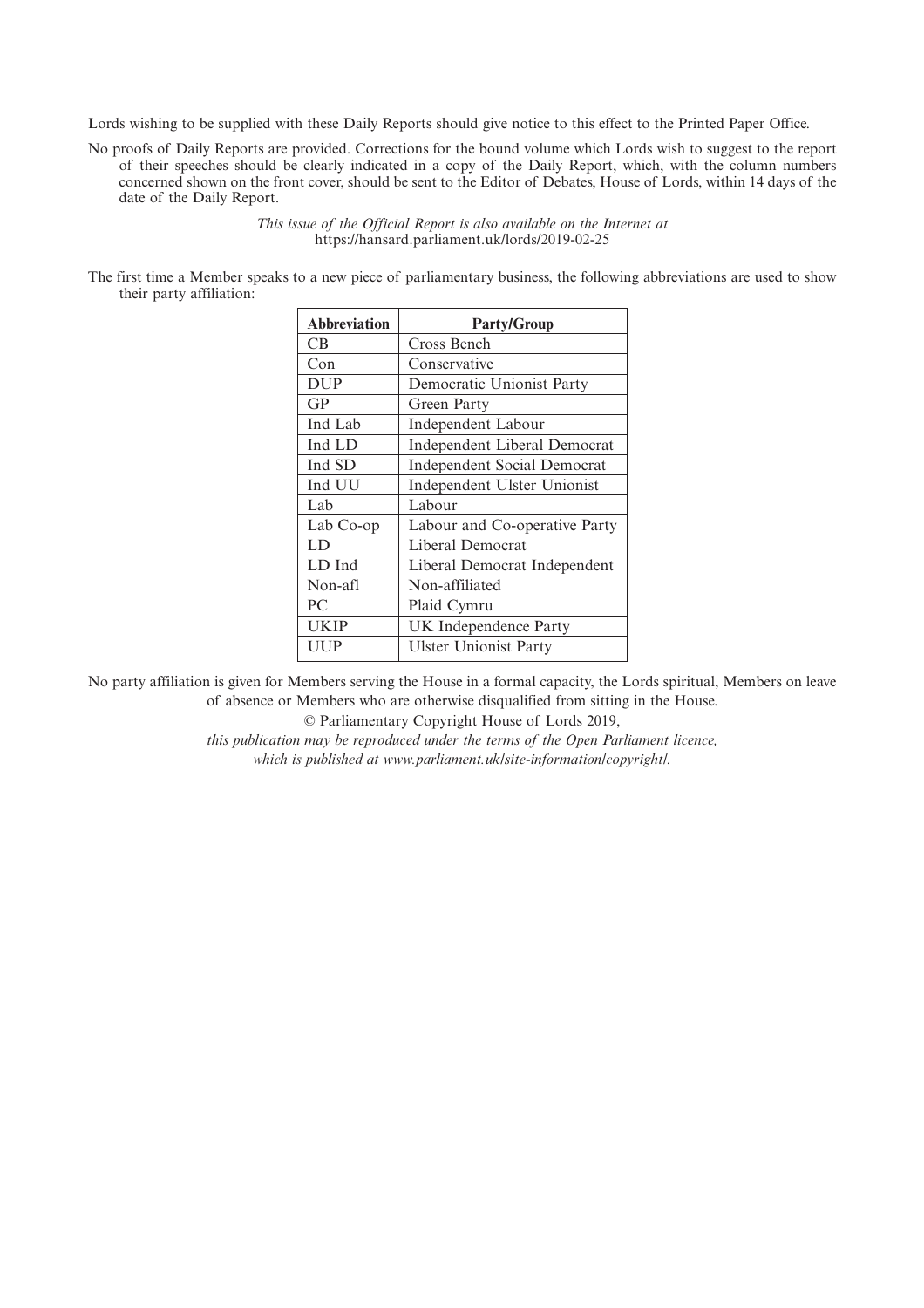Lords wishing to be supplied with these Daily Reports should give notice to this effect to the Printed Paper Office.

No proofs of Daily Reports are provided. Corrections for the bound volume which Lords wish to suggest to the report of their speeches should be clearly indicated in a copy of the Daily Report, which, with the column numbers concerned shown on the front cover, should be sent to the Editor of Debates, House of Lords, within 14 days of the date of the Daily Report.

> *This issue of the Official Report is also available on the Internet at* https://hansard.parliament.uk/lords/2019-02-25

The first time a Member speaks to a new piece of parliamentary business, the following abbreviations are used to show their party affiliation:

| <b>Abbreviation</b> | <b>Party/Group</b>                 |
|---------------------|------------------------------------|
| CВ                  | Cross Bench                        |
| Con                 | Conservative                       |
| <b>DUP</b>          | Democratic Unionist Party          |
| GP                  | Green Party                        |
| Ind Lab             | Independent Labour                 |
| Ind LD              | Independent Liberal Democrat       |
| Ind SD              | <b>Independent Social Democrat</b> |
| Ind UU              | Independent Ulster Unionist        |
| Lab                 | Labour                             |
| Lab Co-op           | Labour and Co-operative Party      |
| LD                  | Liberal Democrat                   |
| LD Ind              | Liberal Democrat Independent       |
| Non-afl             | Non-affiliated                     |
| PC                  | Plaid Cymru                        |
| UKIP                | UK Independence Party              |
| UUP                 | <b>Ulster Unionist Party</b>       |

No party affiliation is given for Members serving the House in a formal capacity, the Lords spiritual, Members on leave of absence or Members who are otherwise disqualified from sitting in the House.

© Parliamentary Copyright House of Lords 2019,

*this publication may be reproduced under the terms of the Open Parliament licence, which is published at www.parliament.uk/site-information/copyright/.*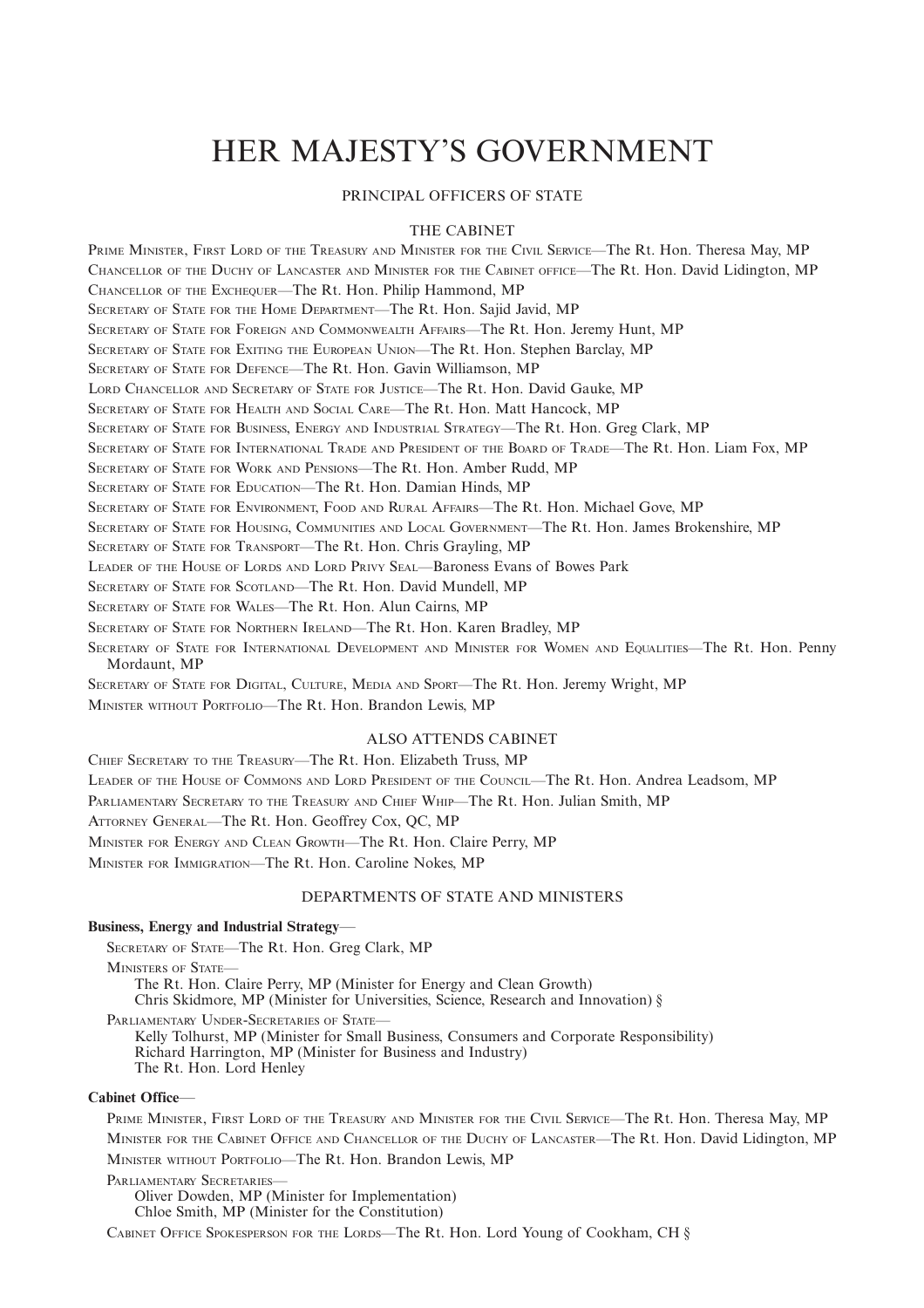## HER MAJESTY'S GOVERNMENT

#### PRINCIPAL OFFICERS OF STATE

#### THE CABINET

PRIME MINISTER, FIRST LORD OF THE TREASURY AND MINISTER FOR THE CIVIL SERVICE—The Rt. Hon. Theresa May, MP CHANCELLOR OF THE DUCHY OF LANCASTER AND MINISTER FOR THE CABINET OFFICE—The Rt. Hon. David Lidington, MP CHANCELLOR OF THE EXCHEQUER—The Rt. Hon. Philip Hammond, MP SECRETARY OF STATE FOR THE HOME DEPARTMENT—The Rt. Hon. Sajid Javid, MP SECRETARY OF STATE FOR FOREIGN AND COMMONWEALTH AFFAIRS—The Rt. Hon. Jeremy Hunt, MP SECRETARY OF STATE FOR EXITING THE EUROPEAN UNION—The Rt. Hon. Stephen Barclay, MP SECRETARY OF STATE FOR DEFENCE—The Rt. Hon. Gavin Williamson, MP LORD CHANCELLOR AND SECRETARY OF STATE FOR JUSTICE—The Rt. Hon. David Gauke, MP SECRETARY OF STATE FOR HEALTH AND SOCIAL CARE—The Rt. Hon. Matt Hancock, MP SECRETARY OF STATE FOR BUSINESS, ENERGY AND INDUSTRIAL STRATEGY—The Rt. Hon. Greg Clark, MP SECRETARY OF STATE FOR INTERNATIONAL TRADE AND PRESIDENT OF THE BOARD OF TRADE—The Rt. Hon. Liam Fox, MP SECRETARY OF STATE FOR WORK AND PENSIONS—The Rt. Hon. Amber Rudd, MP SECRETARY OF STATE FOR EDUCATION—The Rt. Hon. Damian Hinds, MP SECRETARY OF STATE FOR ENVIRONMENT, FOOD AND RURAL AFFAIRS—The Rt. Hon. Michael Gove, MP SECRETARY OF STATE FOR HOUSING, COMMUNITIES AND LOCAL GOVERNMENT—The Rt. Hon. James Brokenshire, MP SECRETARY OF STATE FOR TRANSPORT—The Rt. Hon. Chris Grayling, MP LEADER OF THE HOUSE OF LORDS AND LORD PRIVY SEAL—Baroness Evans of Bowes Park SECRETARY OF STATE FOR SCOTLAND—The Rt. Hon. David Mundell, MP SECRETARY OF STATE FOR WALES—The Rt. Hon. Alun Cairns, MP SECRETARY OF STATE FOR NORTHERN IRELAND—The Rt. Hon. Karen Bradley, MP SECRETARY OF STATE FOR INTERNATIONAL DEVELOPMENT AND MINISTER FOR WOMEN AND EQUALITIES—The Rt. Hon. Penny Mordaunt, MP SECRETARY OF STATE FOR DIGITAL, CULTURE, MEDIA AND SPORT—The Rt. Hon. Jeremy Wright, MP

MINISTER WITHOUT PORTFOLIO—The Rt. Hon. Brandon Lewis, MP

### ALSO ATTENDS CABINET

CHIEF SECRETARY TO THE TREASURY—The Rt. Hon. Elizabeth Truss, MP LEADER OF THE HOUSE OF COMMONS AND LORD PRESIDENT OF THE COUNCIL—The Rt. Hon. Andrea Leadsom, MP PARLIAMENTARY SECRETARY TO THE TREASURY AND CHIEF WHIP—The Rt. Hon. Julian Smith, MP ATTORNEY GENERAL—The Rt. Hon. Geoffrey Cox, QC, MP MINISTER FOR ENERGY AND CLEAN GROWTH—The Rt. Hon. Claire Perry, MP MINISTER FOR IMMIGRATION—The Rt. Hon. Caroline Nokes, MP

#### DEPARTMENTS OF STATE AND MINISTERS

#### **Business, Energy and Industrial Strategy**—

SECRETARY OF STATE—The Rt. Hon. Greg Clark, MP MINISTERS OF STATE— The Rt. Hon. Claire Perry, MP (Minister for Energy and Clean Growth) Chris Skidmore, MP (Minister for Universities, Science, Research and Innovation) § PARLIAMENTARY UNDER-SECRETARIES OF STATE-Kelly Tolhurst, MP (Minister for Small Business, Consumers and Corporate Responsibility) Richard Harrington, MP (Minister for Business and Industry) The Rt. Hon. Lord Henley

#### **Cabinet Office**—

PRIME MINISTER, FIRST LORD OF THE TREASURY AND MINISTER FOR THE CIVIL SERVICE—The Rt. Hon. Theresa May, MP MINISTER FOR THE CABINET OFFICE AND CHANCELLOR OF THE DUCHY OF LANCASTER—The Rt. Hon. David Lidington, MP

MINISTER WITHOUT PORTFOLIO—The Rt. Hon. Brandon Lewis, MP

#### PARLIAMENTARY SECRETARIES—

Oliver Dowden, MP (Minister for Implementation)

Chloe Smith, MP (Minister for the Constitution)

CABINET OFFICE SPOKESPERSON FOR THE LORDS—The Rt. Hon. Lord Young of Cookham, CH §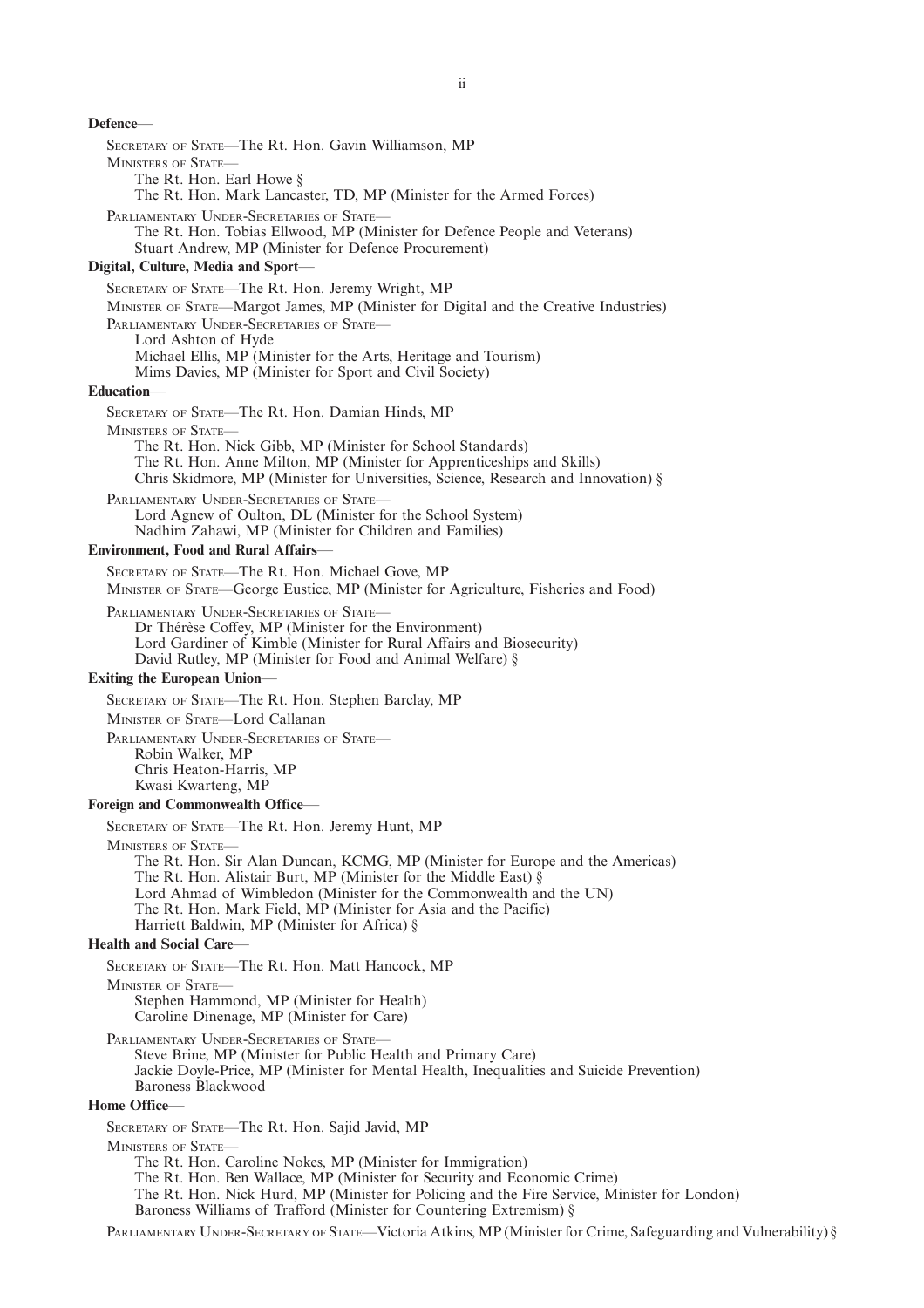### **Defence**— SECRETARY OF STATE—The Rt. Hon. Gavin Williamson, MP MINISTERS OF STATE— The Rt. Hon. Earl Howe § The Rt. Hon. Mark Lancaster, TD, MP (Minister for the Armed Forces) PARLIAMENTARY UNDER-SECRETARIES OF STATE-The Rt. Hon. Tobias Ellwood, MP (Minister for Defence People and Veterans) Stuart Andrew, MP (Minister for Defence Procurement) **Digital, Culture, Media and Sport**— SECRETARY OF STATE—The Rt. Hon. Jeremy Wright, MP MINISTER OF STATE—Margot James, MP (Minister for Digital and the Creative Industries) PARLIAMENTARY UNDER-SECRETARIES OF STATE-Lord Ashton of Hyde Michael Ellis, MP (Minister for the Arts, Heritage and Tourism) Mims Davies, MP (Minister for Sport and Civil Society) **Education**— SECRETARY OF STATE—The Rt. Hon. Damian Hinds, MP MINISTERS OF STATE— The Rt. Hon. Nick Gibb, MP (Minister for School Standards) The Rt. Hon. Anne Milton, MP (Minister for Apprenticeships and Skills) Chris Skidmore, MP (Minister for Universities, Science, Research and Innovation) § PARLIAMENTARY UNDER-SECRETARIES OF STATE-Lord Agnew of Oulton, DL (Minister for the School System) Nadhim Zahawi, MP (Minister for Children and Families) **Environment, Food and Rural Affairs**— SECRETARY OF STATE—The Rt. Hon. Michael Gove, MP MINISTER OF STATE—George Eustice, MP (Minister for Agriculture, Fisheries and Food) PARLIAMENTARY UNDER-SECRETARIES OF STATE— Dr Thérèse Coffey, MP (Minister for the Environment) Lord Gardiner of Kimble (Minister for Rural Affairs and Biosecurity) David Rutley, MP (Minister for Food and Animal Welfare) § **Exiting the European Union**— SECRETARY OF STATE—The Rt. Hon. Stephen Barclay, MP MINISTER OF STATE—Lord Callanan PARLIAMENTARY UNDER-SECRETARIES OF STATE-Robin Walker, MP Chris Heaton-Harris, MP Kwasi Kwarteng, MP **Foreign and Commonwealth Office**— SECRETARY OF STATE—The Rt. Hon. Jeremy Hunt, MP MINISTERS OF STATE— The Rt. Hon. Sir Alan Duncan, KCMG, MP (Minister for Europe and the Americas) The Rt. Hon. Alistair Burt, MP (Minister for the Middle East)  $\hat{\S}$ Lord Ahmad of Wimbledon (Minister for the Commonwealth and the UN) The Rt. Hon. Mark Field, MP (Minister for Asia and the Pacific) Harriett Baldwin, MP (Minister for Africa) § **Health and Social Care**— SECRETARY OF STATE—The Rt. Hon. Matt Hancock, MP MINISTER OF STATE— Stephen Hammond, MP (Minister for Health) Caroline Dinenage, MP (Minister for Care) PARLIAMENTARY UNDER-SECRETARIES OF STATE— Steve Brine, MP (Minister for Public Health and Primary Care) Jackie Doyle-Price, MP (Minister for Mental Health, Inequalities and Suicide Prevention) Baroness Blackwood **Home Office** SECRETARY OF STATE—The Rt. Hon. Sajid Javid, MP MINISTERS OF STATE— The Rt. Hon. Caroline Nokes, MP (Minister for Immigration) The Rt. Hon. Ben Wallace, MP (Minister for Security and Economic Crime) The Rt. Hon. Nick Hurd, MP (Minister for Policing and the Fire Service, Minister for London) Baroness Williams of Trafford (Minister for Countering Extremism) §

PARLIAMENTARY UNDER-SECRETARY OF STATE—Victoria Atkins, MP (Minister for Crime, Safeguarding and Vulnerability) §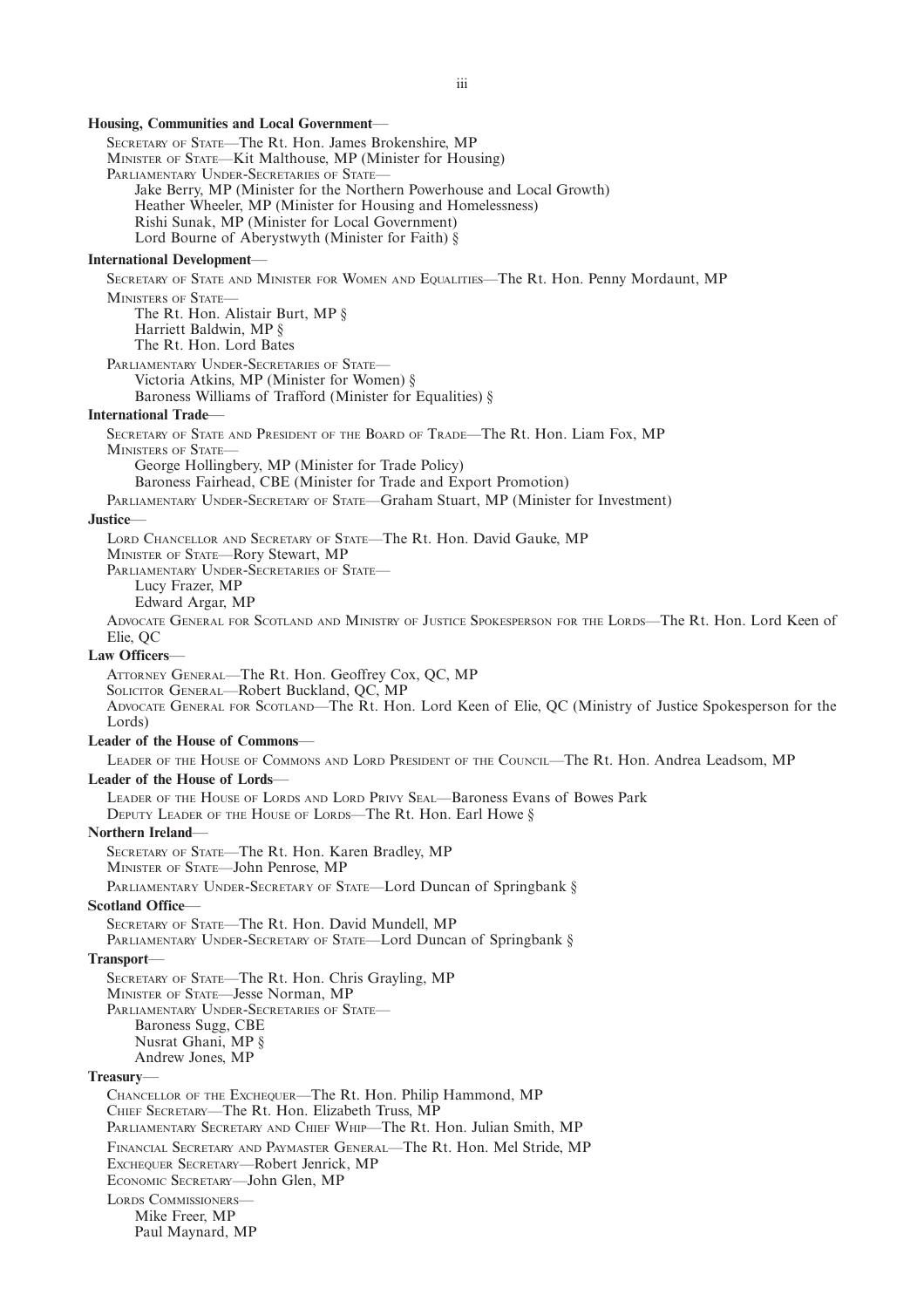#### **Housing, Communities and Local Government**—

SECRETARY OF STATE—The Rt. Hon. James Brokenshire, MP MINISTER OF STATE—Kit Malthouse, MP (Minister for Housing) PARLIAMENTARY UNDER-SECRETARIES OF STATE-Jake Berry, MP (Minister for the Northern Powerhouse and Local Growth) Heather Wheeler, MP (Minister for Housing and Homelessness) Rishi Sunak, MP (Minister for Local Government) Lord Bourne of Aberystwyth (Minister for Faith) § **International Development**— SECRETARY OF STATE AND MINISTER FOR WOMEN AND EQUALITIES—The Rt. Hon. Penny Mordaunt, MP MINISTERS OF STATE-The Rt. Hon. Alistair Burt, MP § Harriett Baldwin, MP § The Rt. Hon. Lord Bates PARLIAMENTARY UNDER-SECRETARIES OF STATE-Victoria Atkins, MP (Minister for Women) § Baroness Williams of Trafford (Minister for Equalities) § **International Trade**— SECRETARY OF STATE AND PRESIDENT OF THE BOARD OF TRADE—The Rt. Hon. Liam Fox, MP MINISTERS OF STATE-George Hollingbery, MP (Minister for Trade Policy) Baroness Fairhead, CBE (Minister for Trade and Export Promotion) PARLIAMENTARY UNDER-SECRETARY OF STATE—Graham Stuart, MP (Minister for Investment) **Justice**— LORD CHANCELLOR AND SECRETARY OF STATE—The Rt. Hon. David Gauke, MP MINISTER OF STATE—Rory Stewart, MP PARLIAMENTARY UNDER-SECRETARIES OF STATE-Lucy Frazer, MP Edward Argar, MP ADVOCATE GENERAL FOR SCOTLAND AND MINISTRY OF JUSTICE SPOKESPERSON FOR THE LORDS—The Rt. Hon. Lord Keen of Elie, QC **Law Officers**— ATTORNEY GENERAL—The Rt. Hon. Geoffrey Cox, QC, MP SOLICITOR GENERAL—Robert Buckland, QC, MP ADVOCATE GENERAL FOR SCOTLAND—The Rt. Hon. Lord Keen of Elie, QC (Ministry of Justice Spokesperson for the Lords) **Leader of the House of Commons**— LEADER OF THE HOUSE OF COMMONS AND LORD PRESIDENT OF THE COUNCIL—The Rt. Hon. Andrea Leadsom, MP **Leader of the House of Lords**— LEADER OF THE HOUSE OF LORDS AND LORD PRIVY SEAL—Baroness Evans of Bowes Park DEPUTY LEADER OF THE HOUSE OF LORDS—The Rt. Hon. Earl Howe § **Northern Ireland**— SECRETARY OF STATE—The Rt. Hon. Karen Bradley, MP MINISTER OF STATE—John Penrose, MP PARLIAMENTARY UNDER-SECRETARY OF STATE-Lord Duncan of Springbank § **Scotland Office** SECRETARY OF STATE—The Rt. Hon. David Mundell, MP PARLIAMENTARY UNDER-SECRETARY OF STATE-Lord Duncan of Springbank § **Transport**— SECRETARY OF STATE—The Rt. Hon. Chris Grayling, MP MINISTER OF STATE—Jesse Norman, MP PARLIAMENTARY UNDER-SECRETARIES OF STATE-Baroness Sugg, CBE Nusrat Ghani, MP § Andrew Jones, MP **Treasury**— CHANCELLOR OF THE EXCHEQUER—The Rt. Hon. Philip Hammond, MP CHIEF SECRETARY—The Rt. Hon. Elizabeth Truss, MP PARLIAMENTARY SECRETARY AND CHIEF WHIP—The Rt. Hon. Julian Smith, MP FINANCIAL SECRETARY AND PAYMASTER GENERAL—The Rt. Hon. Mel Stride, MP EXCHEQUER SECRETARY—Robert Jenrick, MP ECONOMIC SECRETARY—John Glen, MP LORDS COMMISSIONERS— Mike Freer, MP Paul Maynard, MP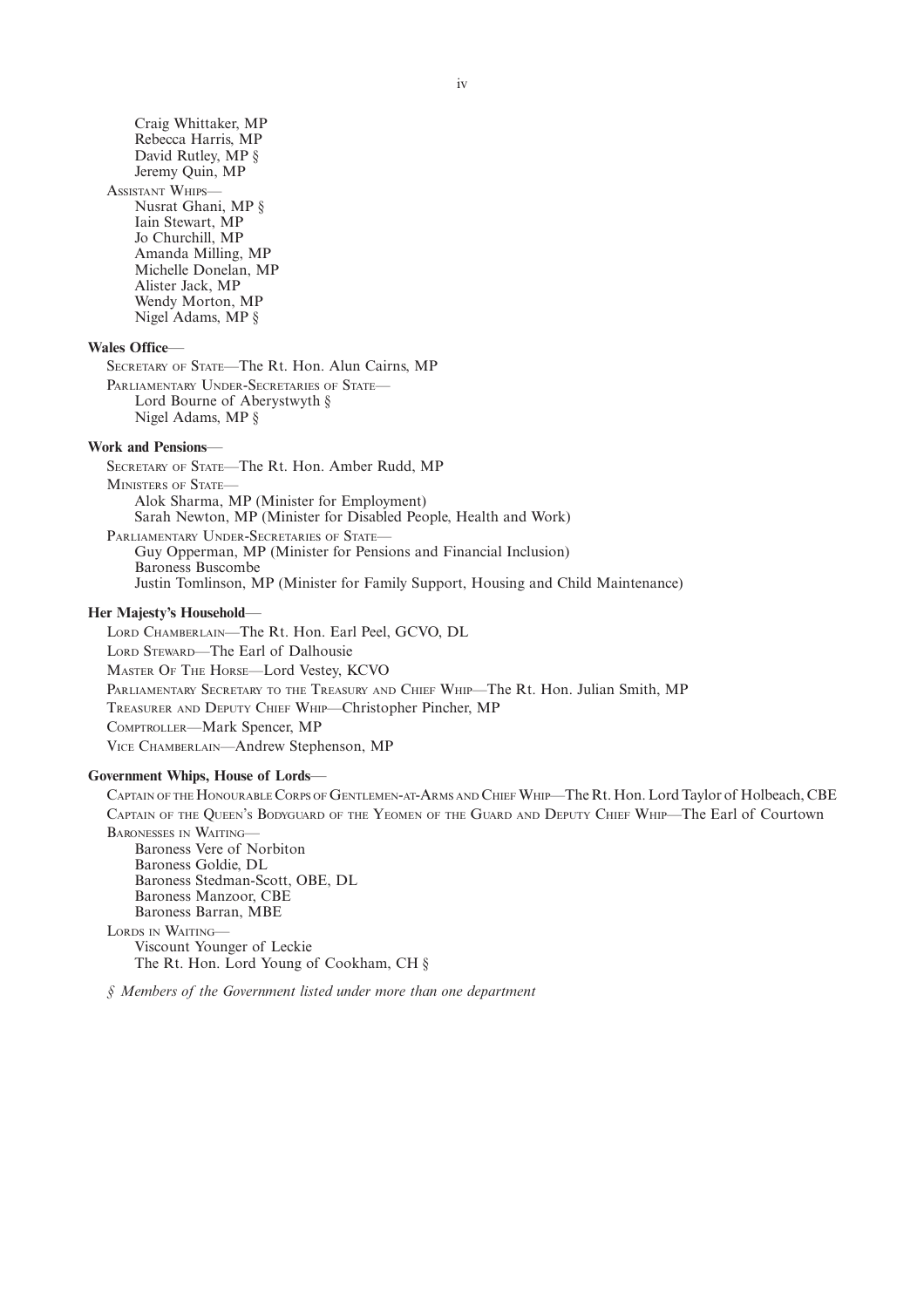Craig Whittaker, MP Rebecca Harris, MP David Rutley, MP § Jeremy Quin, MP

ASSISTANT WHIPS-Nusrat Ghani, MP § Iain Stewart, MP Jo Churchill, MP Amanda Milling, MP Michelle Donelan, MP Alister Jack, MP Wendy Morton, MP Nigel Adams, MP §

#### **Wales Office**—

SECRETARY OF STATE—The Rt. Hon. Alun Cairns, MP PARLIAMENTARY UNDER-SECRETARIES OF STATE-Lord Bourne of Aberystwyth § Nigel Adams, MP §

#### **Work and Pensions**—

SECRETARY OF STATE—The Rt. Hon. Amber Rudd, MP MINISTERS OF STATE— Alok Sharma, MP (Minister for Employment) Sarah Newton, MP (Minister for Disabled People, Health and Work) PARLIAMENTARY UNDER-SECRETARIES OF STATE-Guy Opperman, MP (Minister for Pensions and Financial Inclusion) Baroness Buscombe Justin Tomlinson, MP (Minister for Family Support, Housing and Child Maintenance)

#### **Her Majesty's Household**—

LORD CHAMBERLAIN—The Rt. Hon. Earl Peel, GCVO, DL LORD STEWARD—The Earl of Dalhousie MASTER O<sup>F</sup> THE HORSE—Lord Vestey, KCVO PARLIAMENTARY SECRETARY TO THE TREASURY AND CHIEF WHIP—The Rt. Hon. Julian Smith, MP TREASURER AND DEPUTY CHIEF WHIP—Christopher Pincher, MP COMPTROLLER—Mark Spencer, MP VICE CHAMBERLAIN—Andrew Stephenson, MP

#### **Government Whips, House of Lords**—

CAPTAIN OF THE HONOURABLE CORPS OF GENTLEMEN-AT-ARMS AND CHIEF WHIP—The Rt. Hon. Lord Taylor of Holbeach, CBE CAPTAIN OF THE QUEEN'<sup>S</sup> BODYGUARD OF THE YEOMEN OF THE GUARD AND DEPUTY CHIEF WHIP—The Earl of Courtown BARONESSES IN WAITING— Baroness Vere of Norbiton Baroness Goldie, DL Baroness Stedman-Scott, OBE, DL Baroness Manzoor, CBE Baroness Barran, MBE LORDS IN WAITING— Viscount Younger of Leckie The Rt. Hon. Lord Young of Cookham, CH §

*§ Members of the Government listed under more than one department*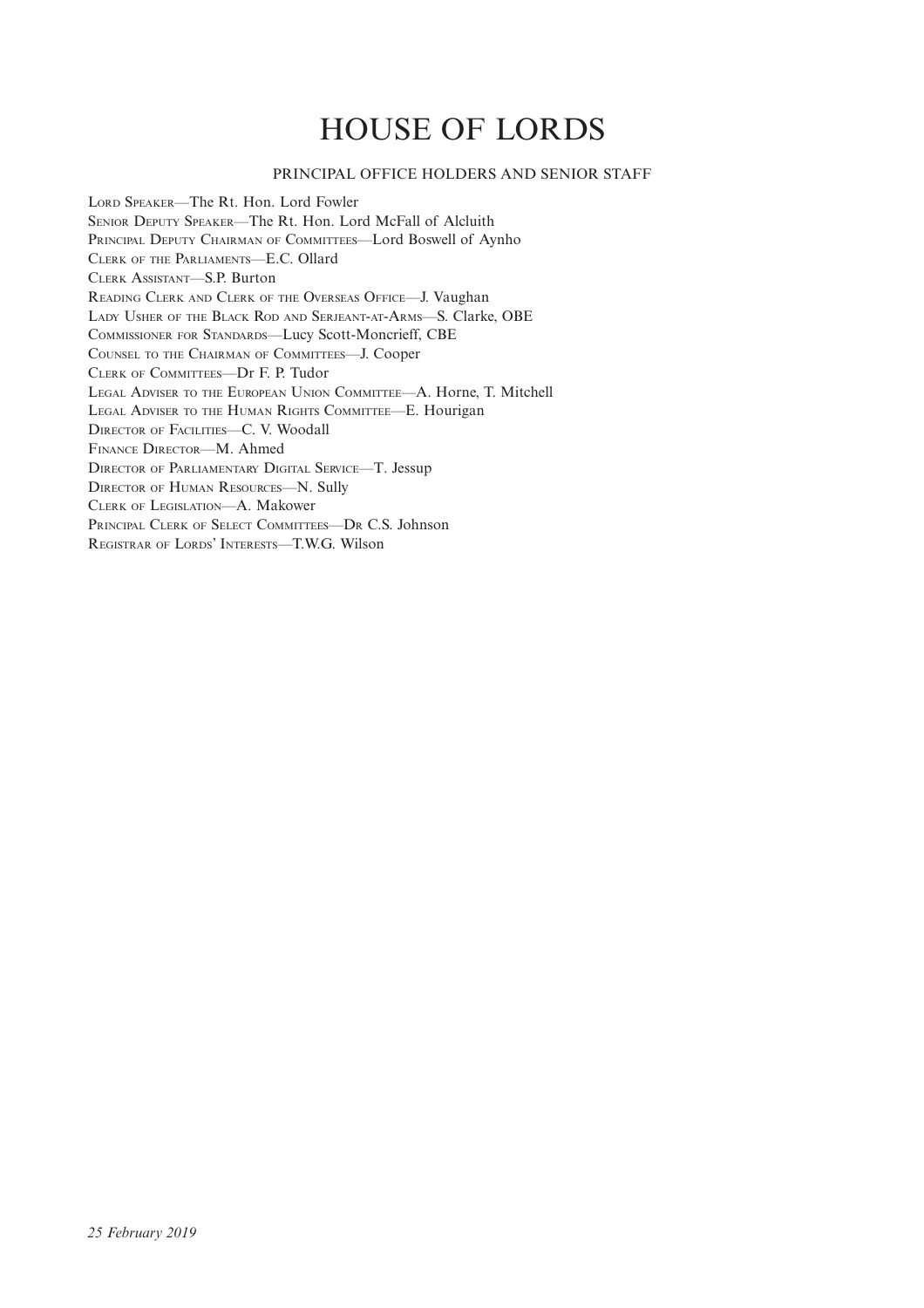## HOUSE OF LORDS

## PRINCIPAL OFFICE HOLDERS AND SENIOR STAFF

LORD SPEAKER—The Rt. Hon. Lord Fowler SENIOR DEPUTY SPEAKER—The Rt. Hon. Lord McFall of Alcluith PRINCIPAL DEPUTY CHAIRMAN OF COMMITTEES—Lord Boswell of Aynho CLERK OF THE PARLIAMENTS—E.C. Ollard CLERK ASSISTANT—S.P. Burton READING CLERK AND CLERK OF THE OVERSEAS OFFICE—J. Vaughan LADY USHER OF THE BLACK ROD AND SERJEANT-AT-ARMS—S. Clarke, OBE COMMISSIONER FOR STANDARDS—Lucy Scott-Moncrieff, CBE COUNSEL TO THE CHAIRMAN OF COMMITTEES—J. Cooper CLERK OF COMMITTEES—Dr F. P. Tudor LEGAL ADVISER TO THE EUROPEAN UNION COMMITTEE—A. Horne, T. Mitchell LEGAL ADVISER TO THE HUMAN RIGHTS COMMITTEE—E. Hourigan DIRECTOR OF FACILITIES—C. V. Woodall FINANCE DIRECTOR—M. Ahmed DIRECTOR OF PARLIAMENTARY DIGITAL SERVICE—T. Jessup DIRECTOR OF HUMAN RESOURCES—N. Sully CLERK OF LEGISLATION—A. Makower PRINCIPAL CLERK OF SELECT COMMITTEES—D<sup>R</sup> C.S. Johnson REGISTRAR OF LORDS' INTERESTS—T.W.G. Wilson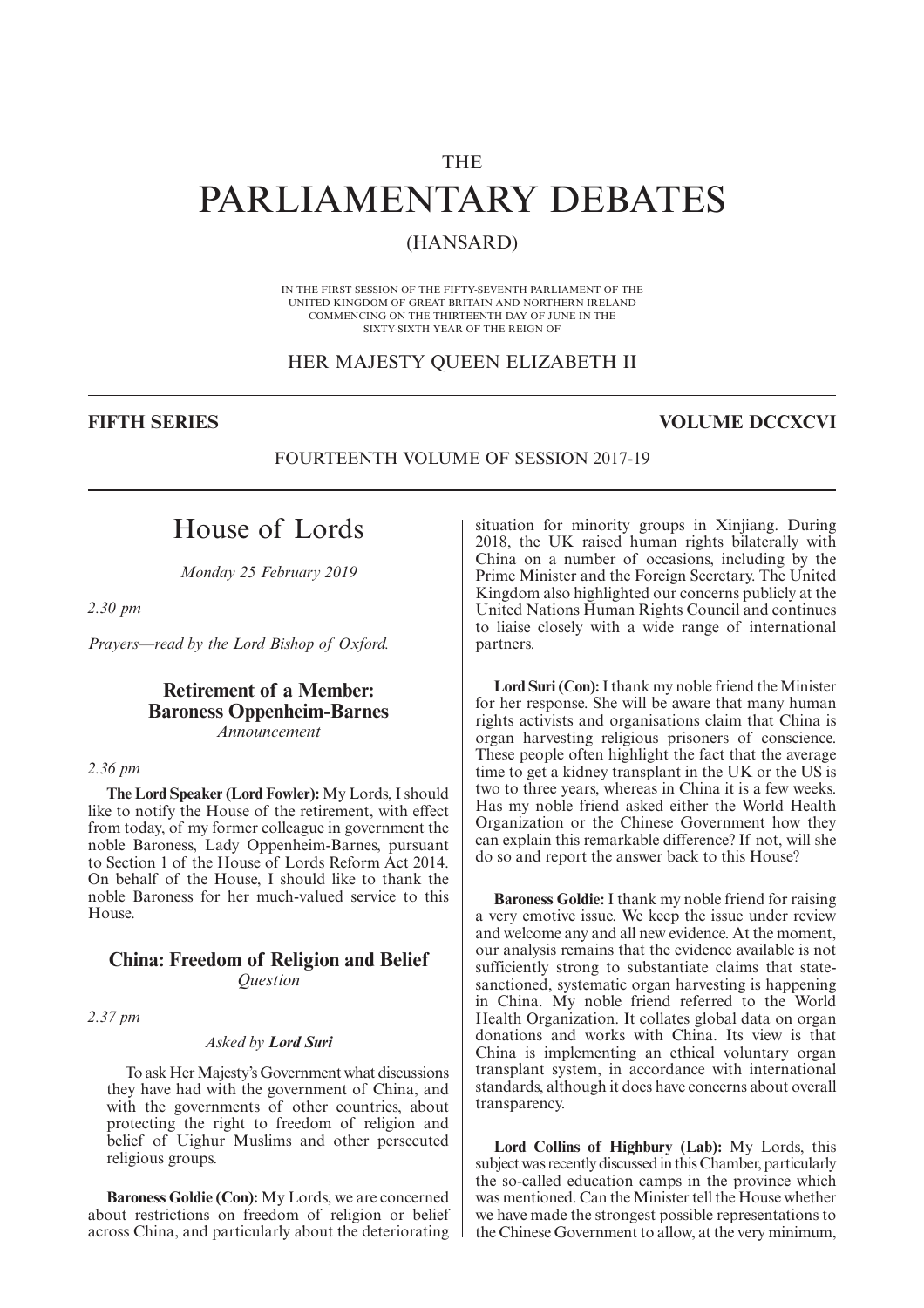## THE

## PARLIAMENTARY DEBATES

## (HANSARD)

IN THE FIRST SESSION OF THE FIFTY-SEVENTH PARLIAMENT OF THE UNITED KINGDOM OF GREAT BRITAIN AND NORTHERN IRELAND COMMENCING ON THE THIRTEENTH DAY OF JUNE IN THE SIXTY-SIXTH YEAR OF THE REIGN OF

#### HER MAJESTY QUEEN ELIZABETH II

## **FIFTH SERIES VOLUME DCCXCVI**

### FOURTEENTH VOLUME OF SESSION 2017-19

## House of Lords

*Monday 25 February 2019*

*2.30 pm*

*Prayers—read by the Lord Bishop of Oxford.*

## **Retirement of a Member: Baroness Oppenheim-Barnes** *Announcement*

#### *2.36 pm*

**The Lord Speaker (Lord Fowler):** My Lords, I should like to notify the House of the retirement, with effect from today, of my former colleague in government the noble Baroness, Lady Oppenheim-Barnes, pursuant to Section 1 of the House of Lords Reform Act 2014. On behalf of the House, I should like to thank the noble Baroness for her much-valued service to this House.

## **China: Freedom of Religion and Belief** *Question*

*2.37 pm*

#### *Asked by Lord Suri*

To ask Her Majesty's Government what discussions they have had with the government of China, and with the governments of other countries, about protecting the right to freedom of religion and belief of Uighur Muslims and other persecuted religious groups.

**Baroness Goldie (Con):** My Lords, we are concerned about restrictions on freedom of religion or belief across China, and particularly about the deteriorating situation for minority groups in Xinjiang. During 2018, the UK raised human rights bilaterally with China on a number of occasions, including by the Prime Minister and the Foreign Secretary. The United Kingdom also highlighted our concerns publicly at the United Nations Human Rights Council and continues to liaise closely with a wide range of international partners.

**Lord Suri (Con):**I thank my noble friend the Minister for her response. She will be aware that many human rights activists and organisations claim that China is organ harvesting religious prisoners of conscience. These people often highlight the fact that the average time to get a kidney transplant in the UK or the US is two to three years, whereas in China it is a few weeks. Has my noble friend asked either the World Health Organization or the Chinese Government how they can explain this remarkable difference? If not, will she do so and report the answer back to this House?

**Baroness Goldie:** I thank my noble friend for raising a very emotive issue. We keep the issue under review and welcome any and all new evidence. At the moment, our analysis remains that the evidence available is not sufficiently strong to substantiate claims that statesanctioned, systematic organ harvesting is happening in China. My noble friend referred to the World Health Organization. It collates global data on organ donations and works with China. Its view is that China is implementing an ethical voluntary organ transplant system, in accordance with international standards, although it does have concerns about overall transparency.

**Lord Collins of Highbury (Lab):** My Lords, this subject was recently discussed in this Chamber, particularly the so-called education camps in the province which was mentioned. Can the Minister tell the House whether we have made the strongest possible representations to the Chinese Government to allow, at the very minimum,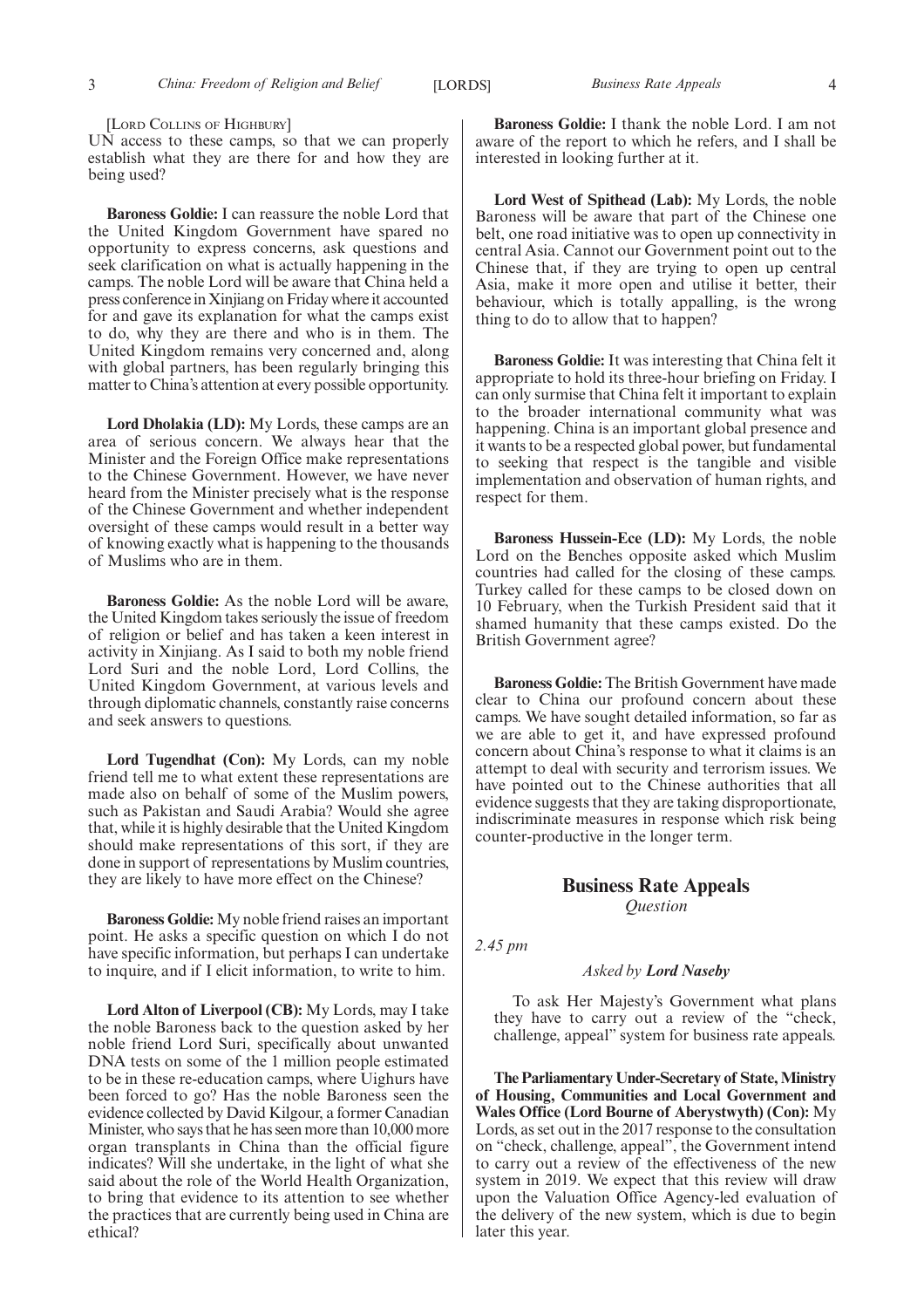[LORD COLLINS OF HIGHBURY]

UN access to these camps, so that we can properly establish what they are there for and how they are being used?

**Baroness Goldie:** I can reassure the noble Lord that the United Kingdom Government have spared no opportunity to express concerns, ask questions and seek clarification on what is actually happening in the camps. The noble Lord will be aware that China held a press conference in Xinjiang on Friday where it accounted for and gave its explanation for what the camps exist to do, why they are there and who is in them. The United Kingdom remains very concerned and, along with global partners, has been regularly bringing this matter to China's attention at every possible opportunity.

**Lord Dholakia (LD):** My Lords, these camps are an area of serious concern. We always hear that the Minister and the Foreign Office make representations to the Chinese Government. However, we have never heard from the Minister precisely what is the response of the Chinese Government and whether independent oversight of these camps would result in a better way of knowing exactly what is happening to the thousands of Muslims who are in them.

**Baroness Goldie:** As the noble Lord will be aware, the United Kingdom takes seriously the issue of freedom of religion or belief and has taken a keen interest in activity in Xinjiang. As I said to both my noble friend Lord Suri and the noble Lord, Lord Collins, the United Kingdom Government, at various levels and through diplomatic channels, constantly raise concerns and seek answers to questions.

**Lord Tugendhat (Con):** My Lords, can my noble friend tell me to what extent these representations are made also on behalf of some of the Muslim powers, such as Pakistan and Saudi Arabia? Would she agree that, while it is highly desirable that the United Kingdom should make representations of this sort, if they are done in support of representations by Muslim countries, they are likely to have more effect on the Chinese?

**Baroness Goldie:** My noble friend raises an important point. He asks a specific question on which I do not have specific information, but perhaps I can undertake to inquire, and if I elicit information, to write to him.

**Lord Alton of Liverpool (CB):** My Lords, may I take the noble Baroness back to the question asked by her noble friend Lord Suri, specifically about unwanted DNA tests on some of the 1 million people estimated to be in these re-education camps, where Uighurs have been forced to go? Has the noble Baroness seen the evidence collected by David Kilgour, a former Canadian Minister, who says that he has seen more than 10,000 more organ transplants in China than the official figure indicates? Will she undertake, in the light of what she said about the role of the World Health Organization, to bring that evidence to its attention to see whether the practices that are currently being used in China are ethical?

**Baroness Goldie:** I thank the noble Lord. I am not aware of the report to which he refers, and I shall be interested in looking further at it.

**Lord West of Spithead (Lab):** My Lords, the noble Baroness will be aware that part of the Chinese one belt, one road initiative was to open up connectivity in central Asia. Cannot our Government point out to the Chinese that, if they are trying to open up central Asia, make it more open and utilise it better, their behaviour, which is totally appalling, is the wrong thing to do to allow that to happen?

**Baroness Goldie:** It was interesting that China felt it appropriate to hold its three-hour briefing on Friday. I can only surmise that China felt it important to explain to the broader international community what was happening. China is an important global presence and it wants to be a respected global power, but fundamental to seeking that respect is the tangible and visible implementation and observation of human rights, and respect for them.

**Baroness Hussein-Ece (LD):** My Lords, the noble Lord on the Benches opposite asked which Muslim countries had called for the closing of these camps. Turkey called for these camps to be closed down on 10 February, when the Turkish President said that it shamed humanity that these camps existed. Do the British Government agree?

**Baroness Goldie:** The British Government have made clear to China our profound concern about these camps. We have sought detailed information, so far as we are able to get it, and have expressed profound concern about China's response to what it claims is an attempt to deal with security and terrorism issues. We have pointed out to the Chinese authorities that all evidence suggests that they are taking disproportionate, indiscriminate measures in response which risk being counter-productive in the longer term.

## **Business Rate Appeals** *Question*

*2.45 pm*

#### *Asked by Lord Naseby*

To ask Her Majesty's Government what plans they have to carry out a review of the "check, challenge, appeal" system for business rate appeals.

**The Parliamentary Under-Secretary of State, Ministry of Housing, Communities and Local Government and Wales Office (Lord Bourne of Aberystwyth) (Con):** My Lords, as set out in the 2017 response to the consultation on "check, challenge, appeal", the Government intend to carry out a review of the effectiveness of the new system in 2019. We expect that this review will draw upon the Valuation Office Agency-led evaluation of the delivery of the new system, which is due to begin later this year.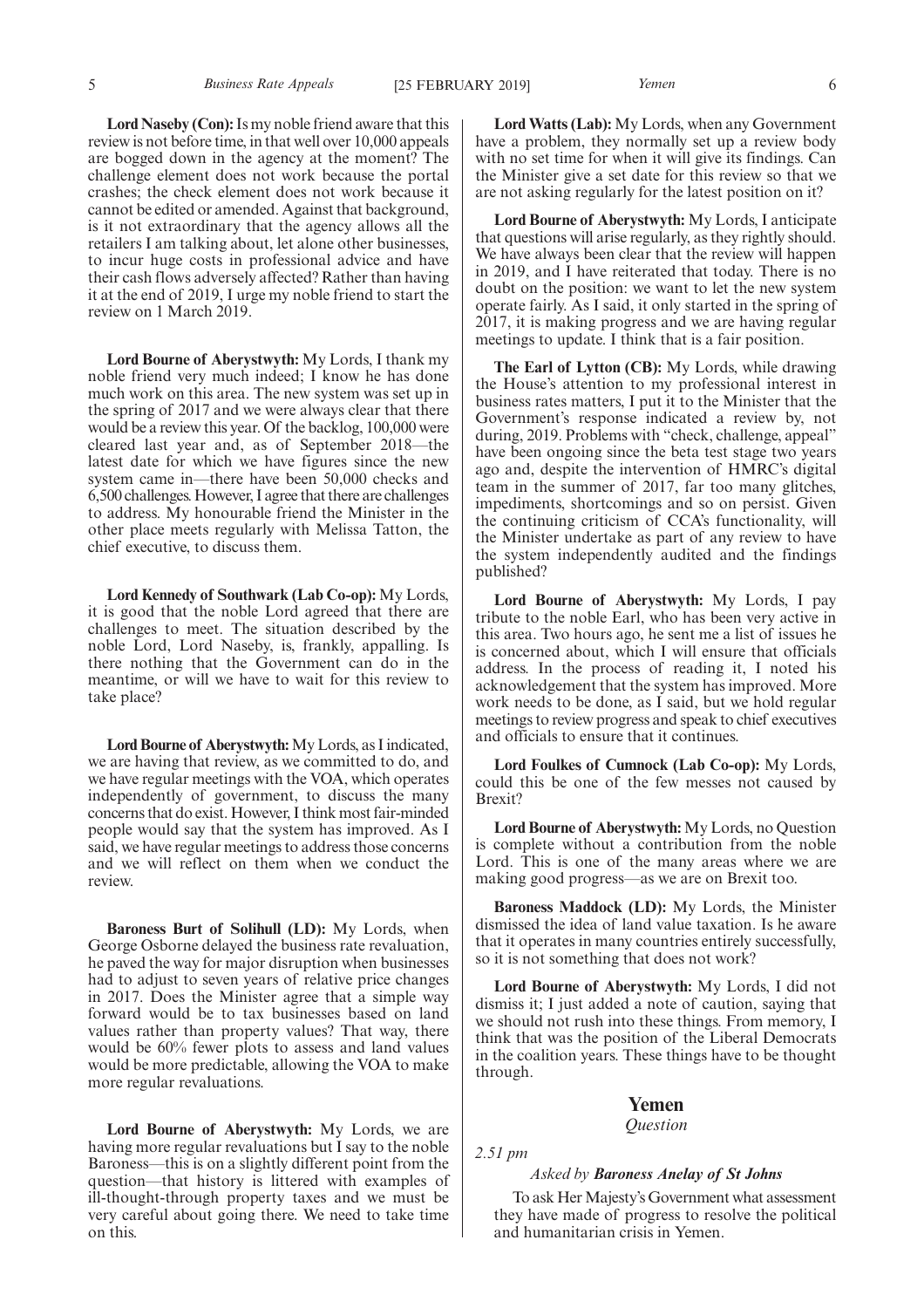**Lord Naseby (Con):**Is my noble friend aware that this review is not before time, in that well over 10,000 appeals are bogged down in the agency at the moment? The challenge element does not work because the portal crashes; the check element does not work because it cannot be edited or amended. Against that background, is it not extraordinary that the agency allows all the retailers I am talking about, let alone other businesses, to incur huge costs in professional advice and have their cash flows adversely affected? Rather than having it at the end of 2019, I urge my noble friend to start the review on 1 March 2019.

**Lord Bourne of Aberystwyth:** My Lords, I thank my noble friend very much indeed; I know he has done much work on this area. The new system was set up in the spring of 2017 and we were always clear that there would be a review this year. Of the backlog, 100,000 were cleared last year and, as of September 2018—the latest date for which we have figures since the new system came in—there have been 50,000 checks and 6,500 challenges. However, I agree that there are challenges to address. My honourable friend the Minister in the other place meets regularly with Melissa Tatton, the chief executive, to discuss them.

**Lord Kennedy of Southwark (Lab Co-op):** My Lords, it is good that the noble Lord agreed that there are challenges to meet. The situation described by the noble Lord, Lord Naseby, is, frankly, appalling. Is there nothing that the Government can do in the meantime, or will we have to wait for this review to take place?

**Lord Bourne of Aberystwyth:**My Lords, as I indicated, we are having that review, as we committed to do, and we have regular meetings with the VOA, which operates independently of government, to discuss the many concerns that do exist. However, I think most fair-minded people would say that the system has improved. As I said, we have regular meetings to address those concerns and we will reflect on them when we conduct the review.

**Baroness Burt of Solihull (LD):** My Lords, when George Osborne delayed the business rate revaluation, he paved the way for major disruption when businesses had to adjust to seven years of relative price changes in 2017. Does the Minister agree that a simple way forward would be to tax businesses based on land values rather than property values? That way, there would be 60% fewer plots to assess and land values would be more predictable, allowing the VOA to make more regular revaluations.

**Lord Bourne of Aberystwyth:** My Lords, we are having more regular revaluations but I say to the noble Baroness—this is on a slightly different point from the question—that history is littered with examples of ill-thought-through property taxes and we must be very careful about going there. We need to take time on this.

**Lord Watts (Lab):** My Lords, when any Government have a problem, they normally set up a review body with no set time for when it will give its findings. Can the Minister give a set date for this review so that we are not asking regularly for the latest position on it?

**Lord Bourne of Aberystwyth:** My Lords, I anticipate that questions will arise regularly, as they rightly should. We have always been clear that the review will happen in 2019, and I have reiterated that today. There is no doubt on the position: we want to let the new system operate fairly. As I said, it only started in the spring of 2017, it is making progress and we are having regular meetings to update. I think that is a fair position.

**The Earl of Lytton (CB):** My Lords, while drawing the House's attention to my professional interest in business rates matters, I put it to the Minister that the Government's response indicated a review by, not during, 2019. Problems with "check, challenge, appeal" have been ongoing since the beta test stage two years ago and, despite the intervention of HMRC's digital team in the summer of 2017, far too many glitches, impediments, shortcomings and so on persist. Given the continuing criticism of CCA's functionality, will the Minister undertake as part of any review to have the system independently audited and the findings published?

**Lord Bourne of Aberystwyth:** My Lords, I pay tribute to the noble Earl, who has been very active in this area. Two hours ago, he sent me a list of issues he is concerned about, which I will ensure that officials address. In the process of reading it, I noted his acknowledgement that the system has improved. More work needs to be done, as I said, but we hold regular meetings to review progress and speak to chief executives and officials to ensure that it continues.

**Lord Foulkes of Cumnock (Lab Co-op):** My Lords, could this be one of the few messes not caused by Brexit?

**Lord Bourne of Aberystwyth:** My Lords, no Question is complete without a contribution from the noble Lord. This is one of the many areas where we are making good progress—as we are on Brexit too.

**Baroness Maddock (LD):** My Lords, the Minister dismissed the idea of land value taxation. Is he aware that it operates in many countries entirely successfully, so it is not something that does not work?

**Lord Bourne of Aberystwyth:** My Lords, I did not dismiss it; I just added a note of caution, saying that we should not rush into these things. From memory, I think that was the position of the Liberal Democrats in the coalition years. These things have to be thought through.

#### **Yemen**

#### *Question*

*2.51 pm*

#### *Asked by Baroness Anelay of St Johns*

To ask Her Majesty's Government what assessment they have made of progress to resolve the political and humanitarian crisis in Yemen.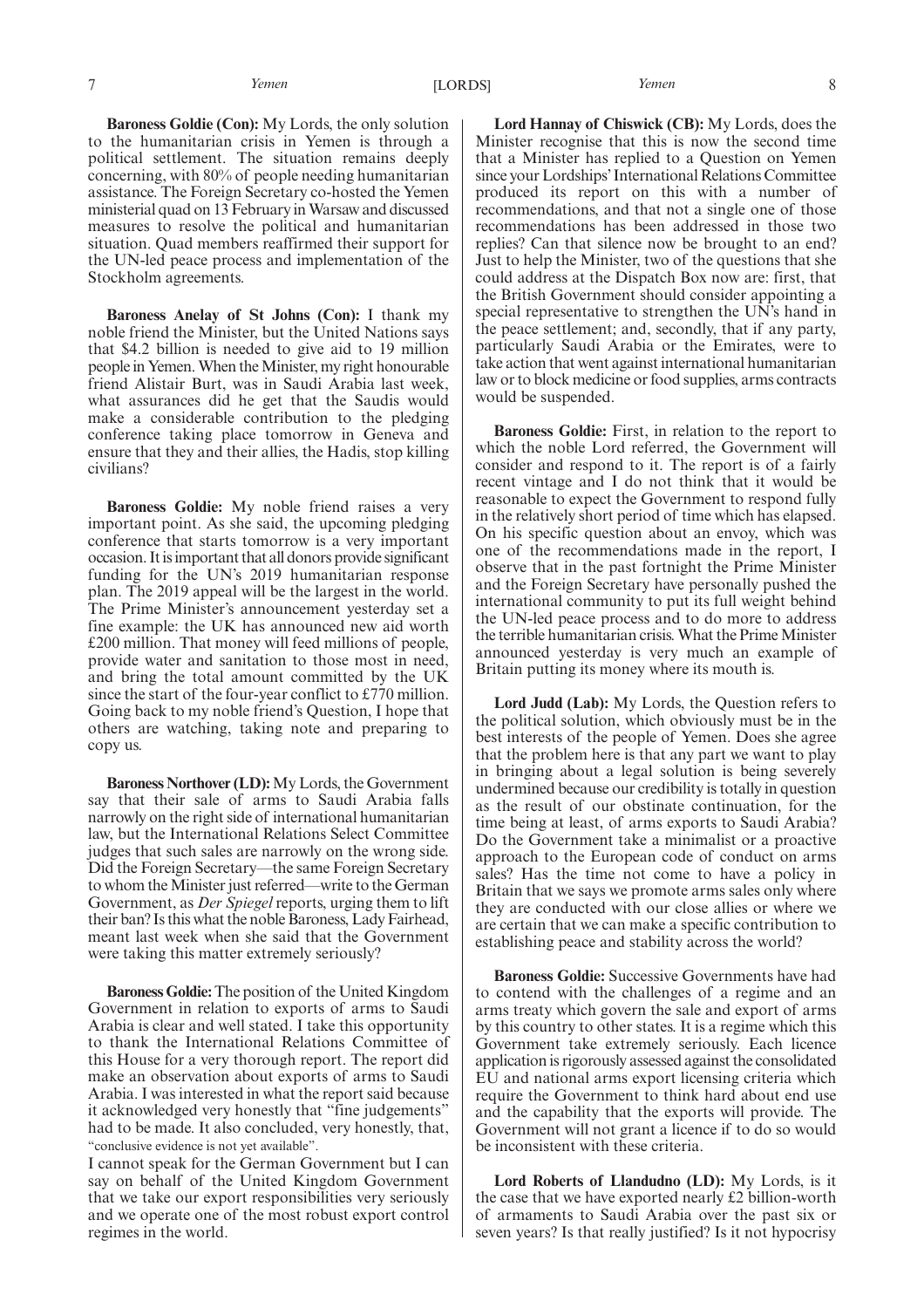**Baroness Goldie (Con):** My Lords, the only solution to the humanitarian crisis in Yemen is through a political settlement. The situation remains deeply concerning, with 80% of people needing humanitarian assistance. The Foreign Secretary co-hosted the Yemen ministerial quad on 13 February in Warsaw and discussed measures to resolve the political and humanitarian situation. Quad members reaffirmed their support for the UN-led peace process and implementation of the Stockholm agreements.

**Baroness Anelay of St Johns (Con):** I thank my noble friend the Minister, but the United Nations says that \$4.2 billion is needed to give aid to 19 million people in Yemen. When the Minister, my right honourable friend Alistair Burt, was in Saudi Arabia last week, what assurances did he get that the Saudis would make a considerable contribution to the pledging conference taking place tomorrow in Geneva and ensure that they and their allies, the Hadis, stop killing civilians?

**Baroness Goldie:** My noble friend raises a very important point. As she said, the upcoming pledging conference that starts tomorrow is a very important occasion. It is important that all donors provide significant funding for the UN's 2019 humanitarian response plan. The 2019 appeal will be the largest in the world. The Prime Minister's announcement yesterday set a fine example: the UK has announced new aid worth £200 million. That money will feed millions of people, provide water and sanitation to those most in need, and bring the total amount committed by the UK since the start of the four-year conflict to £770 million. Going back to my noble friend's Question, I hope that others are watching, taking note and preparing to copy us.

**Baroness Northover (LD):**My Lords, the Government say that their sale of arms to Saudi Arabia falls narrowly on the right side of international humanitarian law, but the International Relations Select Committee judges that such sales are narrowly on the wrong side. Did the Foreign Secretary—the same Foreign Secretary to whom the Minister just referred—write to the German Government, as *Der Spiegel* reports, urging them to lift their ban? Is this what the noble Baroness, Lady Fairhead, meant last week when she said that the Government were taking this matter extremely seriously?

**Baroness Goldie:**The position of the United Kingdom Government in relation to exports of arms to Saudi Arabia is clear and well stated. I take this opportunity to thank the International Relations Committee of this House for a very thorough report. The report did make an observation about exports of arms to Saudi Arabia. I was interested in what the report said because it acknowledged very honestly that "fine judgements" had to be made. It also concluded, very honestly, that, "conclusive evidence is not yet available".

I cannot speak for the German Government but I can say on behalf of the United Kingdom Government that we take our export responsibilities very seriously and we operate one of the most robust export control regimes in the world.

**Lord Hannay of Chiswick (CB):** My Lords, does the Minister recognise that this is now the second time that a Minister has replied to a Question on Yemen since your Lordships'International Relations Committee produced its report on this with a number of recommendations, and that not a single one of those recommendations has been addressed in those two replies? Can that silence now be brought to an end? Just to help the Minister, two of the questions that she could address at the Dispatch Box now are: first, that the British Government should consider appointing a special representative to strengthen the UN's hand in the peace settlement; and, secondly, that if any party, particularly Saudi Arabia or the Emirates, were to take action that went against international humanitarian law or to block medicine or food supplies, arms contracts would be suspended.

**Baroness Goldie:** First, in relation to the report to which the noble Lord referred, the Government will consider and respond to it. The report is of a fairly recent vintage and I do not think that it would be reasonable to expect the Government to respond fully in the relatively short period of time which has elapsed. On his specific question about an envoy, which was one of the recommendations made in the report, I observe that in the past fortnight the Prime Minister and the Foreign Secretary have personally pushed the international community to put its full weight behind the UN-led peace process and to do more to address the terrible humanitarian crisis. What the Prime Minister announced yesterday is very much an example of Britain putting its money where its mouth is.

**Lord Judd (Lab):** My Lords, the Question refers to the political solution, which obviously must be in the best interests of the people of Yemen. Does she agree that the problem here is that any part we want to play in bringing about a legal solution is being severely undermined because our credibility is totally in question as the result of our obstinate continuation, for the time being at least, of arms exports to Saudi Arabia? Do the Government take a minimalist or a proactive approach to the European code of conduct on arms sales? Has the time not come to have a policy in Britain that we says we promote arms sales only where they are conducted with our close allies or where we are certain that we can make a specific contribution to establishing peace and stability across the world?

**Baroness Goldie:** Successive Governments have had to contend with the challenges of a regime and an arms treaty which govern the sale and export of arms by this country to other states. It is a regime which this Government take extremely seriously. Each licence application is rigorously assessed against the consolidated EU and national arms export licensing criteria which require the Government to think hard about end use and the capability that the exports will provide. The Government will not grant a licence if to do so would be inconsistent with these criteria.

**Lord Roberts of Llandudno (LD):** My Lords, is it the case that we have exported nearly £2 billion-worth of armaments to Saudi Arabia over the past six or seven years? Is that really justified? Is it not hypocrisy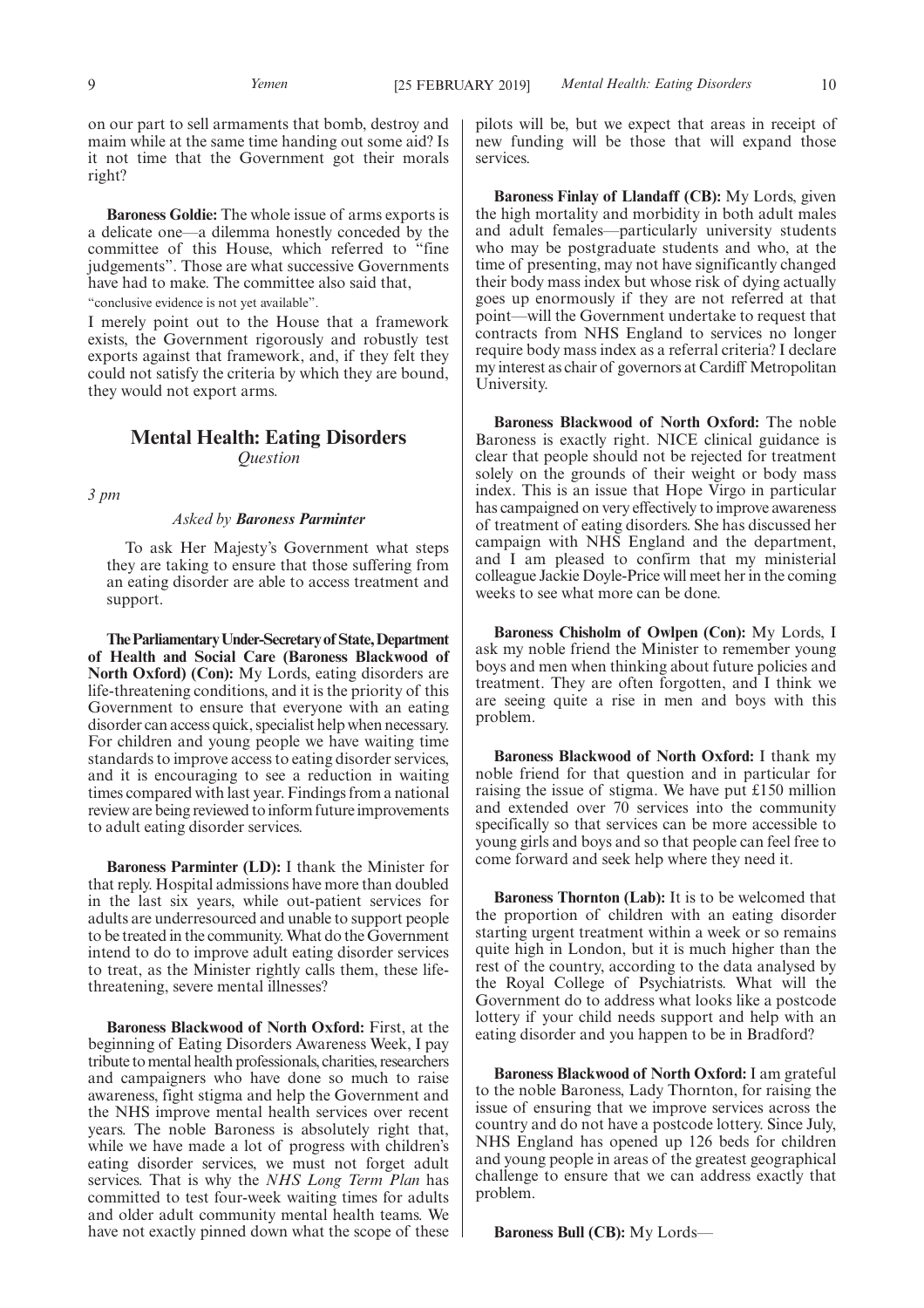on our part to sell armaments that bomb, destroy and maim while at the same time handing out some aid? Is it not time that the Government got their morals right?

**Baroness Goldie:** The whole issue of arms exports is a delicate one—a dilemma honestly conceded by the committee of this House, which referred to "fine judgements". Those are what successive Governments have had to make. The committee also said that,

"conclusive evidence is not yet available".

I merely point out to the House that a framework exists, the Government rigorously and robustly test exports against that framework, and, if they felt they could not satisfy the criteria by which they are bound, they would not export arms.

## **Mental Health: Eating Disorders** *Question*

*3 pm*

#### *Asked by Baroness Parminter*

To ask Her Majesty's Government what steps they are taking to ensure that those suffering from an eating disorder are able to access treatment and support.

**TheParliamentaryUnder-Secretaryof State,Department of Health and Social Care (Baroness Blackwood of North Oxford) (Con):** My Lords, eating disorders are life-threatening conditions, and it is the priority of this Government to ensure that everyone with an eating disorder can access quick, specialist help when necessary. For children and young people we have waiting time standards to improve access to eating disorder services, and it is encouraging to see a reduction in waiting times compared with last year. Findings from a national review are being reviewed to inform future improvements to adult eating disorder services.

**Baroness Parminter (LD):** I thank the Minister for that reply. Hospital admissions have more than doubled in the last six years, while out-patient services for adults are underresourced and unable to support people to be treated in the community. What do the Government intend to do to improve adult eating disorder services to treat, as the Minister rightly calls them, these lifethreatening, severe mental illnesses?

**Baroness Blackwood of North Oxford:** First, at the beginning of Eating Disorders Awareness Week, I pay tribute to mental health professionals, charities, researchers and campaigners who have done so much to raise awareness, fight stigma and help the Government and the NHS improve mental health services over recent years. The noble Baroness is absolutely right that, while we have made a lot of progress with children's eating disorder services, we must not forget adult services. That is why the *NHS Long Term Plan* has committed to test four-week waiting times for adults and older adult community mental health teams. We have not exactly pinned down what the scope of these pilots will be, but we expect that areas in receipt of new funding will be those that will expand those services.

**Baroness Finlay of Llandaff (CB):** My Lords, given the high mortality and morbidity in both adult males and adult females—particularly university students who may be postgraduate students and who, at the time of presenting, may not have significantly changed their body mass index but whose risk of dying actually goes up enormously if they are not referred at that point—will the Government undertake to request that contracts from NHS England to services no longer require body mass index as a referral criteria? I declare my interest as chair of governors at Cardiff Metropolitan University.

**Baroness Blackwood of North Oxford:** The noble Baroness is exactly right. NICE clinical guidance is clear that people should not be rejected for treatment solely on the grounds of their weight or body mass index. This is an issue that Hope Virgo in particular has campaigned on very effectively to improve awareness of treatment of eating disorders. She has discussed her campaign with NHS England and the department, and I am pleased to confirm that my ministerial colleague Jackie Doyle-Price will meet her in the coming weeks to see what more can be done.

**Baroness Chisholm of Owlpen (Con):** My Lords, I ask my noble friend the Minister to remember young boys and men when thinking about future policies and treatment. They are often forgotten, and I think we are seeing quite a rise in men and boys with this problem.

**Baroness Blackwood of North Oxford:** I thank my noble friend for that question and in particular for raising the issue of stigma. We have put £150 million and extended over  $70$  services into the community specifically so that services can be more accessible to young girls and boys and so that people can feel free to come forward and seek help where they need it.

**Baroness Thornton (Lab):** It is to be welcomed that the proportion of children with an eating disorder starting urgent treatment within a week or so remains quite high in London, but it is much higher than the rest of the country, according to the data analysed by the Royal College of Psychiatrists. What will the Government do to address what looks like a postcode lottery if your child needs support and help with an eating disorder and you happen to be in Bradford?

**Baroness Blackwood of North Oxford:** I am grateful to the noble Baroness, Lady Thornton, for raising the issue of ensuring that we improve services across the country and do not have a postcode lottery. Since July, NHS England has opened up 126 beds for children and young people in areas of the greatest geographical challenge to ensure that we can address exactly that problem.

**Baroness Bull (CB):** My Lords—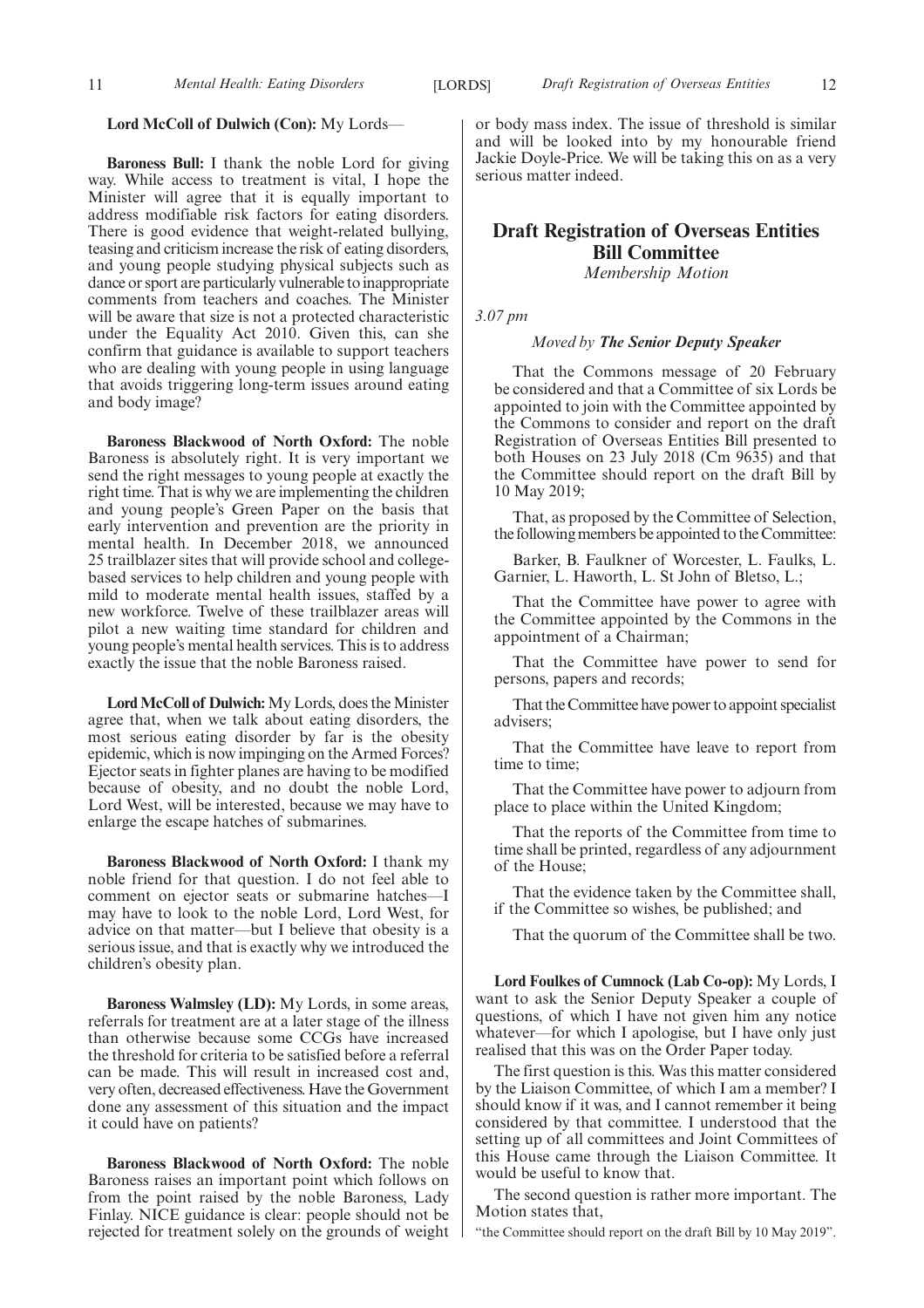#### **Lord McColl of Dulwich (Con):** My Lords—

**Baroness Bull:** I thank the noble Lord for giving way. While access to treatment is vital, I hope the Minister will agree that it is equally important to address modifiable risk factors for eating disorders. There is good evidence that weight-related bullying, teasing and criticism increase the risk of eating disorders, and young people studying physical subjects such as dance or sport are particularly vulnerable to inappropriate comments from teachers and coaches. The Minister will be aware that size is not a protected characteristic under the Equality Act 2010. Given this, can she confirm that guidance is available to support teachers who are dealing with young people in using language that avoids triggering long-term issues around eating and body image?

**Baroness Blackwood of North Oxford:** The noble Baroness is absolutely right. It is very important we send the right messages to young people at exactly the right time. That is why we are implementing the children and young people's Green Paper on the basis that early intervention and prevention are the priority in mental health. In December 2018, we announced 25 trailblazer sites that will provide school and collegebased services to help children and young people with mild to moderate mental health issues, staffed by a new workforce. Twelve of these trailblazer areas will pilot a new waiting time standard for children and young people's mental health services. This is to address exactly the issue that the noble Baroness raised.

**Lord McColl of Dulwich:**My Lords, does the Minister agree that, when we talk about eating disorders, the most serious eating disorder by far is the obesity epidemic, which is now impinging on the Armed Forces? Ejector seats in fighter planes are having to be modified because of obesity, and no doubt the noble Lord, Lord West, will be interested, because we may have to enlarge the escape hatches of submarines.

**Baroness Blackwood of North Oxford:** I thank my noble friend for that question. I do not feel able to comment on ejector seats or submarine hatches—I may have to look to the noble Lord, Lord West, for advice on that matter—but I believe that obesity is a serious issue, and that is exactly why we introduced the children's obesity plan.

**Baroness Walmsley (LD):** My Lords, in some areas, referrals for treatment are at a later stage of the illness than otherwise because some CCGs have increased the threshold for criteria to be satisfied before a referral can be made. This will result in increased cost and, very often, decreased effectiveness. Have the Government done any assessment of this situation and the impact it could have on patients?

**Baroness Blackwood of North Oxford:** The noble Baroness raises an important point which follows on from the point raised by the noble Baroness, Lady Finlay. NICE guidance is clear: people should not be rejected for treatment solely on the grounds of weight or body mass index. The issue of threshold is similar and will be looked into by my honourable friend Jackie Doyle-Price. We will be taking this on as a very serious matter indeed.

## **Draft Registration of Overseas Entities Bill Committee**

*Membership Motion*

*3.07 pm*

#### *Moved by The Senior Deputy Speaker*

That the Commons message of 20 February be considered and that a Committee of six Lords be appointed to join with the Committee appointed by the Commons to consider and report on the draft Registration of Overseas Entities Bill presented to both Houses on 23 July 2018 (Cm 9635) and that the Committee should report on the draft Bill by 10 May 2019;

That, as proposed by the Committee of Selection, the following members be appointed to the Committee:

Barker, B. Faulkner of Worcester, L. Faulks, L. Garnier, L. Haworth, L. St John of Bletso, L.;

That the Committee have power to agree with the Committee appointed by the Commons in the appointment of a Chairman;

That the Committee have power to send for persons, papers and records;

That the Committee have power to appoint specialist advisers;

That the Committee have leave to report from time to time;

That the Committee have power to adjourn from place to place within the United Kingdom;

That the reports of the Committee from time to time shall be printed, regardless of any adjournment of the House;

That the evidence taken by the Committee shall, if the Committee so wishes, be published; and

That the quorum of the Committee shall be two.

**Lord Foulkes of Cumnock (Lab Co-op):** My Lords, I want to ask the Senior Deputy Speaker a couple of questions, of which I have not given him any notice whatever—for which I apologise, but I have only just realised that this was on the Order Paper today.

The first question is this. Was this matter considered by the Liaison Committee, of which I am a member? I should know if it was, and I cannot remember it being considered by that committee. I understood that the setting up of all committees and Joint Committees of this House came through the Liaison Committee. It would be useful to know that.

The second question is rather more important. The Motion states that,

"the Committee should report on the draft Bill by 10 May 2019".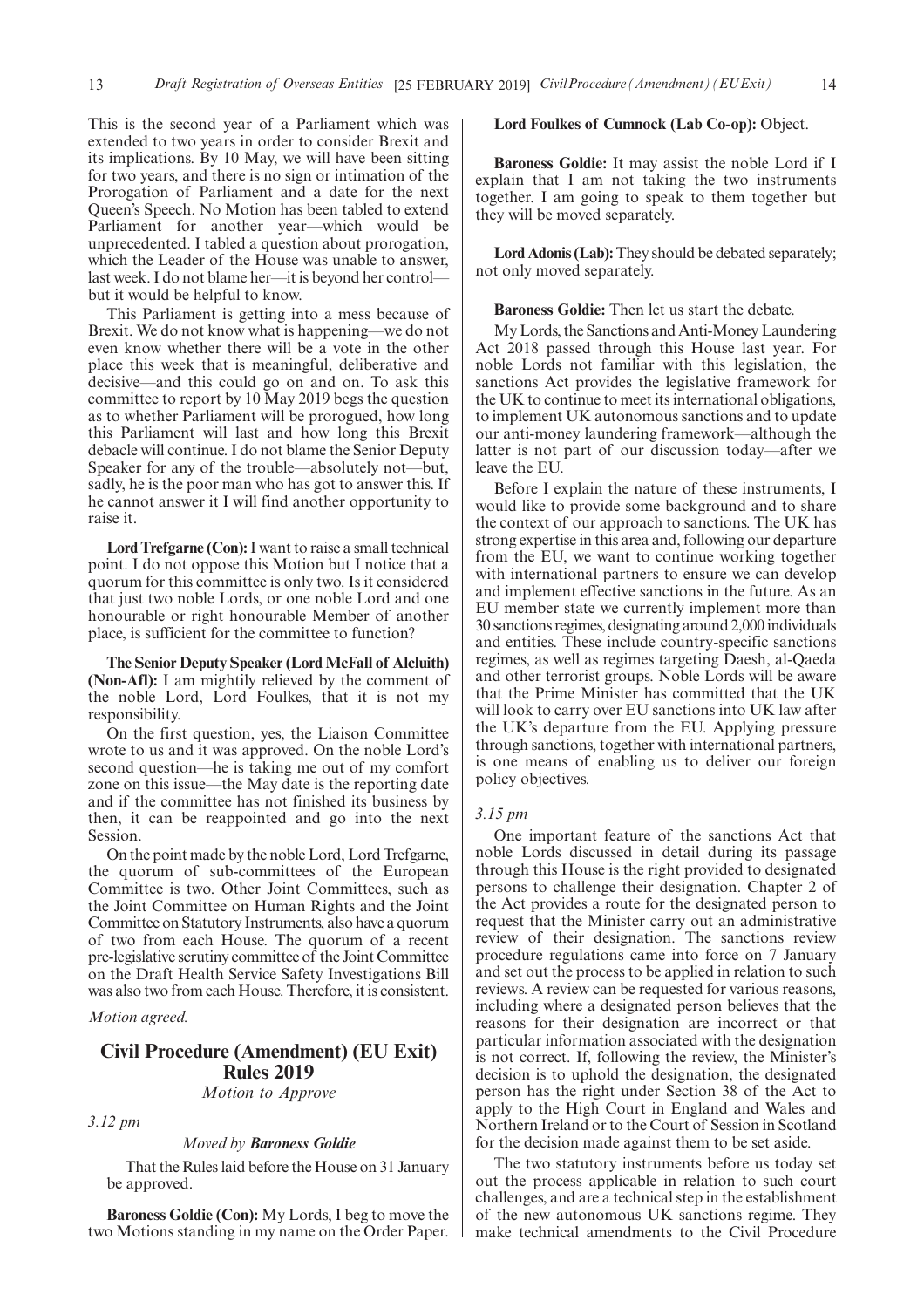This is the second year of a Parliament which was extended to two years in order to consider Brexit and its implications. By 10 May, we will have been sitting for two years, and there is no sign or intimation of the Prorogation of Parliament and a date for the next Queen's Speech. No Motion has been tabled to extend Parliament for another year—which would be unprecedented. I tabled a question about prorogation, which the Leader of the House was unable to answer, last week. I do not blame her—it is beyond her control but it would be helpful to know.

This Parliament is getting into a mess because of Brexit. We do not know what is happening—we do not even know whether there will be a vote in the other place this week that is meaningful, deliberative and decisive—and this could go on and on. To ask this committee to report by 10 May 2019 begs the question as to whether Parliament will be prorogued, how long this Parliament will last and how long this Brexit debacle will continue. I do not blame the Senior Deputy Speaker for any of the trouble—absolutely not—but, sadly, he is the poor man who has got to answer this. If he cannot answer it I will find another opportunity to raise it.

**Lord Trefgarne (Con):**I want to raise a small technical point. I do not oppose this Motion but I notice that a quorum for this committee is only two. Is it considered that just two noble Lords, or one noble Lord and one honourable or right honourable Member of another place, is sufficient for the committee to function?

**The Senior Deputy Speaker (Lord McFall of Alcluith) (Non-Afl):** I am mightily relieved by the comment of the noble Lord, Lord Foulkes, that it is not my responsibility.

On the first question, yes, the Liaison Committee wrote to us and it was approved. On the noble Lord's second question—he is taking me out of my comfort zone on this issue—the May date is the reporting date and if the committee has not finished its business by then, it can be reappointed and go into the next Session.

On the point made by the noble Lord, Lord Trefgarne, the quorum of sub-committees of the European Committee is two. Other Joint Committees, such as the Joint Committee on Human Rights and the Joint Committee on Statutory Instruments, also have a quorum of two from each House. The quorum of a recent pre-legislative scrutiny committee of the Joint Committee on the Draft Health Service Safety Investigations Bill was also two from each House. Therefore, it is consistent.

*Motion agreed.*

## **Civil Procedure (Amendment) (EU Exit) Rules 2019** *Motion to Approve*

*3.12 pm*

#### *Moved by Baroness Goldie*

That the Rules laid before the House on 31 January be approved.

**Baroness Goldie (Con):** My Lords, I beg to move the two Motions standing in my name on the Order Paper.

#### **Lord Foulkes of Cumnock (Lab Co-op):** Object.

**Baroness Goldie:** It may assist the noble Lord if I explain that I am not taking the two instruments together. I am going to speak to them together but they will be moved separately.

**Lord Adonis (Lab):**They should be debated separately; not only moved separately.

#### **Baroness Goldie:** Then let us start the debate.

My Lords, the Sanctions and Anti-Money Laundering Act 2018 passed through this House last year. For noble Lords not familiar with this legislation, the sanctions Act provides the legislative framework for the UK to continue to meet its international obligations, to implement UK autonomous sanctions and to update our anti-money laundering framework—although the latter is not part of our discussion today—after we leave the EU.

Before I explain the nature of these instruments, I would like to provide some background and to share the context of our approach to sanctions. The UK has strong expertise in this area and, following our departure from the EU, we want to continue working together with international partners to ensure we can develop and implement effective sanctions in the future. As an EU member state we currently implement more than 30 sanctions regimes, designating around 2,000 individuals and entities. These include country-specific sanctions regimes, as well as regimes targeting Daesh, al-Qaeda and other terrorist groups. Noble Lords will be aware that the Prime Minister has committed that the UK will look to carry over EU sanctions into UK law after the UK's departure from the EU. Applying pressure through sanctions, together with international partners, is one means of enabling us to deliver our foreign policy objectives.

#### *3.15 pm*

One important feature of the sanctions Act that noble Lords discussed in detail during its passage through this House is the right provided to designated persons to challenge their designation. Chapter 2 of the Act provides a route for the designated person to request that the Minister carry out an administrative review of their designation. The sanctions review procedure regulations came into force on 7 January and set out the process to be applied in relation to such reviews. A review can be requested for various reasons, including where a designated person believes that the reasons for their designation are incorrect or that particular information associated with the designation is not correct. If, following the review, the Minister's decision is to uphold the designation, the designated person has the right under Section 38 of the Act to apply to the High Court in England and Wales and Northern Ireland or to the Court of Session in Scotland for the decision made against them to be set aside.

The two statutory instruments before us today set out the process applicable in relation to such court challenges, and are a technical step in the establishment of the new autonomous UK sanctions regime. They make technical amendments to the Civil Procedure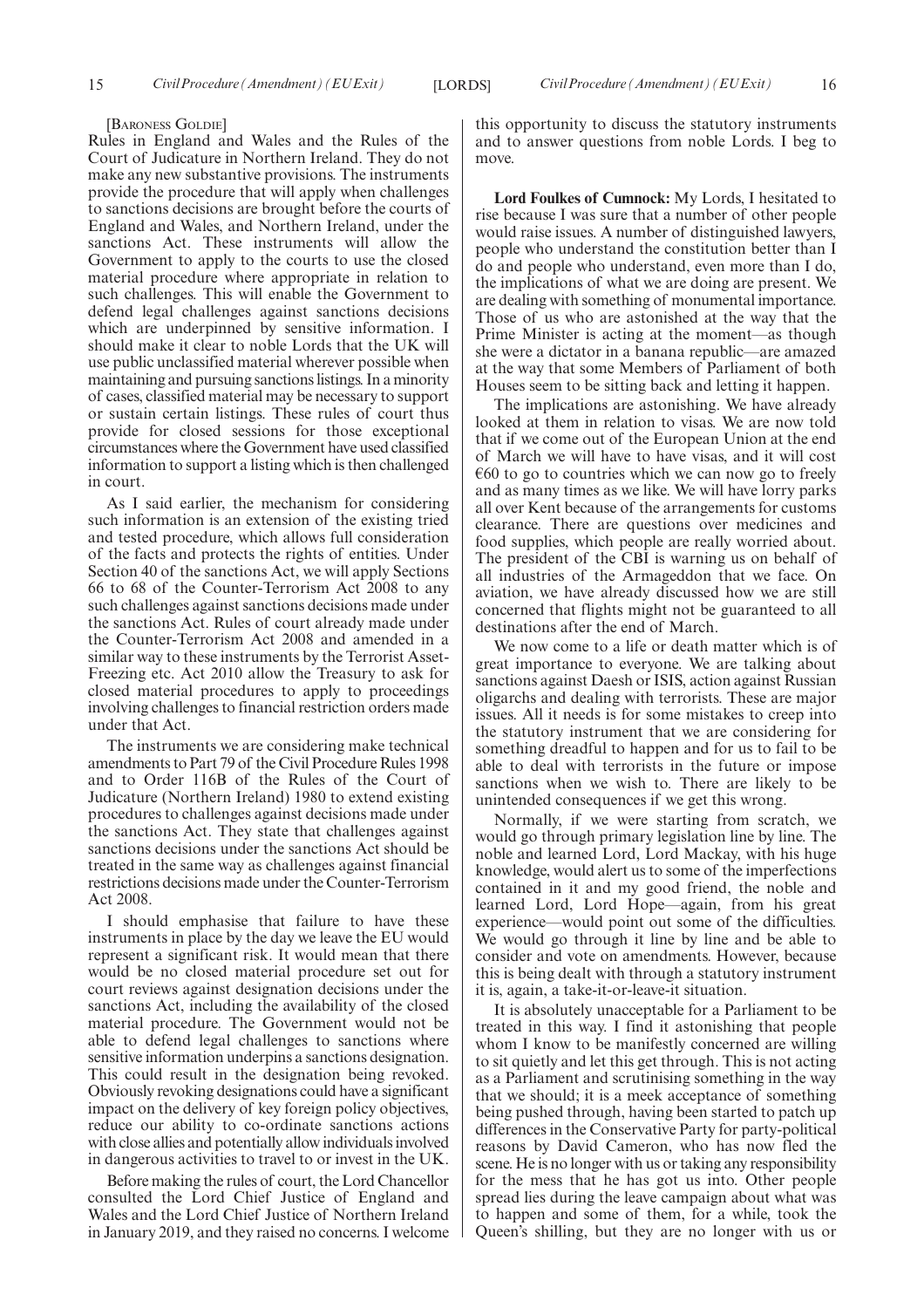#### [BARONESS GOLDIE]

Rules in England and Wales and the Rules of the Court of Judicature in Northern Ireland. They do not make any new substantive provisions. The instruments provide the procedure that will apply when challenges to sanctions decisions are brought before the courts of England and Wales, and Northern Ireland, under the sanctions Act. These instruments will allow the Government to apply to the courts to use the closed material procedure where appropriate in relation to such challenges. This will enable the Government to defend legal challenges against sanctions decisions which are underpinned by sensitive information. I should make it clear to noble Lords that the UK will use public unclassified material wherever possible when maintaining and pursuing sanctions listings. In a minority of cases, classified material may be necessary to support or sustain certain listings. These rules of court thus provide for closed sessions for those exceptional circumstances where the Government have used classified information to support a listing which is then challenged in court.

As I said earlier, the mechanism for considering such information is an extension of the existing tried and tested procedure, which allows full consideration of the facts and protects the rights of entities. Under Section 40 of the sanctions Act, we will apply Sections 66 to 68 of the Counter-Terrorism Act 2008 to any such challenges against sanctions decisions made under the sanctions Act. Rules of court already made under the Counter-Terrorism Act 2008 and amended in a similar way to these instruments by the Terrorist Asset-Freezing etc. Act 2010 allow the Treasury to ask for closed material procedures to apply to proceedings involving challenges to financial restriction orders made under that Act.

The instruments we are considering make technical amendments to Part 79 of the Civil Procedure Rules 1998 and to Order 116B of the Rules of the Court of Judicature (Northern Ireland) 1980 to extend existing procedures to challenges against decisions made under the sanctions Act. They state that challenges against sanctions decisions under the sanctions Act should be treated in the same way as challenges against financial restrictions decisions made under the Counter-Terrorism Act 2008.

I should emphasise that failure to have these instruments in place by the day we leave the EU would represent a significant risk. It would mean that there would be no closed material procedure set out for court reviews against designation decisions under the sanctions Act, including the availability of the closed material procedure. The Government would not be able to defend legal challenges to sanctions where sensitive information underpins a sanctions designation. This could result in the designation being revoked. Obviously revoking designations could have a significant impact on the delivery of key foreign policy objectives, reduce our ability to co-ordinate sanctions actions with close allies and potentially allow individuals involved in dangerous activities to travel to or invest in the UK.

Before making the rules of court, the Lord Chancellor consulted the Lord Chief Justice of England and Wales and the Lord Chief Justice of Northern Ireland in January 2019, and they raised no concerns. I welcome this opportunity to discuss the statutory instruments and to answer questions from noble Lords. I beg to move.

**Lord Foulkes of Cumnock:** My Lords, I hesitated to rise because I was sure that a number of other people would raise issues. A number of distinguished lawyers, people who understand the constitution better than I do and people who understand, even more than I do, the implications of what we are doing are present. We are dealing with something of monumental importance. Those of us who are astonished at the way that the Prime Minister is acting at the moment—as though she were a dictator in a banana republic—are amazed at the way that some Members of Parliament of both Houses seem to be sitting back and letting it happen.

The implications are astonishing. We have already looked at them in relation to visas. We are now told that if we come out of the European Union at the end of March we will have to have visas, and it will cost  $\epsilon$ 60 to go to countries which we can now go to freely and as many times as we like. We will have lorry parks all over Kent because of the arrangements for customs clearance. There are questions over medicines and food supplies, which people are really worried about. The president of the CBI is warning us on behalf of all industries of the Armageddon that we face. On aviation, we have already discussed how we are still concerned that flights might not be guaranteed to all destinations after the end of March.

We now come to a life or death matter which is of great importance to everyone. We are talking about sanctions against Daesh or ISIS, action against Russian oligarchs and dealing with terrorists. These are major issues. All it needs is for some mistakes to creep into the statutory instrument that we are considering for something dreadful to happen and for us to fail to be able to deal with terrorists in the future or impose sanctions when we wish to. There are likely to be unintended consequences if we get this wrong.

Normally, if we were starting from scratch, we would go through primary legislation line by line. The noble and learned Lord, Lord Mackay, with his huge knowledge, would alert us to some of the imperfections contained in it and my good friend, the noble and learned Lord, Lord Hope—again, from his great experience—would point out some of the difficulties. We would go through it line by line and be able to consider and vote on amendments. However, because this is being dealt with through a statutory instrument it is, again, a take-it-or-leave-it situation.

It is absolutely unacceptable for a Parliament to be treated in this way. I find it astonishing that people whom I know to be manifestly concerned are willing to sit quietly and let this get through. This is not acting as a Parliament and scrutinising something in the way that we should; it is a meek acceptance of something being pushed through, having been started to patch up differences in the Conservative Party for party-political reasons by David Cameron, who has now fled the scene. He is no longer with us or taking any responsibility for the mess that he has got us into. Other people spread lies during the leave campaign about what was to happen and some of them, for a while, took the Queen's shilling, but they are no longer with us or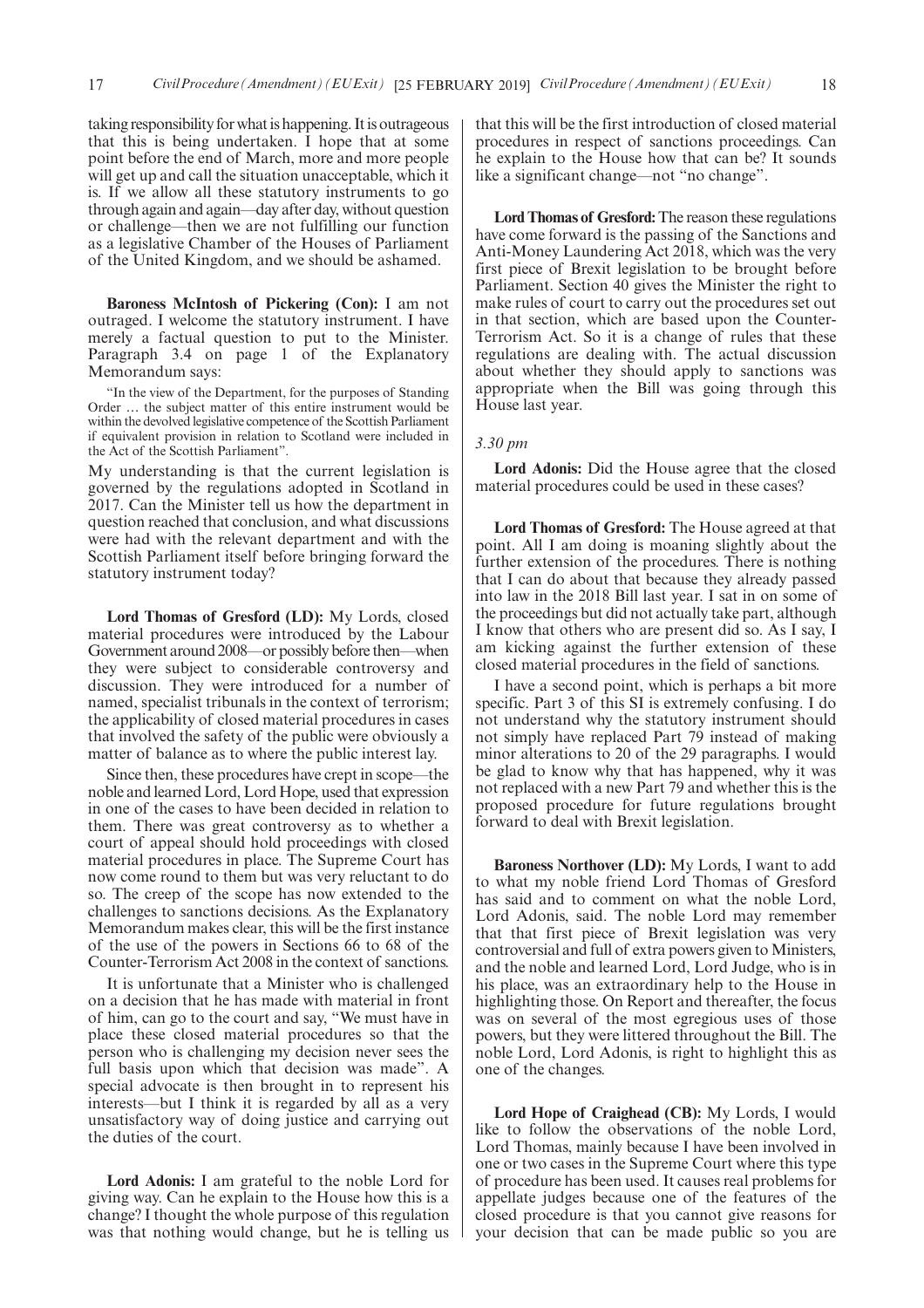taking responsibility for what is happening. It is outrageous that this is being undertaken. I hope that at some point before the end of March, more and more people will get up and call the situation unacceptable, which it is. If we allow all these statutory instruments to go through again and again—day after day, without question or challenge—then we are not fulfilling our function as a legislative Chamber of the Houses of Parliament of the United Kingdom, and we should be ashamed.

**Baroness McIntosh of Pickering (Con):** I am not outraged. I welcome the statutory instrument. I have merely a factual question to put to the Minister. Paragraph 3.4 on page 1 of the Explanatory Memorandum says:

In the view of the Department, for the purposes of Standing Order … the subject matter of this entire instrument would be within the devolved legislative competence of the Scottish Parliament if equivalent provision in relation to Scotland were included in the Act of the Scottish Parliament".

My understanding is that the current legislation is governed by the regulations adopted in Scotland in 2017. Can the Minister tell us how the department in question reached that conclusion, and what discussions were had with the relevant department and with the Scottish Parliament itself before bringing forward the statutory instrument today?

**Lord Thomas of Gresford (LD):** My Lords, closed material procedures were introduced by the Labour Government around 2008—or possibly before then—when they were subject to considerable controversy and discussion. They were introduced for a number of named, specialist tribunals in the context of terrorism; the applicability of closed material procedures in cases that involved the safety of the public were obviously a matter of balance as to where the public interest lay.

Since then, these procedures have crept in scope—the noble and learned Lord, Lord Hope, used that expression in one of the cases to have been decided in relation to them. There was great controversy as to whether a court of appeal should hold proceedings with closed material procedures in place. The Supreme Court has now come round to them but was very reluctant to do so. The creep of the scope has now extended to the challenges to sanctions decisions. As the Explanatory Memorandum makes clear, this will be the first instance of the use of the powers in Sections 66 to 68 of the Counter-Terrorism Act 2008 in the context of sanctions.

It is unfortunate that a Minister who is challenged on a decision that he has made with material in front of him, can go to the court and say, "We must have in place these closed material procedures so that the person who is challenging my decision never sees the full basis upon which that decision was made". A special advocate is then brought in to represent his interests—but I think it is regarded by all as a very unsatisfactory way of doing justice and carrying out the duties of the court.

**Lord Adonis:** I am grateful to the noble Lord for giving way. Can he explain to the House how this is a change? I thought the whole purpose of this regulation was that nothing would change, but he is telling us that this will be the first introduction of closed material procedures in respect of sanctions proceedings. Can he explain to the House how that can be? It sounds like a significant change—not "no change".

**Lord Thomas of Gresford:**The reason these regulations have come forward is the passing of the Sanctions and Anti-Money Laundering Act 2018, which was the very first piece of Brexit legislation to be brought before Parliament. Section 40 gives the Minister the right to make rules of court to carry out the procedures set out in that section, which are based upon the Counter-Terrorism Act. So it is a change of rules that these regulations are dealing with. The actual discussion about whether they should apply to sanctions was appropriate when the Bill was going through this House last year.

#### *3.30 pm*

**Lord Adonis:** Did the House agree that the closed material procedures could be used in these cases?

**Lord Thomas of Gresford:** The House agreed at that point. All I am doing is moaning slightly about the further extension of the procedures. There is nothing that I can do about that because they already passed into law in the 2018 Bill last year. I sat in on some of the proceedings but did not actually take part, although I know that others who are present did so. As I say, I am kicking against the further extension of these closed material procedures in the field of sanctions.

I have a second point, which is perhaps a bit more specific. Part 3 of this SI is extremely confusing. I do not understand why the statutory instrument should not simply have replaced Part 79 instead of making minor alterations to 20 of the 29 paragraphs. I would be glad to know why that has happened, why it was not replaced with a new Part 79 and whether this is the proposed procedure for future regulations brought forward to deal with Brexit legislation.

**Baroness Northover (LD):** My Lords, I want to add to what my noble friend Lord Thomas of Gresford has said and to comment on what the noble Lord, Lord Adonis, said. The noble Lord may remember that that first piece of Brexit legislation was very controversial and full of extra powers given to Ministers, and the noble and learned Lord, Lord Judge, who is in his place, was an extraordinary help to the House in highlighting those. On Report and thereafter, the focus was on several of the most egregious uses of those powers, but they were littered throughout the Bill. The noble Lord, Lord Adonis, is right to highlight this as one of the changes.

**Lord Hope of Craighead (CB):** My Lords, I would like to follow the observations of the noble Lord, Lord Thomas, mainly because I have been involved in one or two cases in the Supreme Court where this type of procedure has been used. It causes real problems for appellate judges because one of the features of the closed procedure is that you cannot give reasons for your decision that can be made public so you are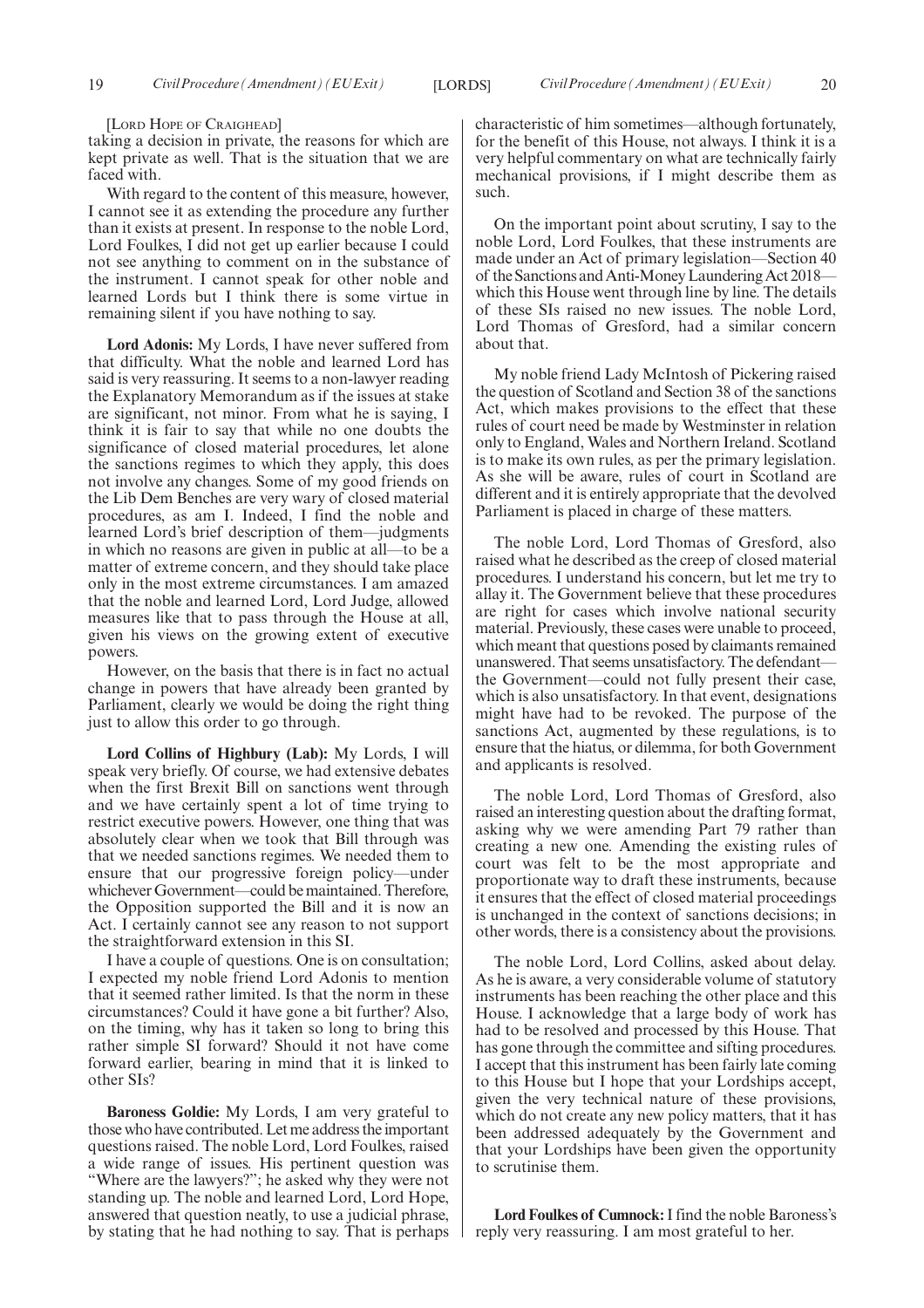[LORD HOPE OF CRAIGHEAD]

taking a decision in private, the reasons for which are kept private as well. That is the situation that we are faced with.

With regard to the content of this measure, however, I cannot see it as extending the procedure any further than it exists at present. In response to the noble Lord, Lord Foulkes, I did not get up earlier because I could not see anything to comment on in the substance of the instrument. I cannot speak for other noble and learned Lords but I think there is some virtue in remaining silent if you have nothing to say.

**Lord Adonis:** My Lords, I have never suffered from that difficulty. What the noble and learned Lord has said is very reassuring. It seems to a non-lawyer reading the Explanatory Memorandum as if the issues at stake are significant, not minor. From what he is saying, I think it is fair to say that while no one doubts the significance of closed material procedures, let alone the sanctions regimes to which they apply, this does not involve any changes. Some of my good friends on the Lib Dem Benches are very wary of closed material procedures, as am I. Indeed, I find the noble and learned Lord's brief description of them—judgments in which no reasons are given in public at all—to be a matter of extreme concern, and they should take place only in the most extreme circumstances. I am amazed that the noble and learned Lord, Lord Judge, allowed measures like that to pass through the House at all, given his views on the growing extent of executive powers.

However, on the basis that there is in fact no actual change in powers that have already been granted by Parliament, clearly we would be doing the right thing just to allow this order to go through.

**Lord Collins of Highbury (Lab):** My Lords, I will speak very briefly. Of course, we had extensive debates when the first Brexit Bill on sanctions went through and we have certainly spent a lot of time trying to restrict executive powers. However, one thing that was absolutely clear when we took that Bill through was that we needed sanctions regimes. We needed them to ensure that our progressive foreign policy—under whichever Government—could be maintained. Therefore, the Opposition supported the Bill and it is now an Act. I certainly cannot see any reason to not support the straightforward extension in this SI.

I have a couple of questions. One is on consultation; I expected my noble friend Lord Adonis to mention that it seemed rather limited. Is that the norm in these circumstances? Could it have gone a bit further? Also, on the timing, why has it taken so long to bring this rather simple SI forward? Should it not have come forward earlier, bearing in mind that it is linked to other SIs?

**Baroness Goldie:** My Lords, I am very grateful to those who have contributed. Let me address the important questions raised. The noble Lord, Lord Foulkes, raised a wide range of issues. His pertinent question was "Where are the lawyers?"; he asked why they were not standing up. The noble and learned Lord, Lord Hope, answered that question neatly, to use a judicial phrase, by stating that he had nothing to say. That is perhaps characteristic of him sometimes—although fortunately, for the benefit of this House, not always. I think it is a very helpful commentary on what are technically fairly mechanical provisions, if I might describe them as such.

On the important point about scrutiny, I say to the noble Lord, Lord Foulkes, that these instruments are made under an Act of primary legislation—Section 40 of the Sanctions and Anti-Money Laundering Act 2018 which this House went through line by line. The details of these SIs raised no new issues. The noble Lord, Lord Thomas of Gresford, had a similar concern about that.

My noble friend Lady McIntosh of Pickering raised the question of Scotland and Section 38 of the sanctions Act, which makes provisions to the effect that these rules of court need be made by Westminster in relation only to England, Wales and Northern Ireland. Scotland is to make its own rules, as per the primary legislation. As she will be aware, rules of court in Scotland are different and it is entirely appropriate that the devolved Parliament is placed in charge of these matters.

The noble Lord, Lord Thomas of Gresford, also raised what he described as the creep of closed material procedures. I understand his concern, but let me try to allay it. The Government believe that these procedures are right for cases which involve national security material. Previously, these cases were unable to proceed, which meant that questions posed by claimants remained unanswered. That seems unsatisfactory. The defendant the Government—could not fully present their case, which is also unsatisfactory. In that event, designations might have had to be revoked. The purpose of the sanctions Act, augmented by these regulations, is to ensure that the hiatus, or dilemma, for both Government and applicants is resolved.

The noble Lord, Lord Thomas of Gresford, also raised an interesting question about the drafting format, asking why we were amending Part 79 rather than creating a new one. Amending the existing rules of court was felt to be the most appropriate and proportionate way to draft these instruments, because it ensures that the effect of closed material proceedings is unchanged in the context of sanctions decisions; in other words, there is a consistency about the provisions.

The noble Lord, Lord Collins, asked about delay. As he is aware, a very considerable volume of statutory instruments has been reaching the other place and this House. I acknowledge that a large body of work has had to be resolved and processed by this House. That has gone through the committee and sifting procedures. I accept that this instrument has been fairly late coming to this House but I hope that your Lordships accept, given the very technical nature of these provisions, which do not create any new policy matters, that it has been addressed adequately by the Government and that your Lordships have been given the opportunity to scrutinise them.

**Lord Foulkes of Cumnock:**I find the noble Baroness's reply very reassuring. I am most grateful to her.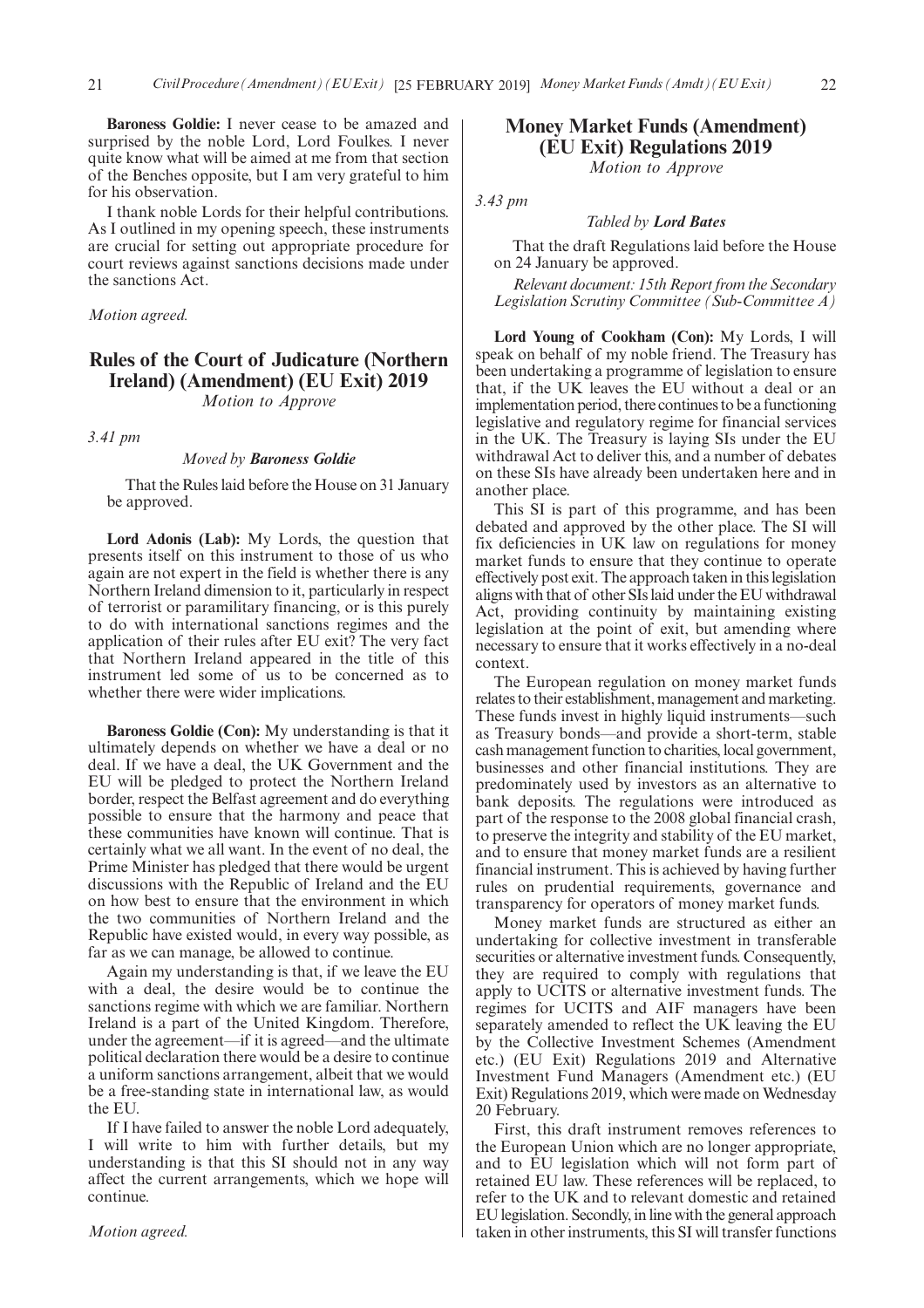**Baroness Goldie:** I never cease to be amazed and surprised by the noble Lord, Lord Foulkes. I never quite know what will be aimed at me from that section of the Benches opposite, but I am very grateful to him for his observation.

I thank noble Lords for their helpful contributions. As I outlined in my opening speech, these instruments are crucial for setting out appropriate procedure for court reviews against sanctions decisions made under the sanctions Act.

*Motion agreed.*

## **Rules of the Court of Judicature (Northern Ireland) (Amendment) (EU Exit) 2019**

*Motion to Approve*

*3.41 pm*

#### *Moved by Baroness Goldie*

That the Rules laid before the House on 31 January be approved.

**Lord Adonis (Lab):** My Lords, the question that presents itself on this instrument to those of us who again are not expert in the field is whether there is any Northern Ireland dimension to it, particularly in respect of terrorist or paramilitary financing, or is this purely to do with international sanctions regimes and the application of their rules after EU exit? The very fact that Northern Ireland appeared in the title of this instrument led some of us to be concerned as to whether there were wider implications.

**Baroness Goldie (Con):** My understanding is that it ultimately depends on whether we have a deal or no deal. If we have a deal, the UK Government and the EU will be pledged to protect the Northern Ireland border, respect the Belfast agreement and do everything possible to ensure that the harmony and peace that these communities have known will continue. That is certainly what we all want. In the event of no deal, the Prime Minister has pledged that there would be urgent discussions with the Republic of Ireland and the EU on how best to ensure that the environment in which the two communities of Northern Ireland and the Republic have existed would, in every way possible, as far as we can manage, be allowed to continue.

Again my understanding is that, if we leave the EU with a deal, the desire would be to continue the sanctions regime with which we are familiar. Northern Ireland is a part of the United Kingdom. Therefore, under the agreement—if it is agreed—and the ultimate political declaration there would be a desire to continue a uniform sanctions arrangement, albeit that we would be a free-standing state in international law, as would the EU.

If I have failed to answer the noble Lord adequately, I will write to him with further details, but my understanding is that this SI should not in any way affect the current arrangements, which we hope will continue.

## **Money Market Funds (Amendment) (EU Exit) Regulations 2019**

*Motion to Approve*

*3.43 pm*

#### *Tabled by Lord Bates*

That the draft Regulations laid before the House on 24 January be approved.

*Relevant document: 15th Report from the Secondary Legislation Scrutiny Committee (Sub-Committee A)*

**Lord Young of Cookham (Con):** My Lords, I will speak on behalf of my noble friend. The Treasury has been undertaking a programme of legislation to ensure that, if the UK leaves the EU without a deal or an implementation period, there continues to be a functioning legislative and regulatory regime for financial services in the UK. The Treasury is laying SIs under the EU withdrawal Act to deliver this, and a number of debates on these SIs have already been undertaken here and in another place.

This SI is part of this programme, and has been debated and approved by the other place. The SI will fix deficiencies in UK law on regulations for money market funds to ensure that they continue to operate effectively post exit. The approach taken in this legislation aligns with that of other SIs laid under the EU withdrawal Act, providing continuity by maintaining existing legislation at the point of exit, but amending where necessary to ensure that it works effectively in a no-deal context.

The European regulation on money market funds relates to their establishment, management and marketing. These funds invest in highly liquid instruments—such as Treasury bonds—and provide a short-term, stable cash management function to charities, local government, businesses and other financial institutions. They are predominately used by investors as an alternative to bank deposits. The regulations were introduced as part of the response to the 2008 global financial crash, to preserve the integrity and stability of the EU market, and to ensure that money market funds are a resilient financial instrument. This is achieved by having further rules on prudential requirements, governance and transparency for operators of money market funds.

Money market funds are structured as either an undertaking for collective investment in transferable securities or alternative investment funds. Consequently, they are required to comply with regulations that apply to UCITS or alternative investment funds. The regimes for UCITS and AIF managers have been separately amended to reflect the UK leaving the EU by the Collective Investment Schemes (Amendment etc.) (EU Exit) Regulations 2019 and Alternative Investment Fund Managers (Amendment etc.) (EU Exit) Regulations 2019, which were made on Wednesday 20 February.

First, this draft instrument removes references to the European Union which are no longer appropriate, and to EU legislation which will not form part of retained EU law. These references will be replaced, to refer to the UK and to relevant domestic and retained EU legislation. Secondly, in line with the general approach taken in other instruments, this SI will transfer functions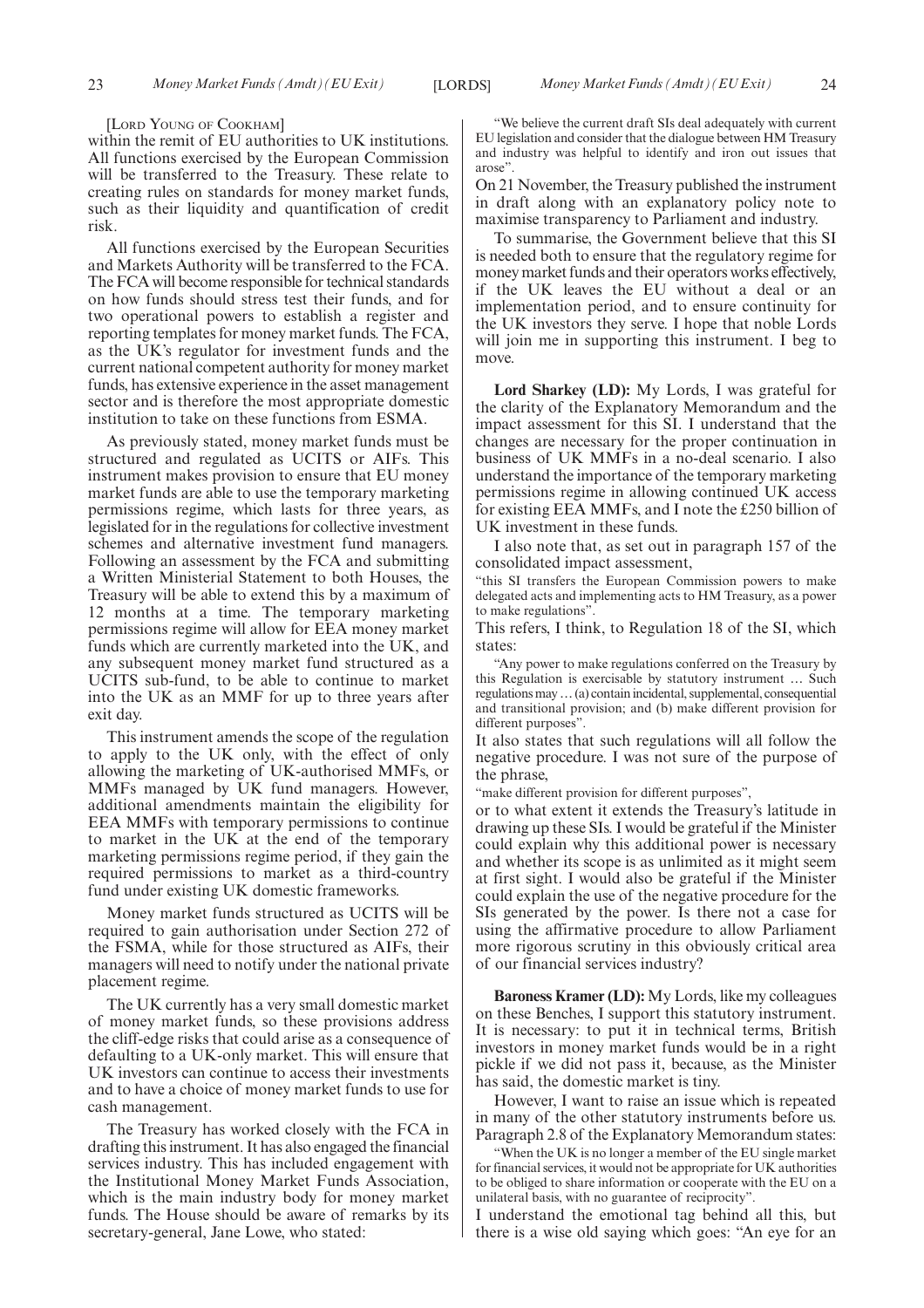#### [LORD YOUNG OF COOKHAM]

within the remit of EU authorities to UK institutions. All functions exercised by the European Commission will be transferred to the Treasury. These relate to creating rules on standards for money market funds, such as their liquidity and quantification of credit risk.

All functions exercised by the European Securities and Markets Authority will be transferred to the FCA. The FCA will become responsible for technical standards on how funds should stress test their funds, and for two operational powers to establish a register and reporting templates for money market funds. The FCA, as the UK's regulator for investment funds and the current national competent authority for money market funds, has extensive experience in the asset management sector and is therefore the most appropriate domestic institution to take on these functions from ESMA.

As previously stated, money market funds must be structured and regulated as UCITS or AIFs. This instrument makes provision to ensure that EU money market funds are able to use the temporary marketing permissions regime, which lasts for three years, as legislated for in the regulations for collective investment schemes and alternative investment fund managers. Following an assessment by the FCA and submitting a Written Ministerial Statement to both Houses, the Treasury will be able to extend this by a maximum of 12 months at a time. The temporary marketing permissions regime will allow for EEA money market funds which are currently marketed into the UK, and any subsequent money market fund structured as a UCITS sub-fund, to be able to continue to market into the UK as an MMF for up to three years after exit day.

This instrument amends the scope of the regulation to apply to the UK only, with the effect of only allowing the marketing of UK-authorised MMFs, or MMFs managed by UK fund managers. However, additional amendments maintain the eligibility for EEA MMFs with temporary permissions to continue to market in the UK at the end of the temporary marketing permissions regime period, if they gain the required permissions to market as a third-country fund under existing UK domestic frameworks.

Money market funds structured as UCITS will be required to gain authorisation under Section 272 of the FSMA, while for those structured as AIFs, their managers will need to notify under the national private placement regime.

The UK currently has a very small domestic market of money market funds, so these provisions address the cliff-edge risks that could arise as a consequence of defaulting to a UK-only market. This will ensure that UK investors can continue to access their investments and to have a choice of money market funds to use for cash management.

The Treasury has worked closely with the FCA in drafting this instrument. It has also engaged the financial services industry. This has included engagement with the Institutional Money Market Funds Association, which is the main industry body for money market funds. The House should be aware of remarks by its secretary-general, Jane Lowe, who stated:

"We believe the current draft SIs deal adequately with current EU legislation and consider that the dialogue between HM Treasury and industry was helpful to identify and iron out issues that arose".

On 21 November, the Treasury published the instrument in draft along with an explanatory policy note to maximise transparency to Parliament and industry.

To summarise, the Government believe that this SI is needed both to ensure that the regulatory regime for money market funds and their operators works effectively, if the UK leaves the EU without a deal or an implementation period, and to ensure continuity for the UK investors they serve. I hope that noble Lords will join me in supporting this instrument. I beg to move.

**Lord Sharkey (LD):** My Lords, I was grateful for the clarity of the Explanatory Memorandum and the impact assessment for this SI. I understand that the changes are necessary for the proper continuation in business of UK MMFs in a no-deal scenario. I also understand the importance of the temporary marketing permissions regime in allowing continued UK access for existing EEA MMFs, and I note the £250 billion of UK investment in these funds.

I also note that, as set out in paragraph 157 of the consolidated impact assessment,

"this SI transfers the European Commission powers to make delegated acts and implementing acts to HM Treasury, as a power to make regulations".

This refers, I think, to Regulation 18 of the SI, which states:

"Any power to make regulations conferred on the Treasury by this Regulation is exercisable by statutory instrument … Such regulations may…(a) contain incidental, supplemental, consequential and transitional provision; and (b) make different provision for different purposes".

It also states that such regulations will all follow the negative procedure. I was not sure of the purpose of the phrase,

"make different provision for different purposes",

or to what extent it extends the Treasury's latitude in drawing up these SIs. I would be grateful if the Minister could explain why this additional power is necessary and whether its scope is as unlimited as it might seem at first sight. I would also be grateful if the Minister could explain the use of the negative procedure for the SIs generated by the power. Is there not a case for using the affirmative procedure to allow Parliament more rigorous scrutiny in this obviously critical area of our financial services industry?

**Baroness Kramer (LD):** My Lords, like my colleagues on these Benches, I support this statutory instrument. It is necessary: to put it in technical terms, British investors in money market funds would be in a right pickle if we did not pass it, because, as the Minister has said, the domestic market is tiny.

However, I want to raise an issue which is repeated in many of the other statutory instruments before us. Paragraph 2.8 of the Explanatory Memorandum states:

"When the UK is no longer a member of the EU single market for financial services, it would not be appropriate for UK authorities to be obliged to share information or cooperate with the EU on a unilateral basis, with no guarantee of reciprocity".

I understand the emotional tag behind all this, but there is a wise old saying which goes: "An eye for an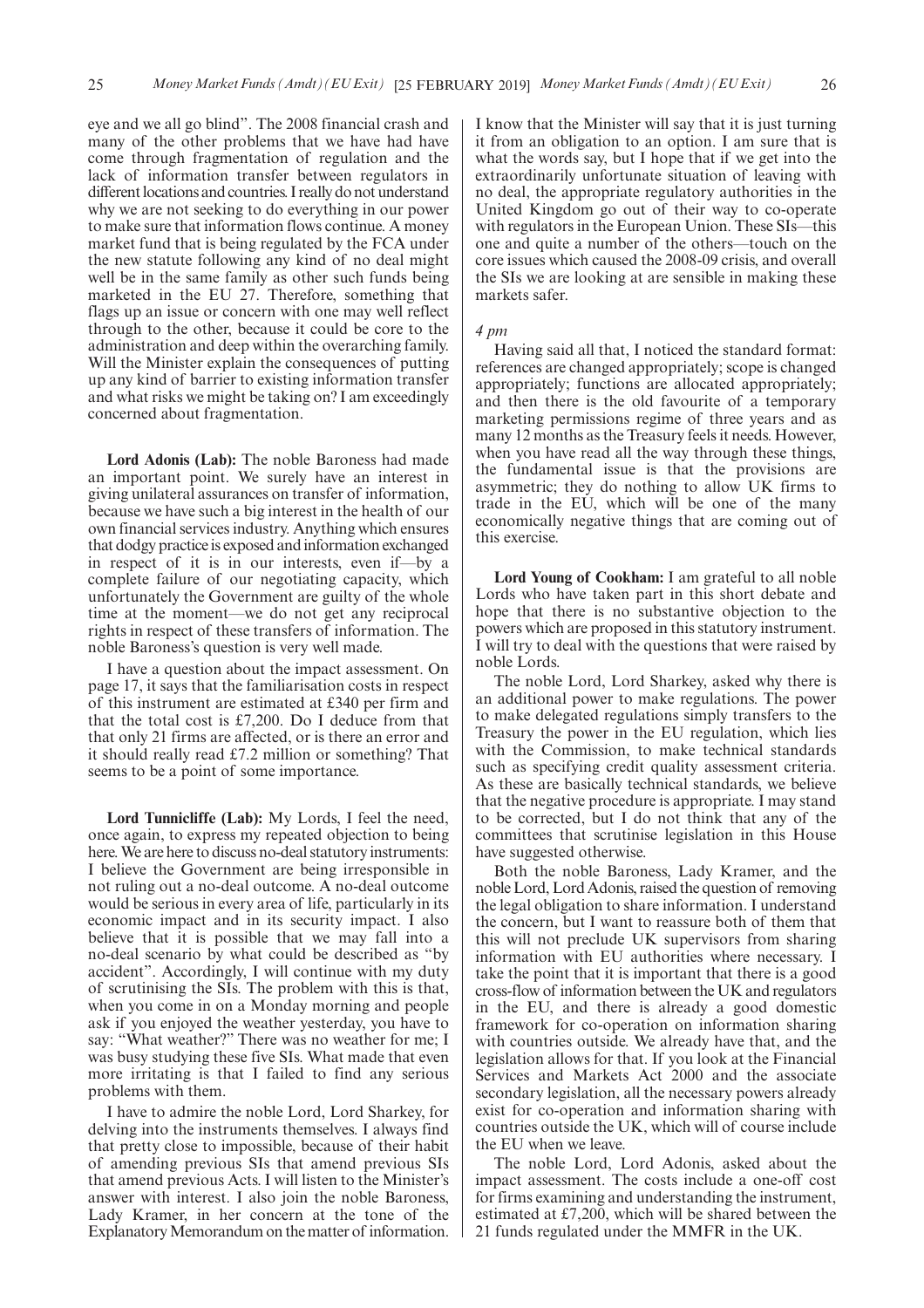eye and we all go blind". The 2008 financial crash and many of the other problems that we have had have come through fragmentation of regulation and the lack of information transfer between regulators in different locations and countries. I really do not understand why we are not seeking to do everything in our power to make sure that information flows continue. A money market fund that is being regulated by the FCA under the new statute following any kind of no deal might well be in the same family as other such funds being marketed in the EU 27. Therefore, something that flags up an issue or concern with one may well reflect through to the other, because it could be core to the administration and deep within the overarching family. Will the Minister explain the consequences of putting up any kind of barrier to existing information transfer and what risks we might be taking on? I am exceedingly concerned about fragmentation.

**Lord Adonis (Lab):** The noble Baroness had made an important point. We surely have an interest in giving unilateral assurances on transfer of information, because we have such a big interest in the health of our own financial services industry. Anything which ensures that dodgy practice is exposed and information exchanged in respect of it is in our interests, even if—by a complete failure of our negotiating capacity, which unfortunately the Government are guilty of the whole time at the moment—we do not get any reciprocal rights in respect of these transfers of information. The noble Baroness's question is very well made.

I have a question about the impact assessment. On page 17, it says that the familiarisation costs in respect of this instrument are estimated at £340 per firm and that the total cost is £7,200. Do I deduce from that that only 21 firms are affected, or is there an error and it should really read £7.2 million or something? That seems to be a point of some importance.

**Lord Tunnicliffe (Lab):** My Lords, I feel the need, once again, to express my repeated objection to being here. We are here to discuss no-deal statutory instruments: I believe the Government are being irresponsible in not ruling out a no-deal outcome. A no-deal outcome would be serious in every area of life, particularly in its economic impact and in its security impact. I also believe that it is possible that we may fall into a no-deal scenario by what could be described as "by accident". Accordingly, I will continue with my duty of scrutinising the SIs. The problem with this is that, when you come in on a Monday morning and people ask if you enjoyed the weather yesterday, you have to say: "What weather?" There was no weather for me; I was busy studying these five SIs. What made that even more irritating is that I failed to find any serious problems with them.

I have to admire the noble Lord, Lord Sharkey, for delving into the instruments themselves. I always find that pretty close to impossible, because of their habit of amending previous SIs that amend previous SIs that amend previous Acts. I will listen to the Minister's answer with interest. I also join the noble Baroness, Lady Kramer, in her concern at the tone of the Explanatory Memorandum on the matter of information. I know that the Minister will say that it is just turning it from an obligation to an option. I am sure that is what the words say, but I hope that if we get into the extraordinarily unfortunate situation of leaving with no deal, the appropriate regulatory authorities in the United Kingdom go out of their way to co-operate with regulators in the European Union. These SIs—this one and quite a number of the others—touch on the core issues which caused the 2008-09 crisis, and overall the SIs we are looking at are sensible in making these markets safer.

#### *4 pm*

Having said all that, I noticed the standard format: references are changed appropriately; scope is changed appropriately; functions are allocated appropriately; and then there is the old favourite of a temporary marketing permissions regime of three years and as many 12 months as the Treasury feels it needs. However, when you have read all the way through these things, the fundamental issue is that the provisions are asymmetric; they do nothing to allow UK firms to trade in the EU, which will be one of the many economically negative things that are coming out of this exercise.

**Lord Young of Cookham:** I am grateful to all noble Lords who have taken part in this short debate and hope that there is no substantive objection to the powers which are proposed in this statutory instrument. I will try to deal with the questions that were raised by noble Lords.

The noble Lord, Lord Sharkey, asked why there is an additional power to make regulations. The power to make delegated regulations simply transfers to the Treasury the power in the EU regulation, which lies with the Commission, to make technical standards such as specifying credit quality assessment criteria. As these are basically technical standards, we believe that the negative procedure is appropriate. I may stand to be corrected, but I do not think that any of the committees that scrutinise legislation in this House have suggested otherwise.

Both the noble Baroness, Lady Kramer, and the noble Lord, Lord Adonis, raised the question of removing the legal obligation to share information. I understand the concern, but I want to reassure both of them that this will not preclude UK supervisors from sharing information with EU authorities where necessary. I take the point that it is important that there is a good cross-flow of information between the UK and regulators in the EU, and there is already a good domestic framework for co-operation on information sharing with countries outside. We already have that, and the legislation allows for that. If you look at the Financial Services and Markets Act 2000 and the associate secondary legislation, all the necessary powers already exist for co-operation and information sharing with countries outside the UK, which will of course include the EU when we leave.

The noble Lord, Lord Adonis, asked about the impact assessment. The costs include a one-off cost for firms examining and understanding the instrument, estimated at £7,200, which will be shared between the 21 funds regulated under the MMFR in the UK.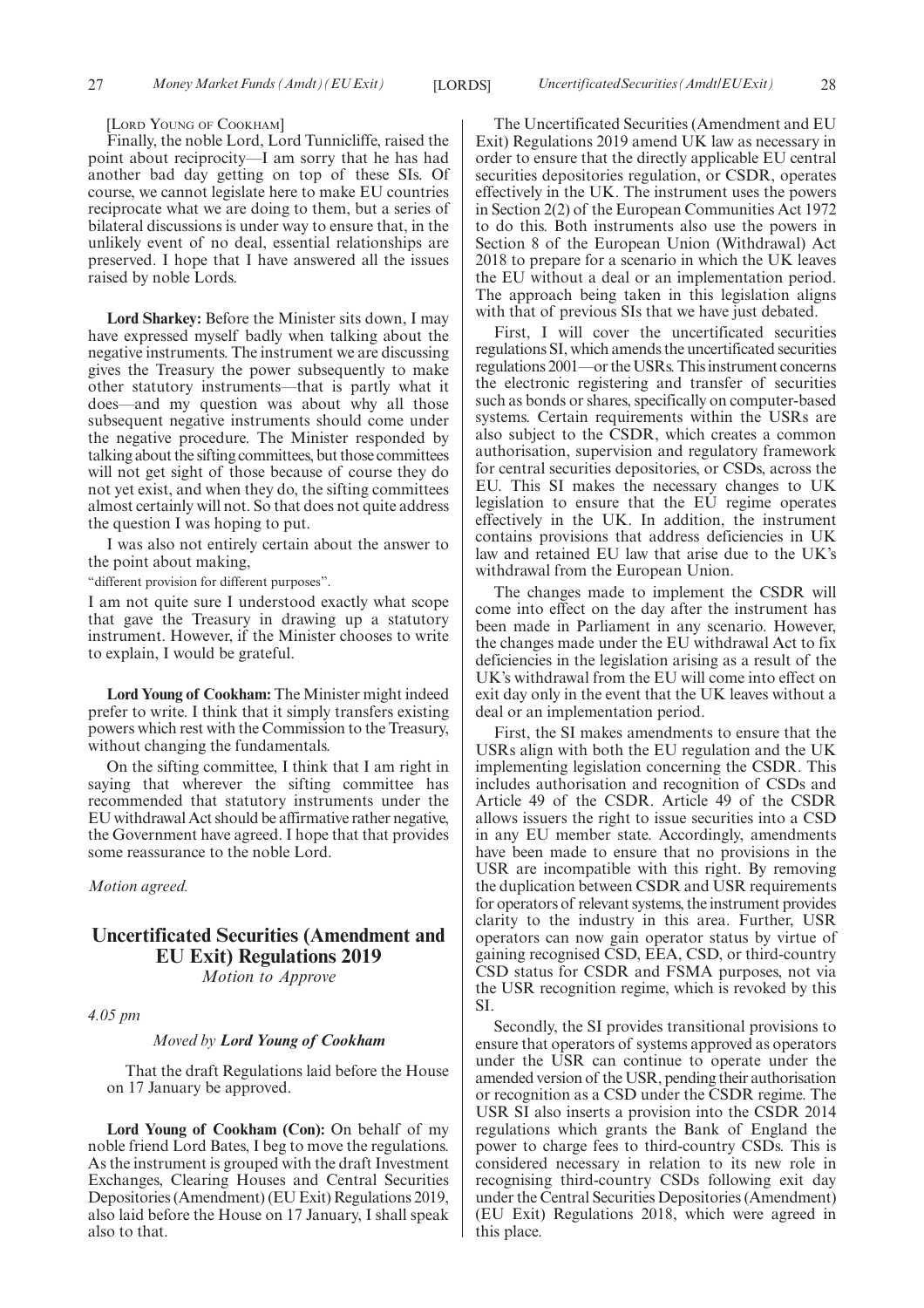[LORD YOUNG OF COOKHAM]

Finally, the noble Lord, Lord Tunnicliffe, raised the point about reciprocity—I am sorry that he has had another bad day getting on top of these SIs. Of course, we cannot legislate here to make EU countries reciprocate what we are doing to them, but a series of bilateral discussions is under way to ensure that, in the unlikely event of no deal, essential relationships are preserved. I hope that I have answered all the issues raised by noble Lords.

**Lord Sharkey:** Before the Minister sits down, I may have expressed myself badly when talking about the negative instruments. The instrument we are discussing gives the Treasury the power subsequently to make other statutory instruments—that is partly what it does—and my question was about why all those subsequent negative instruments should come under the negative procedure. The Minister responded by talking about the sifting committees, but those committees will not get sight of those because of course they do not yet exist, and when they do, the sifting committees almost certainly will not. So that does not quite address the question I was hoping to put.

I was also not entirely certain about the answer to the point about making,

"different provision for different purposes".

I am not quite sure I understood exactly what scope that gave the Treasury in drawing up a statutory instrument. However, if the Minister chooses to write to explain, I would be grateful.

**Lord Young of Cookham:** The Minister might indeed prefer to write. I think that it simply transfers existing powers which rest with the Commission to the Treasury, without changing the fundamentals.

On the sifting committee, I think that I am right in saying that wherever the sifting committee has recommended that statutory instruments under the EU withdrawal Act should be affirmative rather negative, the Government have agreed. I hope that that provides some reassurance to the noble Lord.

*Motion agreed.*

## **Uncertificated Securities (Amendment and EU Exit) Regulations 2019**

*Motion to Approve*

*4.05 pm*

#### *Moved by Lord Young of Cookham*

That the draft Regulations laid before the House on 17 January be approved.

**Lord Young of Cookham (Con):** On behalf of my noble friend Lord Bates, I beg to move the regulations. As the instrument is grouped with the draft Investment Exchanges, Clearing Houses and Central Securities Depositories (Amendment) (EU Exit) Regulations 2019, also laid before the House on 17 January, I shall speak also to that.

The Uncertificated Securities (Amendment and EU Exit) Regulations 2019 amend UK law as necessary in order to ensure that the directly applicable EU central securities depositories regulation, or CSDR, operates effectively in the UK. The instrument uses the powers in Section 2(2) of the European Communities Act 1972 to do this. Both instruments also use the powers in Section 8 of the European Union (Withdrawal) Act 2018 to prepare for a scenario in which the UK leaves the EU without a deal or an implementation period. The approach being taken in this legislation aligns with that of previous SIs that we have just debated.

First, I will cover the uncertificated securities regulations SI, which amends the uncertificated securities regulations 2001—or the USRs. This instrument concerns the electronic registering and transfer of securities such as bonds or shares, specifically on computer-based systems. Certain requirements within the USRs are also subject to the CSDR, which creates a common authorisation, supervision and regulatory framework for central securities depositories, or CSDs, across the EU. This SI makes the necessary changes to UK legislation to ensure that the EU regime operates effectively in the UK. In addition, the instrument contains provisions that address deficiencies in UK law and retained EU law that arise due to the UK's withdrawal from the European Union.

The changes made to implement the CSDR will come into effect on the day after the instrument has been made in Parliament in any scenario. However, the changes made under the EU withdrawal Act to fix deficiencies in the legislation arising as a result of the UK's withdrawal from the EU will come into effect on exit day only in the event that the UK leaves without a deal or an implementation period.

First, the SI makes amendments to ensure that the USRs align with both the EU regulation and the UK implementing legislation concerning the CSDR. This includes authorisation and recognition of CSDs and Article 49 of the CSDR. Article 49 of the CSDR allows issuers the right to issue securities into a CSD in any EU member state. Accordingly, amendments have been made to ensure that no provisions in the USR are incompatible with this right. By removing the duplication between CSDR and USR requirements for operators of relevant systems, the instrument provides clarity to the industry in this area. Further, USR operators can now gain operator status by virtue of gaining recognised CSD, EEA, CSD, or third-country CSD status for CSDR and FSMA purposes, not via the USR recognition regime, which is revoked by this SI.

Secondly, the SI provides transitional provisions to ensure that operators of systems approved as operators under the USR can continue to operate under the amended version of the USR, pending their authorisation or recognition as a CSD under the CSDR regime. The USR SI also inserts a provision into the CSDR 2014 regulations which grants the Bank of England the power to charge fees to third-country CSDs. This is considered necessary in relation to its new role in recognising third-country CSDs following exit day under the Central Securities Depositories (Amendment) (EU Exit) Regulations 2018, which were agreed in this place.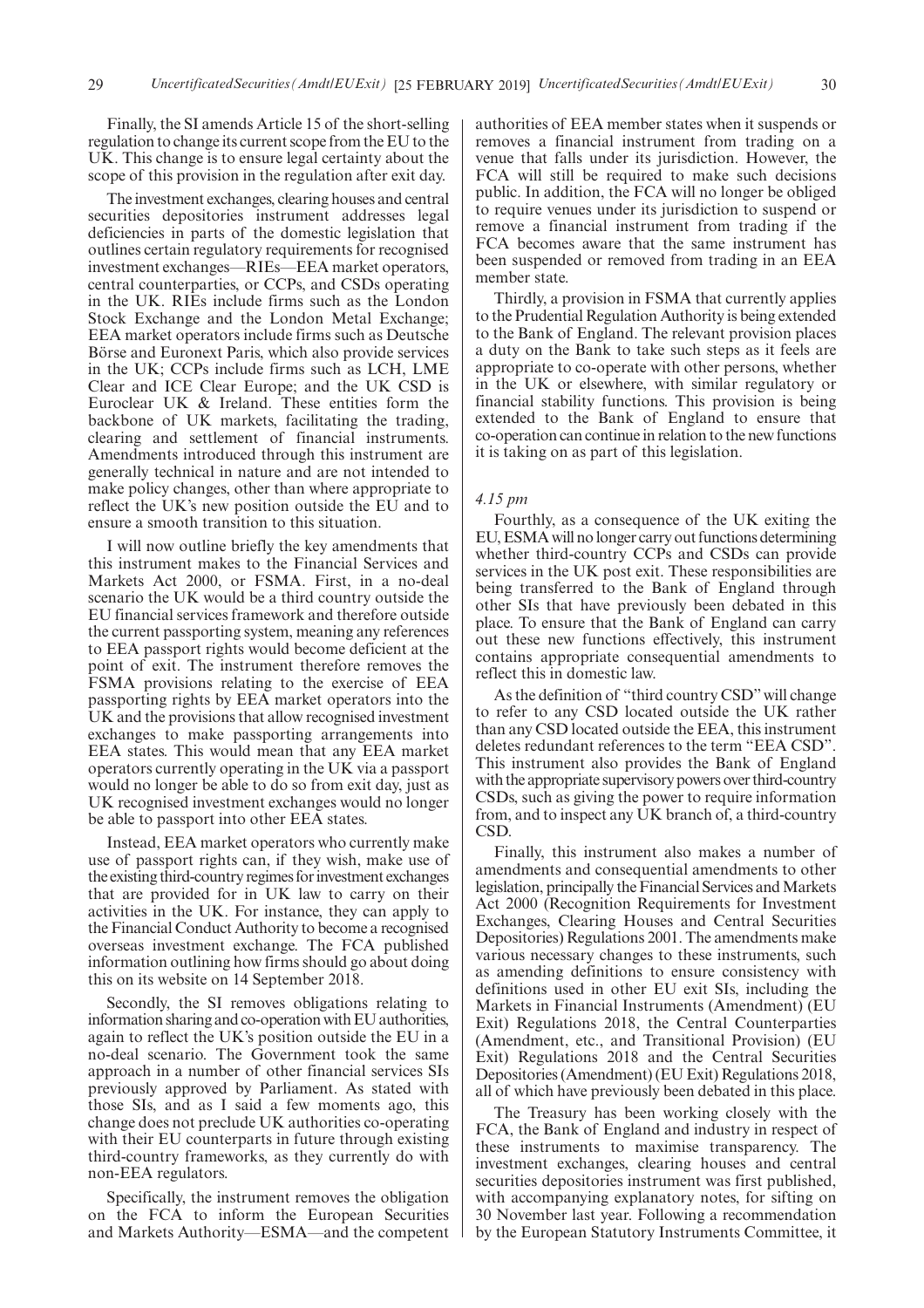Finally, the SI amends Article 15 of the short-selling regulation to change its current scope from the EU to the UK. This change is to ensure legal certainty about the scope of this provision in the regulation after exit day.

The investment exchanges, clearing houses and central securities depositories instrument addresses legal deficiencies in parts of the domestic legislation that outlines certain regulatory requirements for recognised investment exchanges—RIEs—EEA market operators, central counterparties, or CCPs, and CSDs operating in the UK. RIEs include firms such as the London Stock Exchange and the London Metal Exchange; EEA market operators include firms such as Deutsche Börse and Euronext Paris, which also provide services in the UK; CCPs include firms such as LCH, LME Clear and ICE Clear Europe; and the UK CSD is Euroclear UK & Ireland. These entities form the backbone of UK markets, facilitating the trading, clearing and settlement of financial instruments. Amendments introduced through this instrument are generally technical in nature and are not intended to make policy changes, other than where appropriate to reflect the UK's new position outside the EU and to ensure a smooth transition to this situation.

I will now outline briefly the key amendments that this instrument makes to the Financial Services and Markets Act 2000, or FSMA. First, in a no-deal scenario the UK would be a third country outside the EU financial services framework and therefore outside the current passporting system, meaning any references to EEA passport rights would become deficient at the point of exit. The instrument therefore removes the FSMA provisions relating to the exercise of EEA passporting rights by EEA market operators into the UK and the provisions that allow recognised investment exchanges to make passporting arrangements into EEA states. This would mean that any EEA market operators currently operating in the UK via a passport would no longer be able to do so from exit day, just as UK recognised investment exchanges would no longer be able to passport into other EEA states.

Instead, EEA market operators who currently make use of passport rights can, if they wish, make use of the existing third-country regimes for investment exchanges that are provided for in UK law to carry on their activities in the UK. For instance, they can apply to the Financial Conduct Authority to become a recognised overseas investment exchange. The FCA published information outlining how firms should go about doing this on its website on 14 September 2018.

Secondly, the SI removes obligations relating to information sharing and co-operation with EU authorities, again to reflect the UK's position outside the EU in a no-deal scenario. The Government took the same approach in a number of other financial services SIs previously approved by Parliament. As stated with those SIs, and as I said a few moments ago, this change does not preclude UK authorities co-operating with their EU counterparts in future through existing third-country frameworks, as they currently do with non-EEA regulators.

Specifically, the instrument removes the obligation on the FCA to inform the European Securities and Markets Authority—ESMA—and the competent authorities of EEA member states when it suspends or removes a financial instrument from trading on a venue that falls under its jurisdiction. However, the FCA will still be required to make such decisions public. In addition, the FCA will no longer be obliged to require venues under its jurisdiction to suspend or remove a financial instrument from trading if the FCA becomes aware that the same instrument has been suspended or removed from trading in an EEA member state.

Thirdly, a provision in FSMA that currently applies to the Prudential Regulation Authority is being extended to the Bank of England. The relevant provision places a duty on the Bank to take such steps as it feels are appropriate to co-operate with other persons, whether in the UK or elsewhere, with similar regulatory or financial stability functions. This provision is being extended to the Bank of England to ensure that co-operation can continue in relation to the new functions it is taking on as part of this legislation.

#### *4.15 pm*

Fourthly, as a consequence of the UK exiting the EU, ESMA will no longer carry out functions determining whether third-country CCPs and CSDs can provide services in the UK post exit. These responsibilities are being transferred to the Bank of England through other SIs that have previously been debated in this place. To ensure that the Bank of England can carry out these new functions effectively, this instrument contains appropriate consequential amendments to reflect this in domestic law.

As the definition of "third country CSD"will change to refer to any CSD located outside the UK rather than any CSD located outside the EEA, this instrument deletes redundant references to the term "EEA CSD". This instrument also provides the Bank of England with the appropriate supervisory powers over third-country CSDs, such as giving the power to require information from, and to inspect any UK branch of, a third-country CSD.

Finally, this instrument also makes a number of amendments and consequential amendments to other legislation, principally the Financial Services and Markets Act 2000 (Recognition Requirements for Investment Exchanges, Clearing Houses and Central Securities Depositories) Regulations 2001. The amendments make various necessary changes to these instruments, such as amending definitions to ensure consistency with definitions used in other EU exit SIs, including the Markets in Financial Instruments (Amendment) (EU Exit) Regulations 2018, the Central Counterparties (Amendment, etc., and Transitional Provision) (EU Exit) Regulations 2018 and the Central Securities Depositories (Amendment) (EU Exit) Regulations 2018, all of which have previously been debated in this place.

The Treasury has been working closely with the FCA, the Bank of England and industry in respect of these instruments to maximise transparency. The investment exchanges, clearing houses and central securities depositories instrument was first published, with accompanying explanatory notes, for sifting on 30 November last year. Following a recommendation by the European Statutory Instruments Committee, it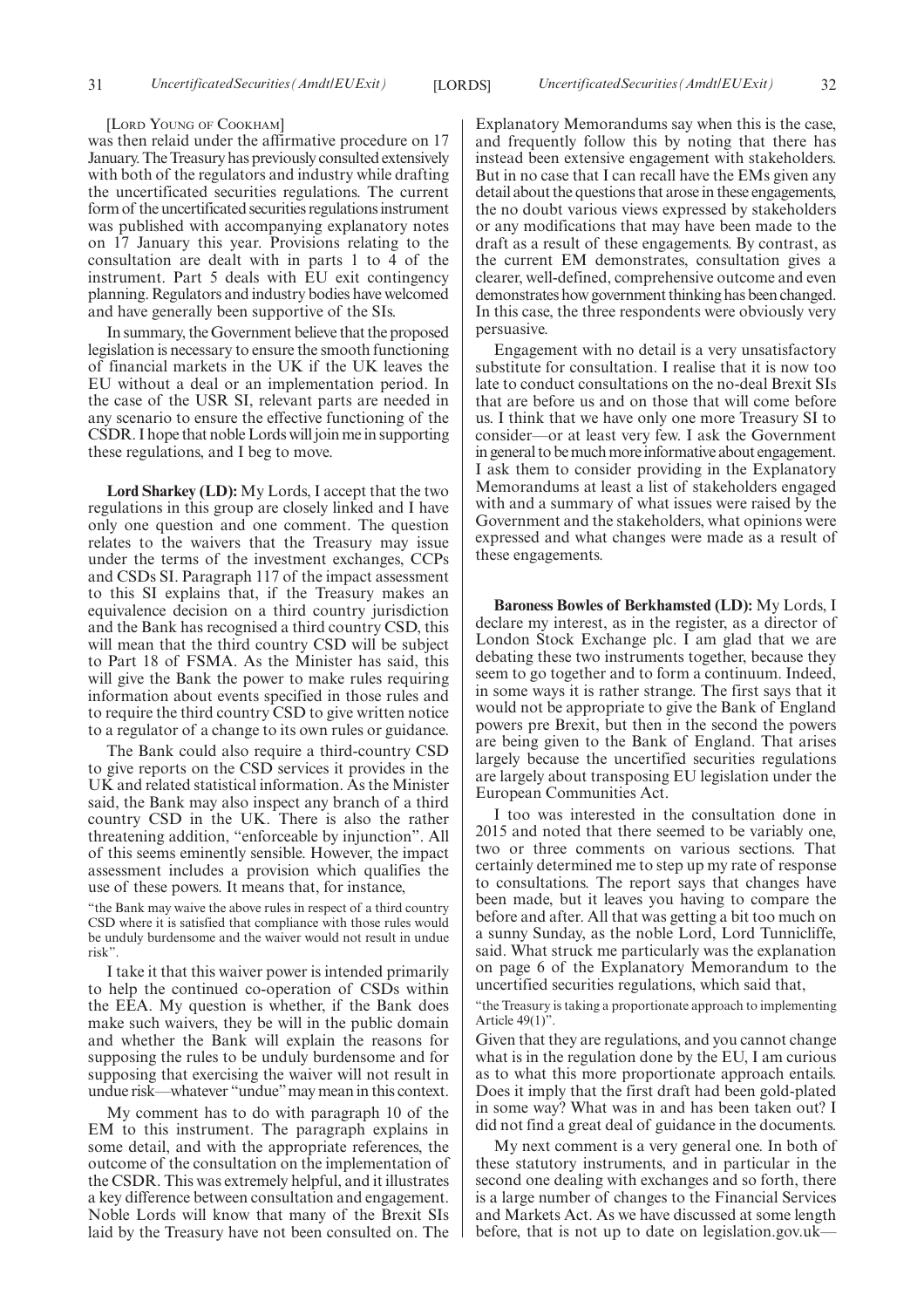#### [LORD YOUNG OF COOKHAM]

was then relaid under the affirmative procedure on 17 January. The Treasury has previously consulted extensively with both of the regulators and industry while drafting the uncertificated securities regulations. The current form of the uncertificated securities regulations instrument was published with accompanying explanatory notes on 17 January this year. Provisions relating to the consultation are dealt with in parts 1 to 4 of the instrument. Part 5 deals with EU exit contingency planning. Regulators and industry bodies have welcomed and have generally been supportive of the SIs.

In summary, the Government believe that the proposed legislation is necessary to ensure the smooth functioning of financial markets in the UK if the UK leaves the EU without a deal or an implementation period. In the case of the USR SI, relevant parts are needed in any scenario to ensure the effective functioning of the CSDR. I hope that noble Lords will join me in supporting these regulations, and I beg to move.

**Lord Sharkey (LD):** My Lords, I accept that the two regulations in this group are closely linked and I have only one question and one comment. The question relates to the waivers that the Treasury may issue under the terms of the investment exchanges, CCPs and CSDs SI. Paragraph 117 of the impact assessment to this SI explains that, if the Treasury makes an equivalence decision on a third country jurisdiction and the Bank has recognised a third country CSD, this will mean that the third country CSD will be subject to Part 18 of FSMA. As the Minister has said, this will give the Bank the power to make rules requiring information about events specified in those rules and to require the third country CSD to give written notice to a regulator of a change to its own rules or guidance.

The Bank could also require a third-country CSD to give reports on the CSD services it provides in the UK and related statistical information. As the Minister said, the Bank may also inspect any branch of a third country CSD in the UK. There is also the rather threatening addition, "enforceable by injunction". All of this seems eminently sensible. However, the impact assessment includes a provision which qualifies the use of these powers. It means that, for instance,

"the Bank may waive the above rules in respect of a third country CSD where it is satisfied that compliance with those rules would be unduly burdensome and the waiver would not result in undue risk".

I take it that this waiver power is intended primarily to help the continued co-operation of CSDs within the EEA. My question is whether, if the Bank does make such waivers, they be will in the public domain and whether the Bank will explain the reasons for supposing the rules to be unduly burdensome and for supposing that exercising the waiver will not result in undue risk—whatever "undue"may mean in this context.

My comment has to do with paragraph 10 of the EM to this instrument. The paragraph explains in some detail, and with the appropriate references, the outcome of the consultation on the implementation of the CSDR. This was extremely helpful, and it illustrates a key difference between consultation and engagement. Noble Lords will know that many of the Brexit SIs laid by the Treasury have not been consulted on. The

Explanatory Memorandums say when this is the case, and frequently follow this by noting that there has instead been extensive engagement with stakeholders. But in no case that I can recall have the EMs given any detail about the questions that arose in these engagements, the no doubt various views expressed by stakeholders or any modifications that may have been made to the draft as a result of these engagements. By contrast, as the current EM demonstrates, consultation gives a clearer, well-defined, comprehensive outcome and even demonstrates how government thinking has been changed. In this case, the three respondents were obviously very persuasive.

Engagement with no detail is a very unsatisfactory substitute for consultation. I realise that it is now too late to conduct consultations on the no-deal Brexit SIs that are before us and on those that will come before us. I think that we have only one more Treasury SI to consider—or at least very few. I ask the Government in general to be much more informative about engagement. I ask them to consider providing in the Explanatory Memorandums at least a list of stakeholders engaged with and a summary of what issues were raised by the Government and the stakeholders, what opinions were expressed and what changes were made as a result of these engagements.

**Baroness Bowles of Berkhamsted (LD):** My Lords, I declare my interest, as in the register, as a director of London Stock Exchange plc. I am glad that we are debating these two instruments together, because they seem to go together and to form a continuum. Indeed, in some ways it is rather strange. The first says that it would not be appropriate to give the Bank of England powers pre Brexit, but then in the second the powers are being given to the Bank of England. That arises largely because the uncertified securities regulations are largely about transposing EU legislation under the European Communities Act.

I too was interested in the consultation done in 2015 and noted that there seemed to be variably one, two or three comments on various sections. That certainly determined me to step up my rate of response to consultations. The report says that changes have been made, but it leaves you having to compare the before and after. All that was getting a bit too much on a sunny Sunday, as the noble Lord, Lord Tunnicliffe, said. What struck me particularly was the explanation on page 6 of the Explanatory Memorandum to the uncertified securities regulations, which said that,

"the Treasury is taking a proportionate approach to implementing Article  $49(1)$ ".

Given that they are regulations, and you cannot change what is in the regulation done by the EU, I am curious as to what this more proportionate approach entails. Does it imply that the first draft had been gold-plated in some way? What was in and has been taken out? I did not find a great deal of guidance in the documents.

My next comment is a very general one. In both of these statutory instruments, and in particular in the second one dealing with exchanges and so forth, there is a large number of changes to the Financial Services and Markets Act. As we have discussed at some length before, that is not up to date on legislation.gov.uk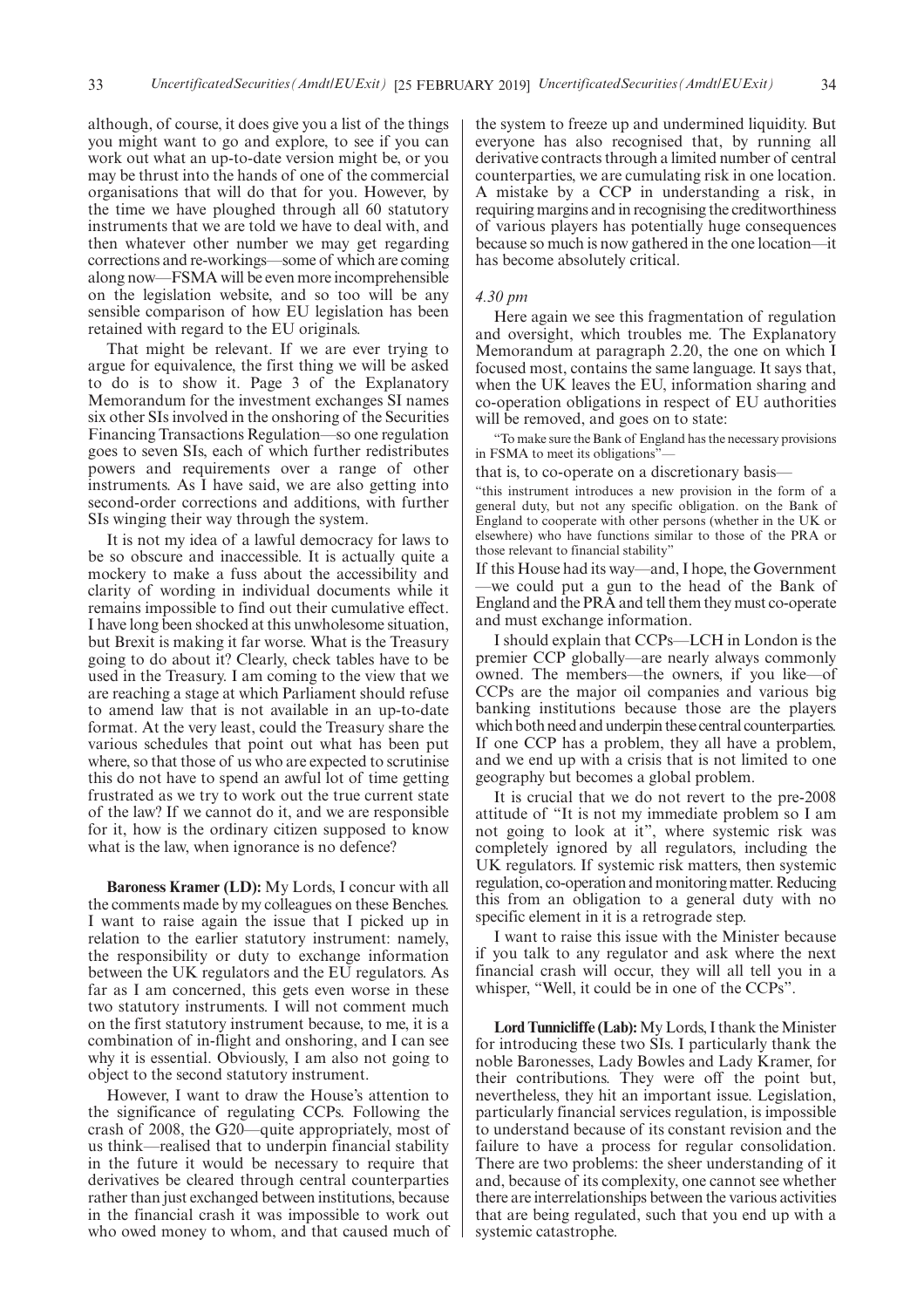although, of course, it does give you a list of the things you might want to go and explore, to see if you can work out what an up-to-date version might be, or you may be thrust into the hands of one of the commercial organisations that will do that for you. However, by the time we have ploughed through all 60 statutory instruments that we are told we have to deal with, and then whatever other number we may get regarding corrections and re-workings—some of which are coming along now—FSMA will be even more incomprehensible on the legislation website, and so too will be any sensible comparison of how EU legislation has been retained with regard to the EU originals.

That might be relevant. If we are ever trying to argue for equivalence, the first thing we will be asked to do is to show it. Page 3 of the Explanatory Memorandum for the investment exchanges SI names six other SIs involved in the onshoring of the Securities Financing Transactions Regulation—so one regulation goes to seven SIs, each of which further redistributes powers and requirements over a range of other instruments. As I have said, we are also getting into second-order corrections and additions, with further SIs winging their way through the system.

It is not my idea of a lawful democracy for laws to be so obscure and inaccessible. It is actually quite a mockery to make a fuss about the accessibility and clarity of wording in individual documents while it remains impossible to find out their cumulative effect. I have long been shocked at this unwholesome situation, but Brexit is making it far worse. What is the Treasury going to do about it? Clearly, check tables have to be used in the Treasury. I am coming to the view that we are reaching a stage at which Parliament should refuse to amend law that is not available in an up-to-date format. At the very least, could the Treasury share the various schedules that point out what has been put where, so that those of us who are expected to scrutinise this do not have to spend an awful lot of time getting frustrated as we try to work out the true current state of the law? If we cannot do it, and we are responsible for it, how is the ordinary citizen supposed to know what is the law, when ignorance is no defence?

**Baroness Kramer (LD):** My Lords, I concur with all the comments made by my colleagues on these Benches. I want to raise again the issue that I picked up in relation to the earlier statutory instrument: namely, the responsibility or duty to exchange information between the UK regulators and the EU regulators. As far as I am concerned, this gets even worse in these two statutory instruments. I will not comment much on the first statutory instrument because, to me, it is a combination of in-flight and onshoring, and I can see why it is essential. Obviously, I am also not going to object to the second statutory instrument.

However, I want to draw the House's attention to the significance of regulating CCPs. Following the crash of 2008, the G20—quite appropriately, most of us think—realised that to underpin financial stability in the future it would be necessary to require that derivatives be cleared through central counterparties rather than just exchanged between institutions, because in the financial crash it was impossible to work out who owed money to whom, and that caused much of the system to freeze up and undermined liquidity. But everyone has also recognised that, by running all derivative contracts through a limited number of central counterparties, we are cumulating risk in one location. A mistake by a CCP in understanding a risk, in requiring margins and in recognising the creditworthiness of various players has potentially huge consequences because so much is now gathered in the one location—it has become absolutely critical.

#### *4.30 pm*

Here again we see this fragmentation of regulation and oversight, which troubles me. The Explanatory Memorandum at paragraph 2.20, the one on which I focused most, contains the same language. It says that, when the UK leaves the EU, information sharing and co-operation obligations in respect of EU authorities will be removed, and goes on to state:

"To make sure the Bank of England has the necessary provisions in FSMA to meet its obligations"

that is, to co-operate on a discretionary basis—

"this instrument introduces a new provision in the form of a general duty, but not any specific obligation. on the Bank of England to cooperate with other persons (whether in the UK or elsewhere) who have functions similar to those of the PRA or those relevant to financial stability"

If this House had its way—and, I hope, the Government —we could put a gun to the head of the Bank of England and the PRA and tell them they must co-operate and must exchange information.

I should explain that CCPs—LCH in London is the premier CCP globally—are nearly always commonly owned. The members—the owners, if you like—of CCPs are the major oil companies and various big banking institutions because those are the players which both need and underpin these central counterparties. If one CCP has a problem, they all have a problem, and we end up with a crisis that is not limited to one geography but becomes a global problem.

It is crucial that we do not revert to the pre-2008 attitude of "It is not my immediate problem so I am not going to look at it", where systemic risk was completely ignored by all regulators, including the UK regulators. If systemic risk matters, then systemic regulation, co-operation and monitoring matter. Reducing this from an obligation to a general duty with no specific element in it is a retrograde step.

I want to raise this issue with the Minister because if you talk to any regulator and ask where the next financial crash will occur, they will all tell you in a whisper, "Well, it could be in one of the CCPs".

**Lord Tunnicliffe (Lab):**My Lords, I thank the Minister for introducing these two SIs. I particularly thank the noble Baronesses, Lady Bowles and Lady Kramer, for their contributions. They were off the point but, nevertheless, they hit an important issue. Legislation, particularly financial services regulation, is impossible to understand because of its constant revision and the failure to have a process for regular consolidation. There are two problems: the sheer understanding of it and, because of its complexity, one cannot see whether there are interrelationships between the various activities that are being regulated, such that you end up with a systemic catastrophe.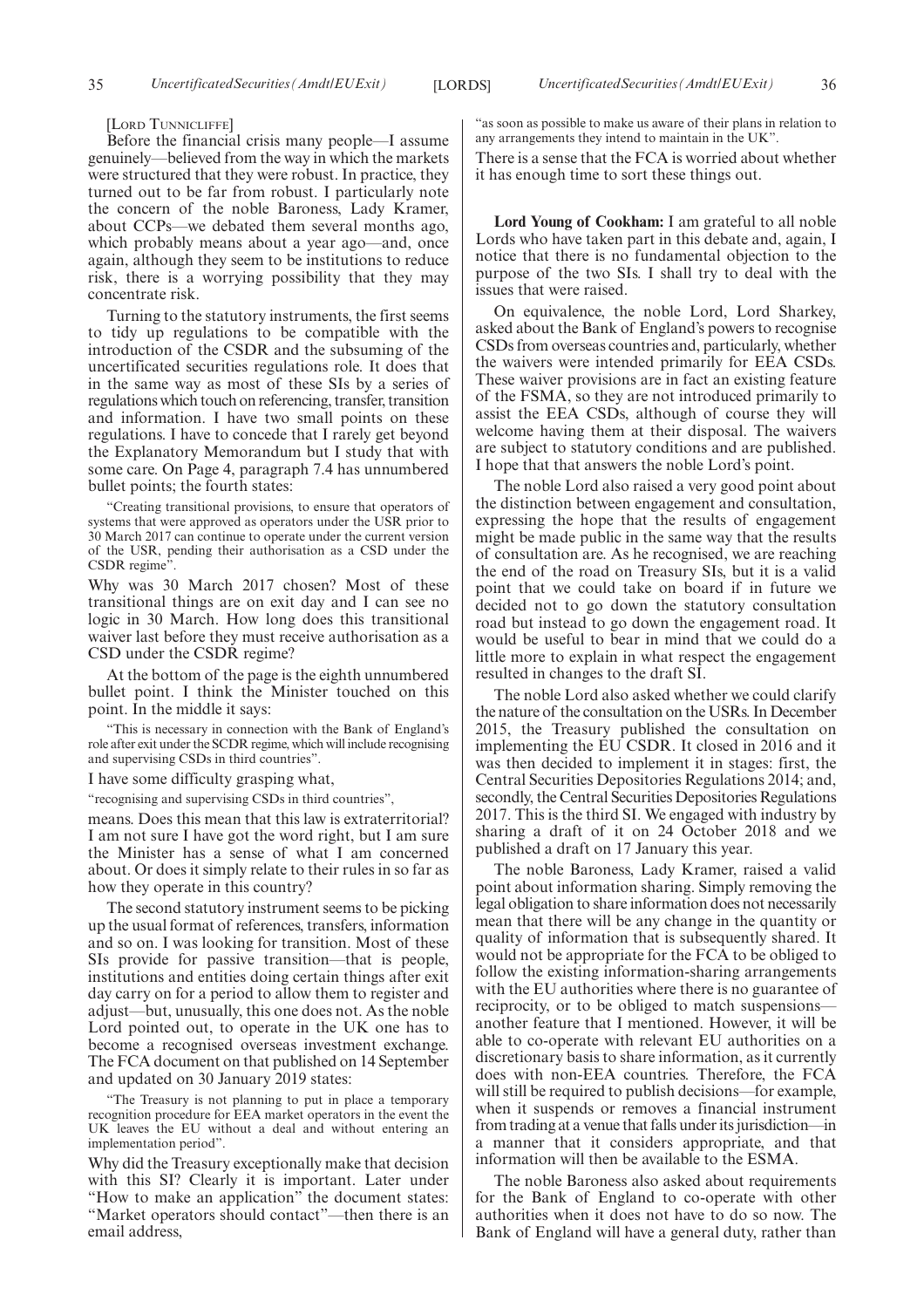[LORD TUNNICLIFFE]

Before the financial crisis many people—I assume genuinely—believed from the way in which the markets were structured that they were robust. In practice, they turned out to be far from robust. I particularly note the concern of the noble Baroness, Lady Kramer, about CCPs—we debated them several months ago, which probably means about a year ago—and, once again, although they seem to be institutions to reduce risk, there is a worrying possibility that they may concentrate risk.

Turning to the statutory instruments, the first seems to tidy up regulations to be compatible with the introduction of the CSDR and the subsuming of the uncertificated securities regulations role. It does that in the same way as most of these SIs by a series of regulations which touch on referencing, transfer, transition and information. I have two small points on these regulations. I have to concede that I rarely get beyond the Explanatory Memorandum but I study that with some care. On Page 4, paragraph 7.4 has unnumbered bullet points; the fourth states:

"Creating transitional provisions, to ensure that operators of systems that were approved as operators under the USR prior to 30 March 2017 can continue to operate under the current version of the USR, pending their authorisation as a CSD under the CSDR regime".

Why was 30 March 2017 chosen? Most of these transitional things are on exit day and I can see no logic in 30 March. How long does this transitional waiver last before they must receive authorisation as a CSD under the CSDR regime?

At the bottom of the page is the eighth unnumbered bullet point. I think the Minister touched on this point. In the middle it says:

"This is necessary in connection with the Bank of England's role after exit under the SCDR regime, which will include recognising and supervising CSDs in third countries".

I have some difficulty grasping what,

"recognising and supervising CSDs in third countries",

means. Does this mean that this law is extraterritorial? I am not sure I have got the word right, but I am sure the Minister has a sense of what I am concerned about. Or does it simply relate to their rules in so far as how they operate in this country?

The second statutory instrument seems to be picking up the usual format of references, transfers, information and so on. I was looking for transition. Most of these SIs provide for passive transition—that is people, institutions and entities doing certain things after exit day carry on for a period to allow them to register and adjust—but, unusually, this one does not. As the noble Lord pointed out, to operate in the UK one has to become a recognised overseas investment exchange. The FCA document on that published on 14 September and updated on 30 January 2019 states:

"The Treasury is not planning to put in place a temporary recognition procedure for EEA market operators in the event the UK leaves the EU without a deal and without entering an implementation period".

Why did the Treasury exceptionally make that decision with this SI? Clearly it is important. Later under "How to make an application" the document states: "Market operators should contact"—then there is an email address,

"as soon as possible to make us aware of their plans in relation to any arrangements they intend to maintain in the UK".

There is a sense that the FCA is worried about whether it has enough time to sort these things out.

**Lord Young of Cookham:** I am grateful to all noble Lords who have taken part in this debate and, again, I notice that there is no fundamental objection to the purpose of the two SIs. I shall try to deal with the issues that were raised.

On equivalence, the noble Lord, Lord Sharkey, asked about the Bank of England's powers to recognise CSDs from overseas countries and, particularly, whether the waivers were intended primarily for EEA CSDs. These waiver provisions are in fact an existing feature of the FSMA, so they are not introduced primarily to assist the EEA CSDs, although of course they will welcome having them at their disposal. The waivers are subject to statutory conditions and are published. I hope that that answers the noble Lord's point.

The noble Lord also raised a very good point about the distinction between engagement and consultation, expressing the hope that the results of engagement might be made public in the same way that the results of consultation are. As he recognised, we are reaching the end of the road on Treasury SIs, but it is a valid point that we could take on board if in future we decided not to go down the statutory consultation road but instead to go down the engagement road. It would be useful to bear in mind that we could do a little more to explain in what respect the engagement resulted in changes to the draft SI.

The noble Lord also asked whether we could clarify the nature of the consultation on the USRs. In December 2015, the Treasury published the consultation on implementing the EU CSDR. It closed in 2016 and it was then decided to implement it in stages: first, the Central Securities Depositories Regulations 2014; and, secondly, the Central Securities Depositories Regulations 2017. This is the third SI. We engaged with industry by sharing a draft of it on 24 October 2018 and we published a draft on 17 January this year.

The noble Baroness, Lady Kramer, raised a valid point about information sharing. Simply removing the legal obligation to share information does not necessarily mean that there will be any change in the quantity or quality of information that is subsequently shared. It would not be appropriate for the FCA to be obliged to follow the existing information-sharing arrangements with the EU authorities where there is no guarantee of reciprocity, or to be obliged to match suspensions another feature that I mentioned. However, it will be able to co-operate with relevant EU authorities on a discretionary basis to share information, as it currently does with non-EEA countries. Therefore, the FCA will still be required to publish decisions—for example, when it suspends or removes a financial instrument from trading at a venue that falls under its jurisdiction—in a manner that it considers appropriate, and that information will then be available to the ESMA.

The noble Baroness also asked about requirements for the Bank of England to co-operate with other authorities when it does not have to do so now. The Bank of England will have a general duty, rather than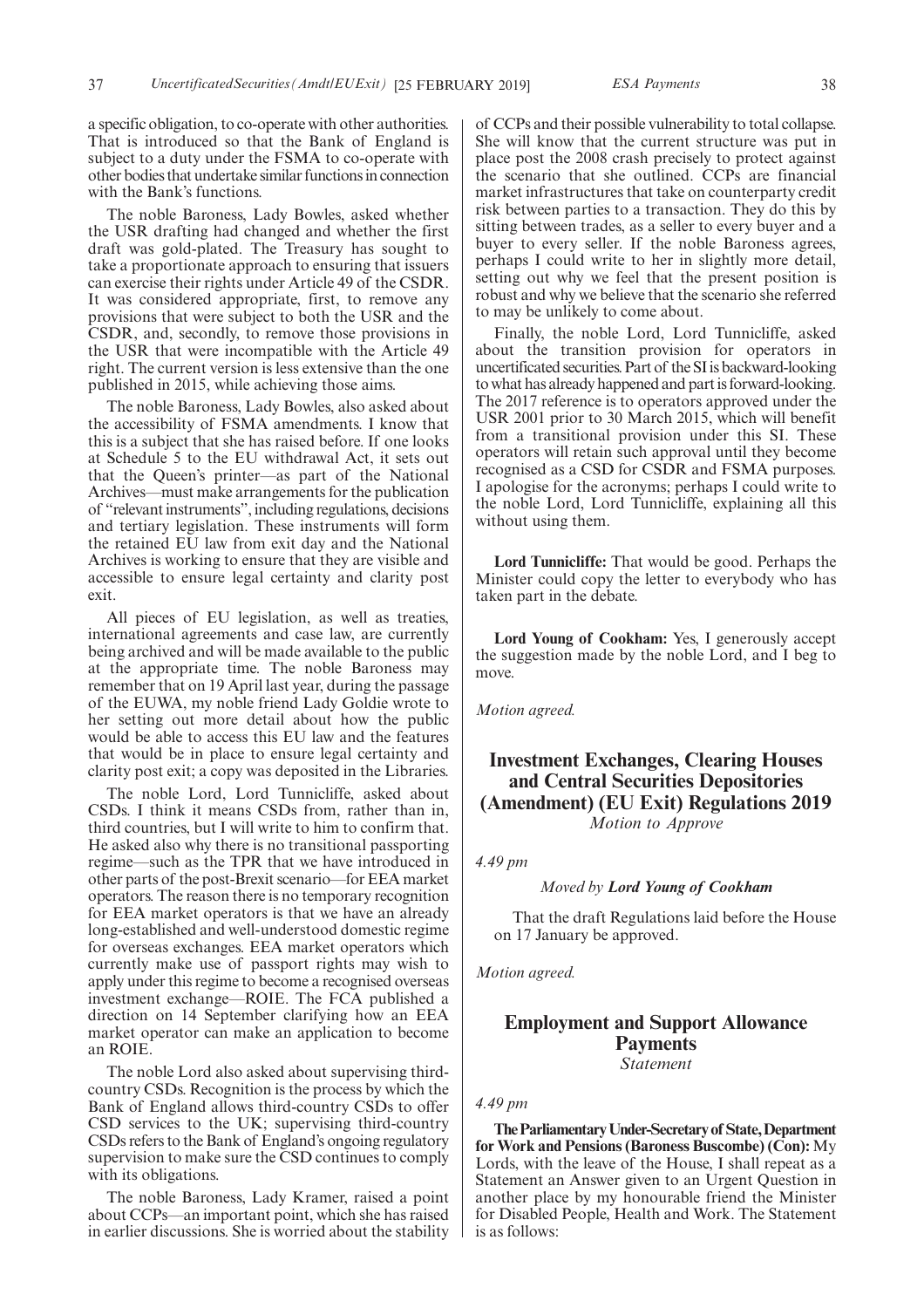a specific obligation, to co-operate with other authorities. That is introduced so that the Bank of England is subject to a duty under the FSMA to co-operate with other bodies that undertake similar functions in connection with the Bank's functions.

The noble Baroness, Lady Bowles, asked whether the USR drafting had changed and whether the first draft was gold-plated. The Treasury has sought to take a proportionate approach to ensuring that issuers can exercise their rights under Article 49 of the CSDR. It was considered appropriate, first, to remove any provisions that were subject to both the USR and the CSDR, and, secondly, to remove those provisions in the USR that were incompatible with the Article 49 right. The current version is less extensive than the one published in 2015, while achieving those aims.

The noble Baroness, Lady Bowles, also asked about the accessibility of FSMA amendments. I know that this is a subject that she has raised before. If one looks at Schedule 5 to the EU withdrawal Act, it sets out that the Queen's printer—as part of the National Archives—must make arrangements for the publication of "relevant instruments", including regulations, decisions and tertiary legislation. These instruments will form the retained EU law from exit day and the National Archives is working to ensure that they are visible and accessible to ensure legal certainty and clarity post exit.

All pieces of EU legislation, as well as treaties, international agreements and case law, are currently being archived and will be made available to the public at the appropriate time. The noble Baroness may remember that on 19 April last year, during the passage of the EUWA, my noble friend Lady Goldie wrote to her setting out more detail about how the public would be able to access this EU law and the features that would be in place to ensure legal certainty and clarity post exit; a copy was deposited in the Libraries.

The noble Lord, Lord Tunnicliffe, asked about CSDs. I think it means CSDs from, rather than in, third countries, but I will write to him to confirm that. He asked also why there is no transitional passporting regime—such as the TPR that we have introduced in other parts of the post-Brexit scenario—for EEA market operators. The reason there is no temporary recognition for EEA market operators is that we have an already long-established and well-understood domestic regime for overseas exchanges. EEA market operators which currently make use of passport rights may wish to apply under this regime to become a recognised overseas investment exchange—ROIE. The FCA published a direction on 14 September clarifying how an EEA market operator can make an application to become an ROIE.

The noble Lord also asked about supervising thirdcountry CSDs. Recognition is the process by which the Bank of England allows third-country CSDs to offer CSD services to the UK; supervising third-country CSDs refers to the Bank of England's ongoing regulatory supervision to make sure the CSD continues to comply with its obligations.

The noble Baroness, Lady Kramer, raised a point about CCPs—an important point, which she has raised in earlier discussions. She is worried about the stability of CCPs and their possible vulnerability to total collapse. She will know that the current structure was put in place post the 2008 crash precisely to protect against the scenario that she outlined. CCPs are financial market infrastructures that take on counterparty credit risk between parties to a transaction. They do this by sitting between trades, as a seller to every buyer and a buyer to every seller. If the noble Baroness agrees, perhaps I could write to her in slightly more detail, setting out why we feel that the present position is robust and why we believe that the scenario she referred to may be unlikely to come about.

Finally, the noble Lord, Lord Tunnicliffe, asked about the transition provision for operators in uncertificated securities. Part of the SI is backward-looking to what has already happened and part is forward-looking. The 2017 reference is to operators approved under the USR 2001 prior to 30 March 2015, which will benefit from a transitional provision under this SI. These operators will retain such approval until they become recognised as a CSD for CSDR and FSMA purposes. I apologise for the acronyms; perhaps I could write to the noble Lord, Lord Tunnicliffe, explaining all this without using them.

**Lord Tunnicliffe:** That would be good. Perhaps the Minister could copy the letter to everybody who has taken part in the debate.

**Lord Young of Cookham:** Yes, I generously accept the suggestion made by the noble Lord, and I beg to move.

*Motion agreed.*

## **Investment Exchanges, Clearing Houses and Central Securities Depositories (Amendment) (EU Exit) Regulations 2019** *Motion to Approve*

*4.49 pm*

*Moved by Lord Young of Cookham*

That the draft Regulations laid before the House on 17 January be approved.

*Motion agreed.*

## **Employment and Support Allowance Payments**

*Statement*

#### *4.49 pm*

**TheParliamentaryUnder-Secretaryof State,Department for Work and Pensions (Baroness Buscombe) (Con):** My Lords, with the leave of the House, I shall repeat as a Statement an Answer given to an Urgent Question in another place by my honourable friend the Minister for Disabled People, Health and Work. The Statement is as follows: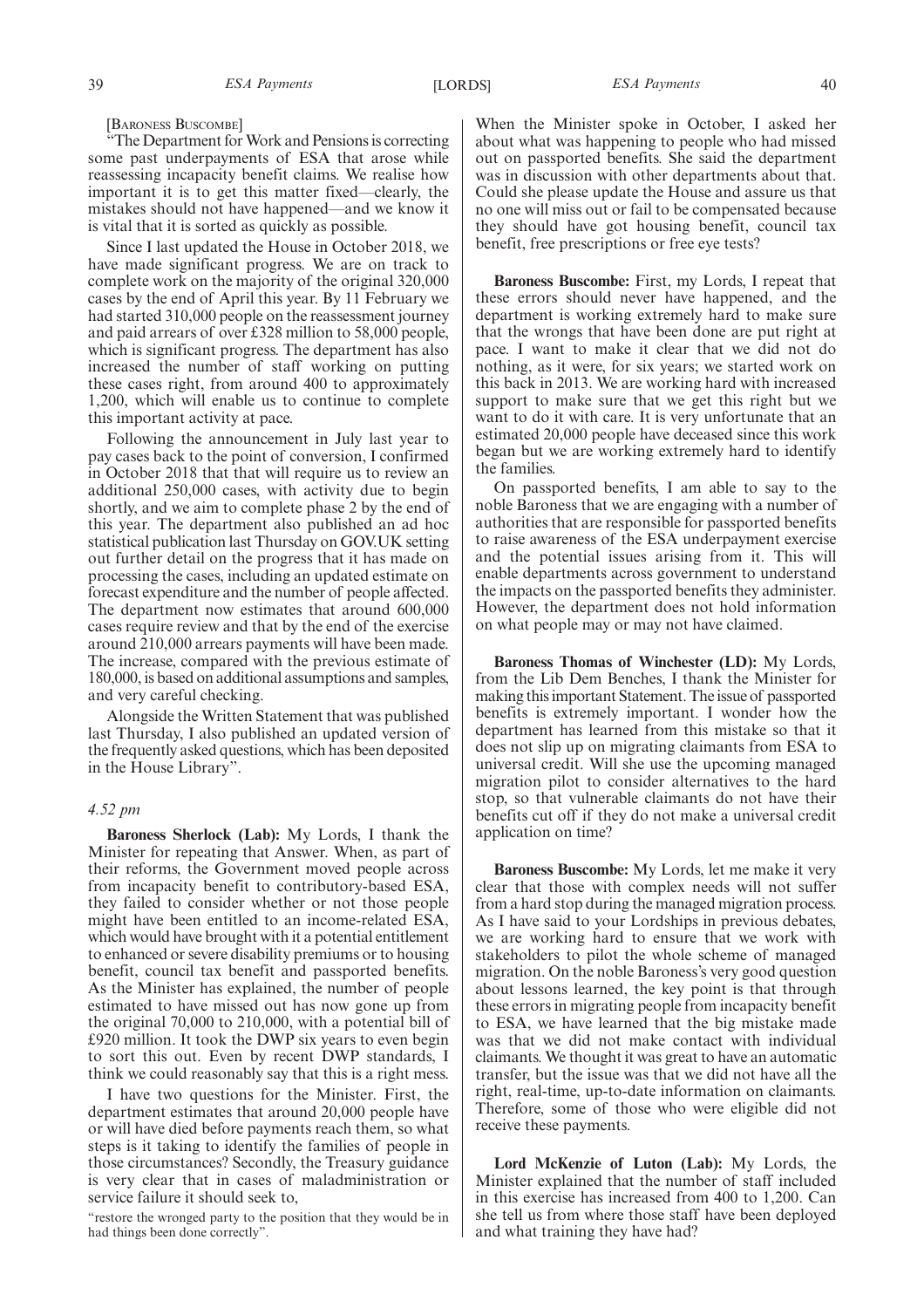[BARONESS BUSCOMBE]

"The Department for Work and Pensions is correcting some past underpayments of ESA that arose while reassessing incapacity benefit claims. We realise how important it is to get this matter fixed—clearly, the mistakes should not have happened—and we know it is vital that it is sorted as quickly as possible.

Since I last updated the House in October 2018, we have made significant progress. We are on track to complete work on the majority of the original 320,000 cases by the end of April this year. By 11 February we had started 310,000 people on the reassessment journey and paid arrears of over £328 million to 58,000 people, which is significant progress. The department has also increased the number of staff working on putting these cases right, from around 400 to approximately 1,200, which will enable us to continue to complete this important activity at pace.

Following the announcement in July last year to pay cases back to the point of conversion, I confirmed in October 2018 that that will require us to review an additional 250,000 cases, with activity due to begin shortly, and we aim to complete phase 2 by the end of this year. The department also published an ad hoc statistical publication last Thursday on GOV.UK setting out further detail on the progress that it has made on processing the cases, including an updated estimate on forecast expenditure and the number of people affected. The department now estimates that around 600,000 cases require review and that by the end of the exercise around 210,000 arrears payments will have been made. The increase, compared with the previous estimate of 180,000, is based on additional assumptions and samples, and very careful checking.

Alongside the Written Statement that was published last Thursday, I also published an updated version of the frequently asked questions, which has been deposited in the House Library".

#### *4.52 pm*

**Baroness Sherlock (Lab):** My Lords, I thank the Minister for repeating that Answer. When, as part of their reforms, the Government moved people across from incapacity benefit to contributory-based ESA, they failed to consider whether or not those people might have been entitled to an income-related ESA, which would have brought with it a potential entitlement to enhanced or severe disability premiums or to housing benefit, council tax benefit and passported benefits. As the Minister has explained, the number of people estimated to have missed out has now gone up from the original 70,000 to 210,000, with a potential bill of £920 million. It took the DWP six years to even begin to sort this out. Even by recent DWP standards, I think we could reasonably say that this is a right mess.

I have two questions for the Minister. First, the department estimates that around 20,000 people have or will have died before payments reach them, so what steps is it taking to identify the families of people in those circumstances? Secondly, the Treasury guidance is very clear that in cases of maladministration or service failure it should seek to,

"restore the wronged party to the position that they would be in had things been done correctly".

When the Minister spoke in October, I asked her about what was happening to people who had missed out on passported benefits. She said the department was in discussion with other departments about that. Could she please update the House and assure us that no one will miss out or fail to be compensated because they should have got housing benefit, council tax benefit, free prescriptions or free eye tests?

**Baroness Buscombe:** First, my Lords, I repeat that these errors should never have happened, and the department is working extremely hard to make sure that the wrongs that have been done are put right at pace. I want to make it clear that we did not do nothing, as it were, for six years; we started work on this back in 2013. We are working hard with increased support to make sure that we get this right but we want to do it with care. It is very unfortunate that an estimated 20,000 people have deceased since this work began but we are working extremely hard to identify the families.

On passported benefits, I am able to say to the noble Baroness that we are engaging with a number of authorities that are responsible for passported benefits to raise awareness of the ESA underpayment exercise and the potential issues arising from it. This will enable departments across government to understand the impacts on the passported benefits they administer. However, the department does not hold information on what people may or may not have claimed.

**Baroness Thomas of Winchester (LD):** My Lords, from the Lib Dem Benches, I thank the Minister for making this important Statement. The issue of passported benefits is extremely important. I wonder how the department has learned from this mistake so that it does not slip up on migrating claimants from ESA to universal credit. Will she use the upcoming managed migration pilot to consider alternatives to the hard stop, so that vulnerable claimants do not have their benefits cut off if they do not make a universal credit application on time?

**Baroness Buscombe:** My Lords, let me make it very clear that those with complex needs will not suffer from a hard stop during the managed migration process. As I have said to your Lordships in previous debates, we are working hard to ensure that we work with stakeholders to pilot the whole scheme of managed migration. On the noble Baroness's very good question about lessons learned, the key point is that through these errors in migrating people from incapacity benefit to ESA, we have learned that the big mistake made was that we did not make contact with individual claimants. We thought it was great to have an automatic transfer, but the issue was that we did not have all the right, real-time, up-to-date information on claimants. Therefore, some of those who were eligible did not receive these payments.

**Lord McKenzie of Luton (Lab):** My Lords, the Minister explained that the number of staff included in this exercise has increased from 400 to 1,200. Can she tell us from where those staff have been deployed and what training they have had?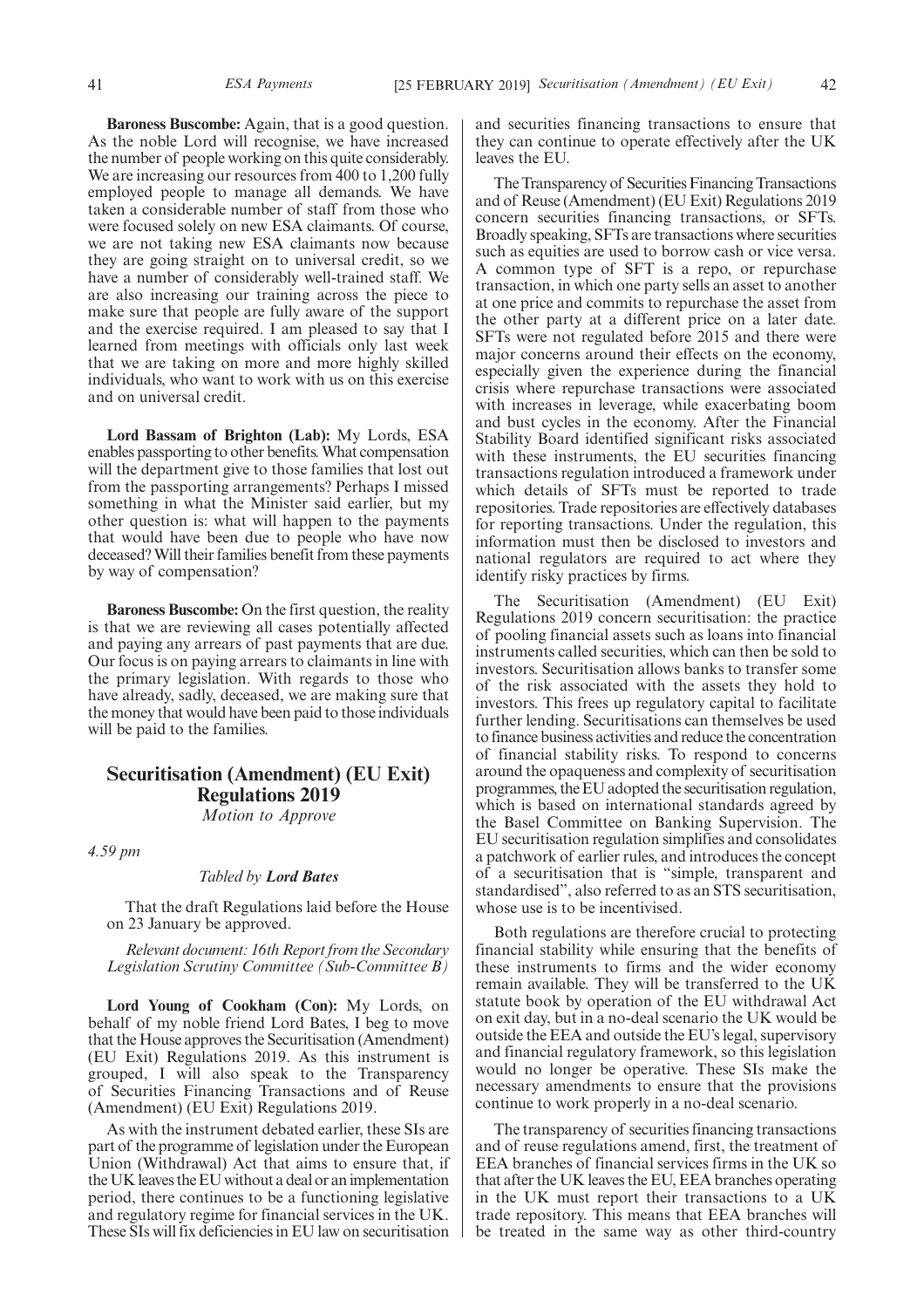**Baroness Buscombe:** Again, that is a good question. As the noble Lord will recognise, we have increased the number of people working on this quite considerably. We are increasing our resources from 400 to 1,200 fully employed people to manage all demands. We have taken a considerable number of staff from those who were focused solely on new ESA claimants. Of course, we are not taking new ESA claimants now because they are going straight on to universal credit, so we have a number of considerably well-trained staff. We are also increasing our training across the piece to make sure that people are fully aware of the support and the exercise required. I am pleased to say that I learned from meetings with officials only last week that we are taking on more and more highly skilled individuals, who want to work with us on this exercise and on universal credit.

**Lord Bassam of Brighton (Lab):** My Lords, ESA enables passporting to other benefits. What compensation will the department give to those families that lost out from the passporting arrangements? Perhaps I missed something in what the Minister said earlier, but my other question is: what will happen to the payments that would have been due to people who have now deceased? Will their families benefit from these payments by way of compensation?

**Baroness Buscombe:** On the first question, the reality is that we are reviewing all cases potentially affected and paying any arrears of past payments that are due. Our focus is on paying arrears to claimants in line with the primary legislation. With regards to those who have already, sadly, deceased, we are making sure that the money that would have been paid to those individuals will be paid to the families.

## **Securitisation (Amendment) (EU Exit) Regulations 2019**

*Motion to Approve*

*4.59 pm*

#### *Tabled by Lord Bates*

That the draft Regulations laid before the House on 23 January be approved.

*Relevant document: 16th Report from the Secondary Legislation Scrutiny Committee (Sub-Committee B)*

**Lord Young of Cookham (Con):** My Lords, on behalf of my noble friend Lord Bates, I beg to move that the House approves the Securitisation (Amendment) (EU Exit) Regulations 2019. As this instrument is grouped, I will also speak to the Transparency of Securities Financing Transactions and of Reuse (Amendment) (EU Exit) Regulations 2019.

As with the instrument debated earlier, these SIs are part of the programme of legislation under the European Union (Withdrawal) Act that aims to ensure that, if the UK leaves the EU without a deal or an implementation period, there continues to be a functioning legislative and regulatory regime for financial services in the UK. These SIs will fix deficiencies in EU law on securitisation

and securities financing transactions to ensure that they can continue to operate effectively after the UK leaves the EU.

The Transparency of Securities Financing Transactions and of Reuse (Amendment) (EU Exit) Regulations 2019 concern securities financing transactions, or SFTs. Broadly speaking, SFTs are transactions where securities such as equities are used to borrow cash or vice versa. A common type of SFT is a repo, or repurchase transaction, in which one party sells an asset to another at one price and commits to repurchase the asset from the other party at a different price on a later date. SFTs were not regulated before 2015 and there were major concerns around their effects on the economy, especially given the experience during the financial crisis where repurchase transactions were associated with increases in leverage, while exacerbating boom and bust cycles in the economy. After the Financial Stability Board identified significant risks associated with these instruments, the EU securities financing transactions regulation introduced a framework under which details of SFTs must be reported to trade repositories. Trade repositories are effectively databases for reporting transactions. Under the regulation, this information must then be disclosed to investors and national regulators are required to act where they identify risky practices by firms.

The Securitisation (Amendment) (EU Exit) Regulations 2019 concern securitisation: the practice of pooling financial assets such as loans into financial instruments called securities, which can then be sold to investors. Securitisation allows banks to transfer some of the risk associated with the assets they hold to investors. This frees up regulatory capital to facilitate further lending. Securitisations can themselves be used to finance business activities and reduce the concentration of financial stability risks. To respond to concerns around the opaqueness and complexity of securitisation programmes, the EU adopted the securitisation regulation, which is based on international standards agreed by the Basel Committee on Banking Supervision. The EU securitisation regulation simplifies and consolidates a patchwork of earlier rules, and introduces the concept of a securitisation that is "simple, transparent and standardised", also referred to as an STS securitisation, whose use is to be incentivised.

Both regulations are therefore crucial to protecting financial stability while ensuring that the benefits of these instruments to firms and the wider economy remain available. They will be transferred to the UK statute book by operation of the EU withdrawal Act on exit day, but in a no-deal scenario the UK would be outside the EEA and outside the EU's legal, supervisory and financial regulatory framework, so this legislation would no longer be operative. These SIs make the necessary amendments to ensure that the provisions continue to work properly in a no-deal scenario.

The transparency of securities financing transactions and of reuse regulations amend, first, the treatment of EEA branches of financial services firms in the UK so that after the UK leaves the EU, EEA branches operating in the UK must report their transactions to a UK trade repository. This means that EEA branches will be treated in the same way as other third-country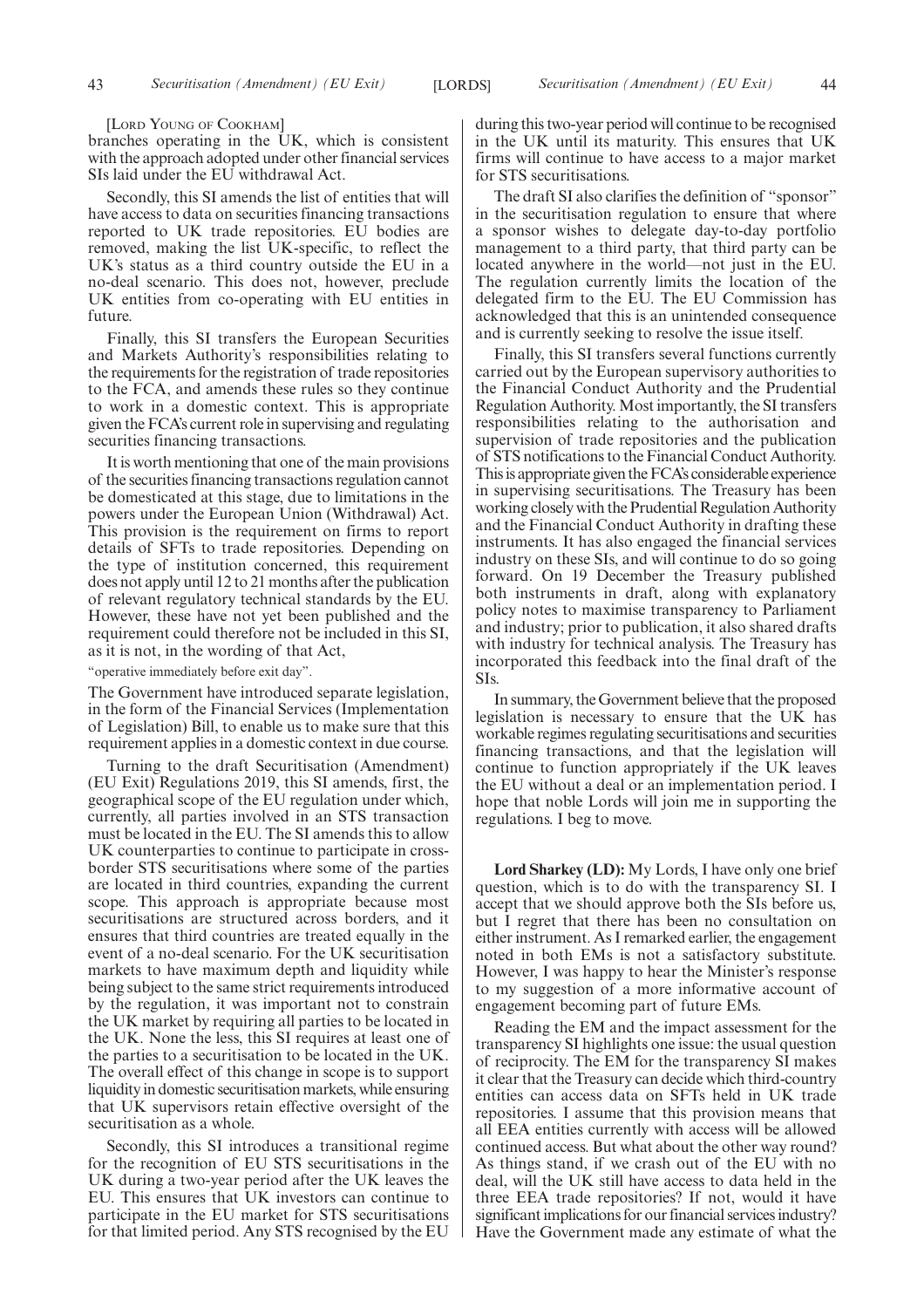[LORD YOUNG OF COOKHAM]

branches operating in the UK, which is consistent with the approach adopted under other financial services SIs laid under the EU withdrawal Act.

Secondly, this SI amends the list of entities that will have access to data on securities financing transactions reported to UK trade repositories. EU bodies are removed, making the list UK-specific, to reflect the UK's status as a third country outside the EU in a no-deal scenario. This does not, however, preclude UK entities from co-operating with EU entities in future.

Finally, this SI transfers the European Securities and Markets Authority's responsibilities relating to the requirements for the registration of trade repositories to the FCA, and amends these rules so they continue to work in a domestic context. This is appropriate given the FCA's current role in supervising and regulating securities financing transactions.

It is worth mentioning that one of the main provisions of the securities financing transactions regulation cannot be domesticated at this stage, due to limitations in the powers under the European Union (Withdrawal) Act. This provision is the requirement on firms to report details of SFTs to trade repositories. Depending on the type of institution concerned, this requirement does not apply until 12 to 21 months after the publication of relevant regulatory technical standards by the EU. However, these have not yet been published and the requirement could therefore not be included in this SI, as it is not, in the wording of that Act,

"operative immediately before exit day".

The Government have introduced separate legislation, in the form of the Financial Services (Implementation of Legislation) Bill, to enable us to make sure that this requirement applies in a domestic context in due course.

Turning to the draft Securitisation (Amendment) (EU Exit) Regulations 2019, this SI amends, first, the geographical scope of the EU regulation under which, currently, all parties involved in an STS transaction must be located in the EU. The SI amends this to allow UK counterparties to continue to participate in crossborder STS securitisations where some of the parties are located in third countries, expanding the current scope. This approach is appropriate because most securitisations are structured across borders, and it ensures that third countries are treated equally in the event of a no-deal scenario. For the UK securitisation markets to have maximum depth and liquidity while being subject to the same strict requirements introduced by the regulation, it was important not to constrain the UK market by requiring all parties to be located in the UK. None the less, this SI requires at least one of the parties to a securitisation to be located in the UK. The overall effect of this change in scope is to support liquidity in domestic securitisation markets, while ensuring that UK supervisors retain effective oversight of the securitisation as a whole.

Secondly, this SI introduces a transitional regime for the recognition of EU STS securitisations in the UK during a two-year period after the UK leaves the EU. This ensures that UK investors can continue to participate in the EU market for STS securitisations for that limited period. Any STS recognised by the EU

during this two-year period will continue to be recognised in the UK until its maturity. This ensures that UK firms will continue to have access to a major market for STS securitisations.

The draft SI also clarifies the definition of "sponsor" in the securitisation regulation to ensure that where a sponsor wishes to delegate day-to-day portfolio management to a third party, that third party can be located anywhere in the world—not just in the EU. The regulation currently limits the location of the delegated firm to the EU. The EU Commission has acknowledged that this is an unintended consequence and is currently seeking to resolve the issue itself.

Finally, this SI transfers several functions currently carried out by the European supervisory authorities to the Financial Conduct Authority and the Prudential Regulation Authority. Most importantly, the SI transfers responsibilities relating to the authorisation and supervision of trade repositories and the publication of STS notifications to the Financial Conduct Authority. This is appropriate given the FCA's considerable experience in supervising securitisations. The Treasury has been working closely with the Prudential Regulation Authority and the Financial Conduct Authority in drafting these instruments. It has also engaged the financial services industry on these SIs, and will continue to do so going forward. On 19 December the Treasury published both instruments in draft, along with explanatory policy notes to maximise transparency to Parliament and industry; prior to publication, it also shared drafts with industry for technical analysis. The Treasury has incorporated this feedback into the final draft of the SIs.

In summary, the Government believe that the proposed legislation is necessary to ensure that the UK has workable regimes regulating securitisations and securities financing transactions, and that the legislation will continue to function appropriately if the UK leaves the EU without a deal or an implementation period. I hope that noble Lords will join me in supporting the regulations. I beg to move.

**Lord Sharkey (LD):** My Lords, I have only one brief question, which is to do with the transparency SI. I accept that we should approve both the SIs before us, but I regret that there has been no consultation on either instrument. As I remarked earlier, the engagement noted in both EMs is not a satisfactory substitute. However, I was happy to hear the Minister's response to my suggestion of a more informative account of engagement becoming part of future EMs.

Reading the EM and the impact assessment for the transparency SI highlights one issue: the usual question of reciprocity. The EM for the transparency SI makes it clear that the Treasury can decide which third-country entities can access data on SFTs held in UK trade repositories. I assume that this provision means that all EEA entities currently with access will be allowed continued access. But what about the other way round? As things stand, if we crash out of the EU with no deal, will the UK still have access to data held in the three EEA trade repositories? If not, would it have significant implications for our financial services industry? Have the Government made any estimate of what the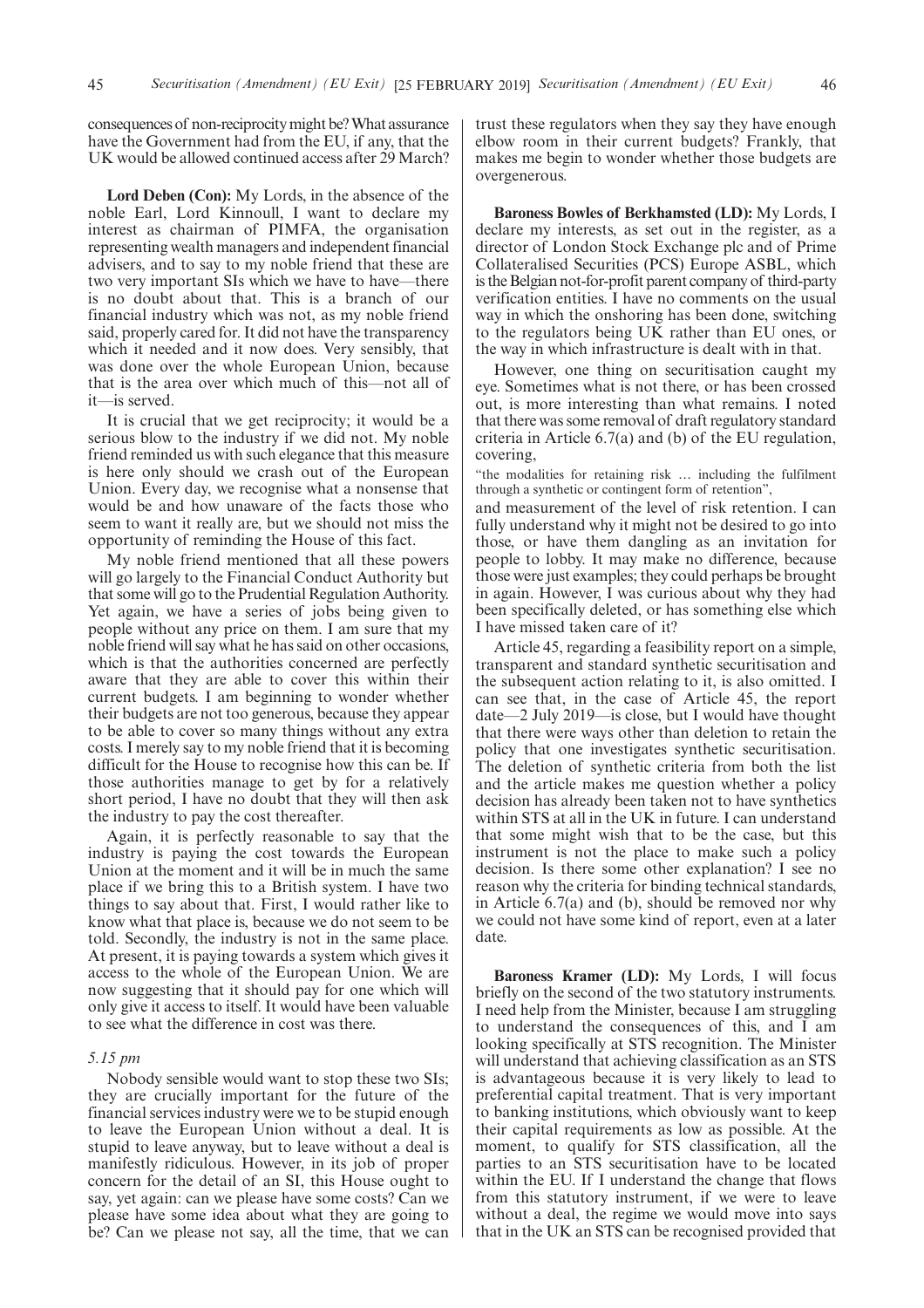consequences of non-reciprocity might be? What assurance have the Government had from the EU, if any, that the UK would be allowed continued access after 29 March?

**Lord Deben (Con):** My Lords, in the absence of the noble Earl, Lord Kinnoull, I want to declare my interest as chairman of PIMFA, the organisation representing wealth managers and independent financial advisers, and to say to my noble friend that these are two very important SIs which we have to have—there is no doubt about that. This is a branch of our financial industry which was not, as my noble friend said, properly cared for. It did not have the transparency which it needed and it now does. Very sensibly, that was done over the whole European Union, because that is the area over which much of this—not all of it—is served.

It is crucial that we get reciprocity; it would be a serious blow to the industry if we did not. My noble friend reminded us with such elegance that this measure is here only should we crash out of the European Union. Every day, we recognise what a nonsense that would be and how unaware of the facts those who seem to want it really are, but we should not miss the opportunity of reminding the House of this fact.

My noble friend mentioned that all these powers will go largely to the Financial Conduct Authority but that some will go to the Prudential Regulation Authority. Yet again, we have a series of jobs being given to people without any price on them. I am sure that my noble friend will say what he has said on other occasions, which is that the authorities concerned are perfectly aware that they are able to cover this within their current budgets. I am beginning to wonder whether their budgets are not too generous, because they appear to be able to cover so many things without any extra costs. I merely say to my noble friend that it is becoming difficult for the House to recognise how this can be. If those authorities manage to get by for a relatively short period, I have no doubt that they will then ask the industry to pay the cost thereafter.

Again, it is perfectly reasonable to say that the industry is paying the cost towards the European Union at the moment and it will be in much the same place if we bring this to a British system. I have two things to say about that. First, I would rather like to know what that place is, because we do not seem to be told. Secondly, the industry is not in the same place. At present, it is paying towards a system which gives it access to the whole of the European Union. We are now suggesting that it should pay for one which will only give it access to itself. It would have been valuable to see what the difference in cost was there.

#### *5.15 pm*

Nobody sensible would want to stop these two SIs; they are crucially important for the future of the financial services industry were we to be stupid enough to leave the European Union without a deal. It is stupid to leave anyway, but to leave without a deal is manifestly ridiculous. However, in its job of proper concern for the detail of an SI, this House ought to say, yet again: can we please have some costs? Can we please have some idea about what they are going to be? Can we please not say, all the time, that we can trust these regulators when they say they have enough elbow room in their current budgets? Frankly, that makes me begin to wonder whether those budgets are overgenerous.

**Baroness Bowles of Berkhamsted (LD):** My Lords, I declare my interests, as set out in the register, as a director of London Stock Exchange plc and of Prime Collateralised Securities (PCS) Europe ASBL, which is the Belgian not-for-profit parent company of third-party verification entities. I have no comments on the usual way in which the onshoring has been done, switching to the regulators being UK rather than EU ones, or the way in which infrastructure is dealt with in that.

However, one thing on securitisation caught my eye. Sometimes what is not there, or has been crossed out, is more interesting than what remains. I noted that there was some removal of draft regulatory standard criteria in Article 6.7(a) and (b) of the EU regulation, covering,

"the modalities for retaining risk … including the fulfilment through a synthetic or contingent form of retention",

and measurement of the level of risk retention. I can fully understand why it might not be desired to go into those, or have them dangling as an invitation for people to lobby. It may make no difference, because those were just examples; they could perhaps be brought in again. However, I was curious about why they had been specifically deleted, or has something else which I have missed taken care of it?

Article 45, regarding a feasibility report on a simple, transparent and standard synthetic securitisation and the subsequent action relating to it, is also omitted. I can see that, in the case of Article 45, the report date—2 July 2019—is close, but I would have thought that there were ways other than deletion to retain the policy that one investigates synthetic securitisation. The deletion of synthetic criteria from both the list and the article makes me question whether a policy decision has already been taken not to have synthetics within STS at all in the UK in future. I can understand that some might wish that to be the case, but this instrument is not the place to make such a policy decision. Is there some other explanation? I see no reason why the criteria for binding technical standards, in Article 6.7(a) and (b), should be removed nor why we could not have some kind of report, even at a later date.

**Baroness Kramer (LD):** My Lords, I will focus briefly on the second of the two statutory instruments. I need help from the Minister, because I am struggling to understand the consequences of this, and I am looking specifically at STS recognition. The Minister will understand that achieving classification as an STS is advantageous because it is very likely to lead to preferential capital treatment. That is very important to banking institutions, which obviously want to keep their capital requirements as low as possible. At the moment, to qualify for STS classification, all the parties to an STS securitisation have to be located within the EU. If I understand the change that flows from this statutory instrument, if we were to leave without a deal, the regime we would move into says that in the UK an STS can be recognised provided that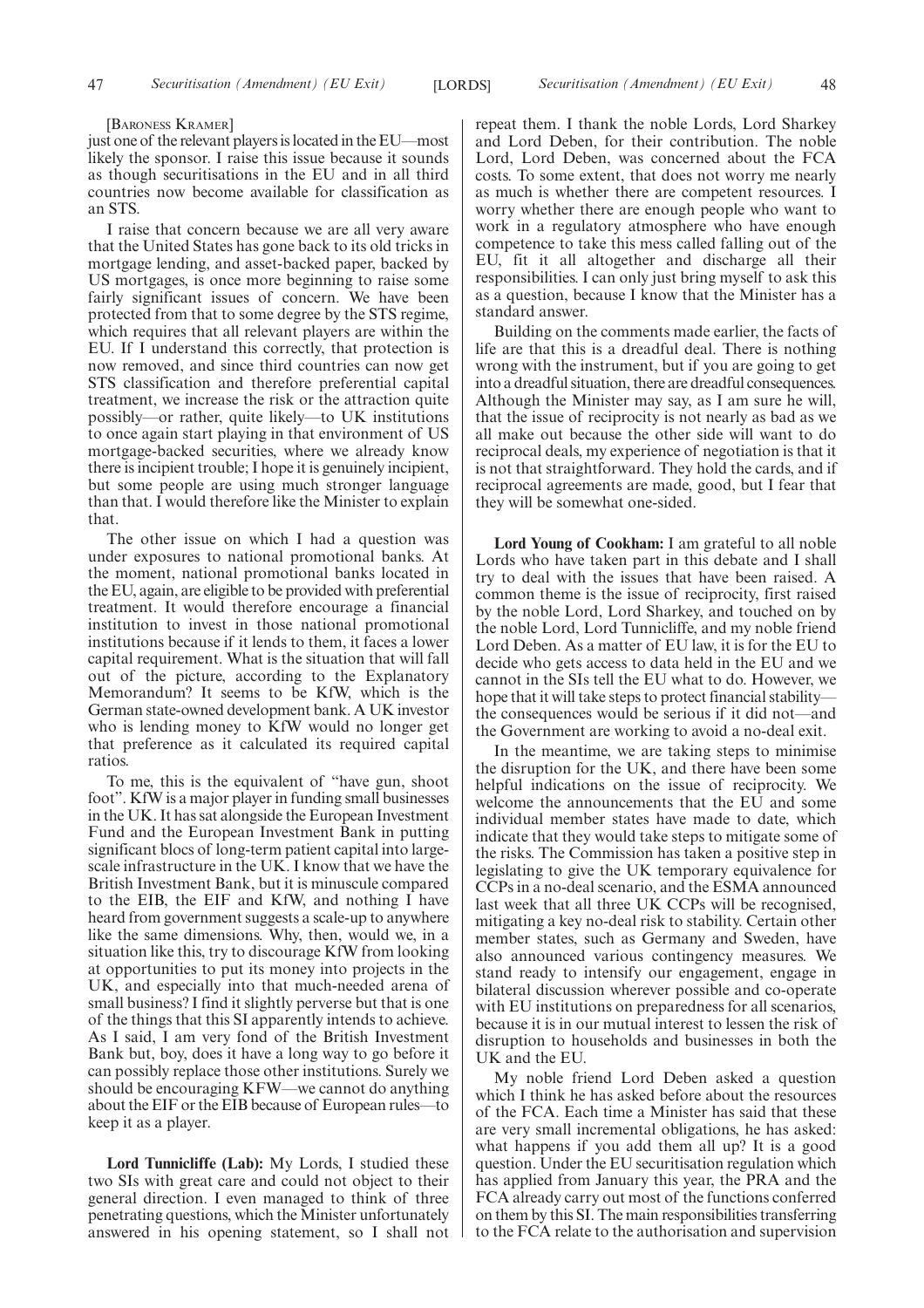#### [BARONESS KRAMER]

just one of the relevant players is located in the EU—most likely the sponsor. I raise this issue because it sounds as though securitisations in the EU and in all third countries now become available for classification as an STS.

I raise that concern because we are all very aware that the United States has gone back to its old tricks in mortgage lending, and asset-backed paper, backed by US mortgages, is once more beginning to raise some fairly significant issues of concern. We have been protected from that to some degree by the STS regime, which requires that all relevant players are within the EU. If I understand this correctly, that protection is now removed, and since third countries can now get STS classification and therefore preferential capital treatment, we increase the risk or the attraction quite possibly—or rather, quite likely—to UK institutions to once again start playing in that environment of US mortgage-backed securities, where we already know there is incipient trouble; I hope it is genuinely incipient, but some people are using much stronger language than that. I would therefore like the Minister to explain that.

The other issue on which I had a question was under exposures to national promotional banks. At the moment, national promotional banks located in the EU, again, are eligible to be provided with preferential treatment. It would therefore encourage a financial institution to invest in those national promotional institutions because if it lends to them, it faces a lower capital requirement. What is the situation that will fall out of the picture, according to the Explanatory Memorandum? It seems to be KfW, which is the German state-owned development bank. A UK investor who is lending money to KfW would no longer get that preference as it calculated its required capital ratios.

To me, this is the equivalent of "have gun, shoot foot". KfW is a major player in funding small businesses in the UK. It has sat alongside the European Investment Fund and the European Investment Bank in putting significant blocs of long-term patient capital into largescale infrastructure in the UK. I know that we have the British Investment Bank, but it is minuscule compared to the EIB, the EIF and KfW, and nothing I have heard from government suggests a scale-up to anywhere like the same dimensions. Why, then, would we, in a situation like this, try to discourage KfW from looking at opportunities to put its money into projects in the UK, and especially into that much-needed arena of small business? I find it slightly perverse but that is one of the things that this SI apparently intends to achieve. As I said, I am very fond of the British Investment Bank but, boy, does it have a long way to go before it can possibly replace those other institutions. Surely we should be encouraging KFW—we cannot do anything about the EIF or the EIB because of European rules—to keep it as a player.

**Lord Tunnicliffe (Lab):** My Lords, I studied these two SIs with great care and could not object to their general direction. I even managed to think of three penetrating questions, which the Minister unfortunately answered in his opening statement, so I shall not repeat them. I thank the noble Lords, Lord Sharkey and Lord Deben, for their contribution. The noble Lord, Lord Deben, was concerned about the FCA costs. To some extent, that does not worry me nearly as much is whether there are competent resources. I worry whether there are enough people who want to work in a regulatory atmosphere who have enough competence to take this mess called falling out of the EU, fit it all altogether and discharge all their responsibilities. I can only just bring myself to ask this as a question, because I know that the Minister has a standard answer.

Building on the comments made earlier, the facts of life are that this is a dreadful deal. There is nothing wrong with the instrument, but if you are going to get into a dreadful situation, there are dreadful consequences. Although the Minister may say, as I am sure he will, that the issue of reciprocity is not nearly as bad as we all make out because the other side will want to do reciprocal deals, my experience of negotiation is that it is not that straightforward. They hold the cards, and if reciprocal agreements are made, good, but I fear that they will be somewhat one-sided.

**Lord Young of Cookham:** I am grateful to all noble Lords who have taken part in this debate and I shall try to deal with the issues that have been raised. A common theme is the issue of reciprocity, first raised by the noble Lord, Lord Sharkey, and touched on by the noble Lord, Lord Tunnicliffe, and my noble friend Lord Deben. As a matter of EU law, it is for the EU to decide who gets access to data held in the EU and we cannot in the SIs tell the EU what to do. However, we hope that it will take steps to protect financial stability the consequences would be serious if it did not—and the Government are working to avoid a no-deal exit.

In the meantime, we are taking steps to minimise the disruption for the UK, and there have been some helpful indications on the issue of reciprocity. We welcome the announcements that the EU and some individual member states have made to date, which indicate that they would take steps to mitigate some of the risks. The Commission has taken a positive step in legislating to give the UK temporary equivalence for CCPs in a no-deal scenario, and the ESMA announced last week that all three UK CCPs will be recognised, mitigating a key no-deal risk to stability. Certain other member states, such as Germany and Sweden, have also announced various contingency measures. We stand ready to intensify our engagement, engage in bilateral discussion wherever possible and co-operate with EU institutions on preparedness for all scenarios, because it is in our mutual interest to lessen the risk of disruption to households and businesses in both the UK and the EU.

My noble friend Lord Deben asked a question which I think he has asked before about the resources of the FCA. Each time a Minister has said that these are very small incremental obligations, he has asked: what happens if you add them all up? It is a good question. Under the EU securitisation regulation which has applied from January this year, the PRA and the FCA already carry out most of the functions conferred on them by this SI. The main responsibilities transferring to the FCA relate to the authorisation and supervision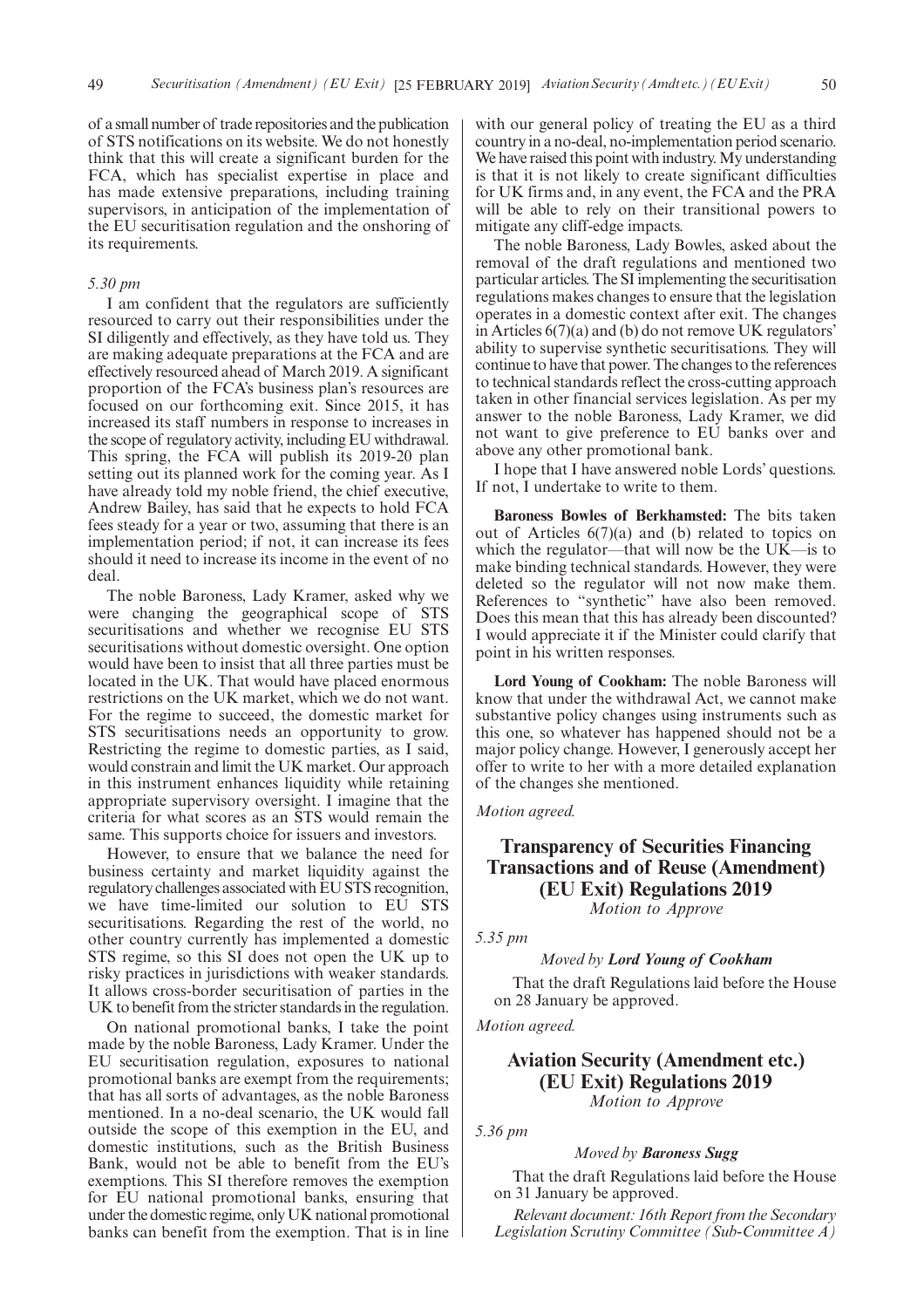of a small number of trade repositories and the publication of STS notifications on its website. We do not honestly think that this will create a significant burden for the FCA, which has specialist expertise in place and has made extensive preparations, including training supervisors, in anticipation of the implementation of the EU securitisation regulation and the onshoring of its requirements.

#### *5.30 pm*

I am confident that the regulators are sufficiently resourced to carry out their responsibilities under the SI diligently and effectively, as they have told us. They are making adequate preparations at the FCA and are effectively resourced ahead of March 2019. A significant proportion of the FCA's business plan's resources are focused on our forthcoming exit. Since 2015, it has increased its staff numbers in response to increases in the scope of regulatory activity, including EU withdrawal. This spring, the FCA will publish its 2019-20 plan setting out its planned work for the coming year. As I have already told my noble friend, the chief executive, Andrew Bailey, has said that he expects to hold FCA fees steady for a year or two, assuming that there is an implementation period; if not, it can increase its fees should it need to increase its income in the event of no deal.

The noble Baroness, Lady Kramer, asked why we were changing the geographical scope of STS securitisations and whether we recognise EU STS securitisations without domestic oversight. One option would have been to insist that all three parties must be located in the UK. That would have placed enormous restrictions on the UK market, which we do not want. For the regime to succeed, the domestic market for STS securitisations needs an opportunity to grow. Restricting the regime to domestic parties, as I said, would constrain and limit the UK market. Our approach in this instrument enhances liquidity while retaining appropriate supervisory oversight. I imagine that the criteria for what scores as an STS would remain the same. This supports choice for issuers and investors.

However, to ensure that we balance the need for business certainty and market liquidity against the regulatory challenges associated with EU STS recognition, we have time-limited our solution to EU STS securitisations. Regarding the rest of the world, no other country currently has implemented a domestic STS regime, so this SI does not open the UK up to risky practices in jurisdictions with weaker standards. It allows cross-border securitisation of parties in the UK to benefit from the stricter standards in the regulation.

On national promotional banks, I take the point made by the noble Baroness, Lady Kramer. Under the EU securitisation regulation, exposures to national promotional banks are exempt from the requirements; that has all sorts of advantages, as the noble Baroness mentioned. In a no-deal scenario, the UK would fall outside the scope of this exemption in the EU, and domestic institutions, such as the British Business Bank, would not be able to benefit from the EU's exemptions. This SI therefore removes the exemption for EU national promotional banks, ensuring that under the domestic regime, only UK national promotional banks can benefit from the exemption. That is in line with our general policy of treating the EU as a third country in a no-deal, no-implementation period scenario. We have raised this point with industry. My understanding is that it is not likely to create significant difficulties for UK firms and, in any event, the FCA and the PRA will be able to rely on their transitional powers to mitigate any cliff-edge impacts.

The noble Baroness, Lady Bowles, asked about the removal of the draft regulations and mentioned two particular articles. The SI implementing the securitisation regulations makes changes to ensure that the legislation operates in a domestic context after exit. The changes in Articles 6(7)(a) and (b) do not remove UK regulators' ability to supervise synthetic securitisations. They will continue to have that power. The changes to the references to technical standards reflect the cross-cutting approach taken in other financial services legislation. As per my answer to the noble Baroness, Lady Kramer, we did not want to give preference to EU banks over and above any other promotional bank.

I hope that I have answered noble Lords' questions. If not, I undertake to write to them.

**Baroness Bowles of Berkhamsted:** The bits taken out of Articles  $6(7)(a)$  and (b) related to topics on which the regulator—that will now be the UK—is to make binding technical standards. However, they were deleted so the regulator will not now make them. References to "synthetic" have also been removed. Does this mean that this has already been discounted? I would appreciate it if the Minister could clarify that point in his written responses.

**Lord Young of Cookham:** The noble Baroness will know that under the withdrawal Act, we cannot make substantive policy changes using instruments such as this one, so whatever has happened should not be a major policy change. However, I generously accept her offer to write to her with a more detailed explanation of the changes she mentioned.

#### *Motion agreed.*

## **Transparency of Securities Financing Transactions and of Reuse (Amendment) (EU Exit) Regulations 2019**

*Motion to Approve*

*5.35 pm*

*5.36 pm*

#### *Moved by Lord Young of Cookham*

That the draft Regulations laid before the House on 28 January be approved.

*Motion agreed.*

## **Aviation Security (Amendment etc.) (EU Exit) Regulations 2019** *Motion to Approve*

#### *Moved by Baroness Sugg*

That the draft Regulations laid before the House on 31 January be approved.

*Relevant document: 16th Report from the Secondary Legislation Scrutiny Committee (Sub-Committee A)*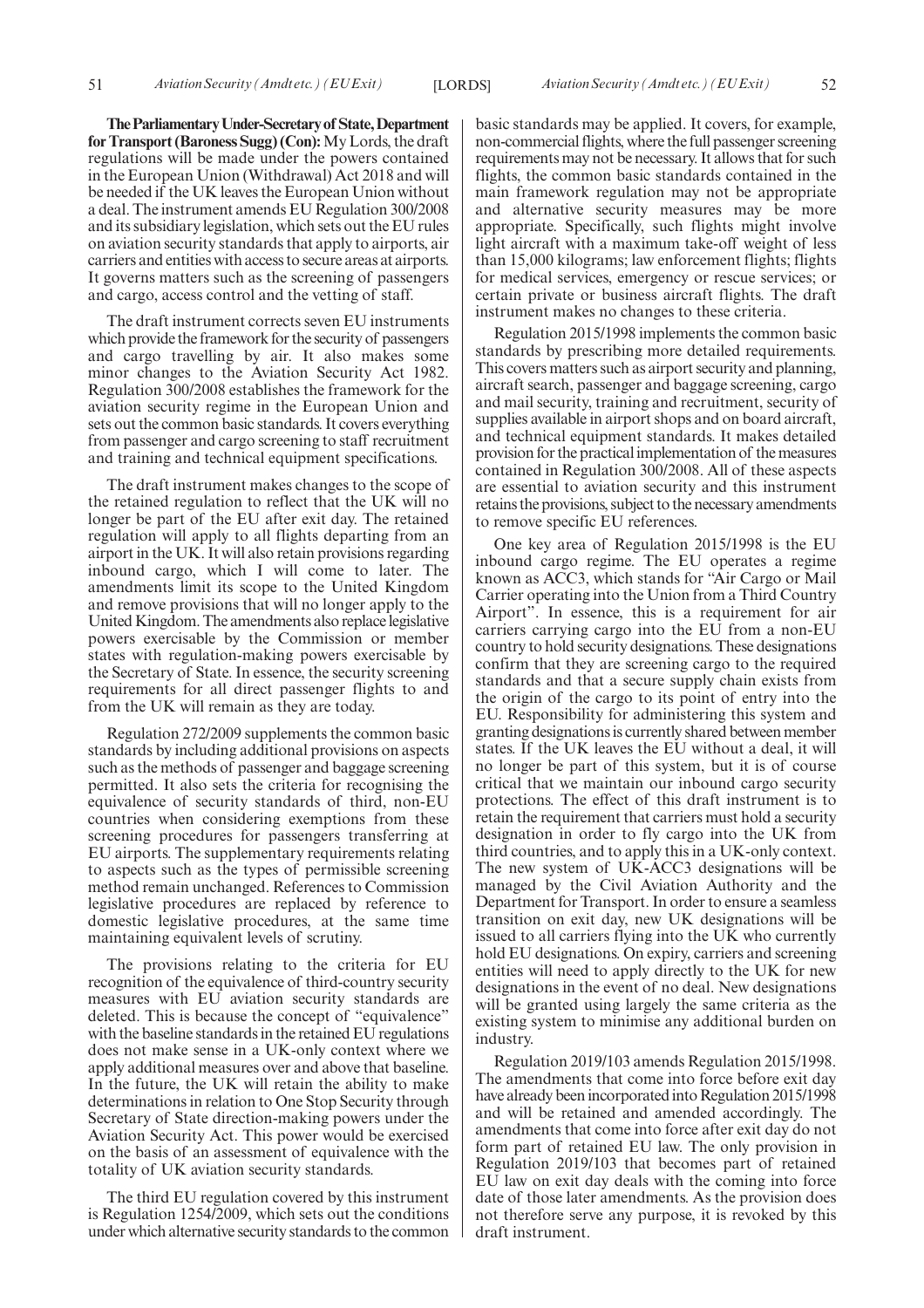**TheParliamentaryUnder-Secretaryof State,Department for Transport (Baroness Sugg) (Con):**My Lords, the draft regulations will be made under the powers contained in the European Union (Withdrawal) Act 2018 and will be needed if the UK leaves the European Union without a deal. The instrument amends EU Regulation 300/2008 and its subsidiary legislation, which sets out the EU rules on aviation security standards that apply to airports, air carriers and entities with access to secure areas at airports. It governs matters such as the screening of passengers and cargo, access control and the vetting of staff.

The draft instrument corrects seven EU instruments which provide the framework for the security of passengers and cargo travelling by air. It also makes some minor changes to the Aviation Security Act 1982. Regulation 300/2008 establishes the framework for the aviation security regime in the European Union and sets out the common basic standards. It covers everything from passenger and cargo screening to staff recruitment and training and technical equipment specifications.

The draft instrument makes changes to the scope of the retained regulation to reflect that the UK will no longer be part of the EU after exit day. The retained regulation will apply to all flights departing from an airport in the UK. It will also retain provisions regarding inbound cargo, which I will come to later. The amendments limit its scope to the United Kingdom and remove provisions that will no longer apply to the United Kingdom. The amendments also replace legislative powers exercisable by the Commission or member states with regulation-making powers exercisable by the Secretary of State. In essence, the security screening requirements for all direct passenger flights to and from the UK will remain as they are today.

Regulation 272/2009 supplements the common basic standards by including additional provisions on aspects such as the methods of passenger and baggage screening permitted. It also sets the criteria for recognising the equivalence of security standards of third, non-EU countries when considering exemptions from these screening procedures for passengers transferring at EU airports. The supplementary requirements relating to aspects such as the types of permissible screening method remain unchanged. References to Commission legislative procedures are replaced by reference to domestic legislative procedures, at the same time maintaining equivalent levels of scrutiny.

The provisions relating to the criteria for EU recognition of the equivalence of third-country security measures with EU aviation security standards are deleted. This is because the concept of "equivalence" with the baseline standards in the retained EU regulations does not make sense in a UK-only context where we apply additional measures over and above that baseline. In the future, the UK will retain the ability to make determinations in relation to One Stop Security through Secretary of State direction-making powers under the Aviation Security Act. This power would be exercised on the basis of an assessment of equivalence with the totality of UK aviation security standards.

The third EU regulation covered by this instrument is Regulation 1254/2009, which sets out the conditions under which alternative security standards to the common basic standards may be applied. It covers, for example, non-commercial flights, where the full passenger screening requirements may not be necessary. It allows that for such flights, the common basic standards contained in the main framework regulation may not be appropriate and alternative security measures may be more appropriate. Specifically, such flights might involve light aircraft with a maximum take-off weight of less than 15,000 kilograms; law enforcement flights; flights for medical services, emergency or rescue services; or certain private or business aircraft flights. The draft instrument makes no changes to these criteria.

Regulation 2015/1998 implements the common basic standards by prescribing more detailed requirements. This covers matters such as airport security and planning, aircraft search, passenger and baggage screening, cargo and mail security, training and recruitment, security of supplies available in airport shops and on board aircraft, and technical equipment standards. It makes detailed provision for the practical implementation of the measures contained in Regulation 300/2008. All of these aspects are essential to aviation security and this instrument retains the provisions, subject to the necessary amendments to remove specific EU references.

One key area of Regulation 2015/1998 is the EU inbound cargo regime. The EU operates a regime known as ACC3, which stands for "Air Cargo or Mail Carrier operating into the Union from a Third Country Airport". In essence, this is a requirement for air carriers carrying cargo into the EU from a non-EU country to hold security designations. These designations confirm that they are screening cargo to the required standards and that a secure supply chain exists from the origin of the cargo to its point of entry into the EU. Responsibility for administering this system and granting designations is currently shared between member states. If the UK leaves the EU without a deal, it will no longer be part of this system, but it is of course critical that we maintain our inbound cargo security protections. The effect of this draft instrument is to retain the requirement that carriers must hold a security designation in order to fly cargo into the UK from third countries, and to apply this in a UK-only context. The new system of UK-ACC3 designations will be managed by the Civil Aviation Authority and the Department for Transport. In order to ensure a seamless transition on exit day, new UK designations will be issued to all carriers flying into the UK who currently hold EU designations. On expiry, carriers and screening entities will need to apply directly to the UK for new designations in the event of no deal. New designations will be granted using largely the same criteria as the existing system to minimise any additional burden on industry.

Regulation 2019/103 amends Regulation 2015/1998. The amendments that come into force before exit day have already been incorporated into Regulation 2015/1998 and will be retained and amended accordingly. The amendments that come into force after exit day do not form part of retained EU law. The only provision in Regulation 2019/103 that becomes part of retained EU law on exit day deals with the coming into force date of those later amendments. As the provision does not therefore serve any purpose, it is revoked by this draft instrument.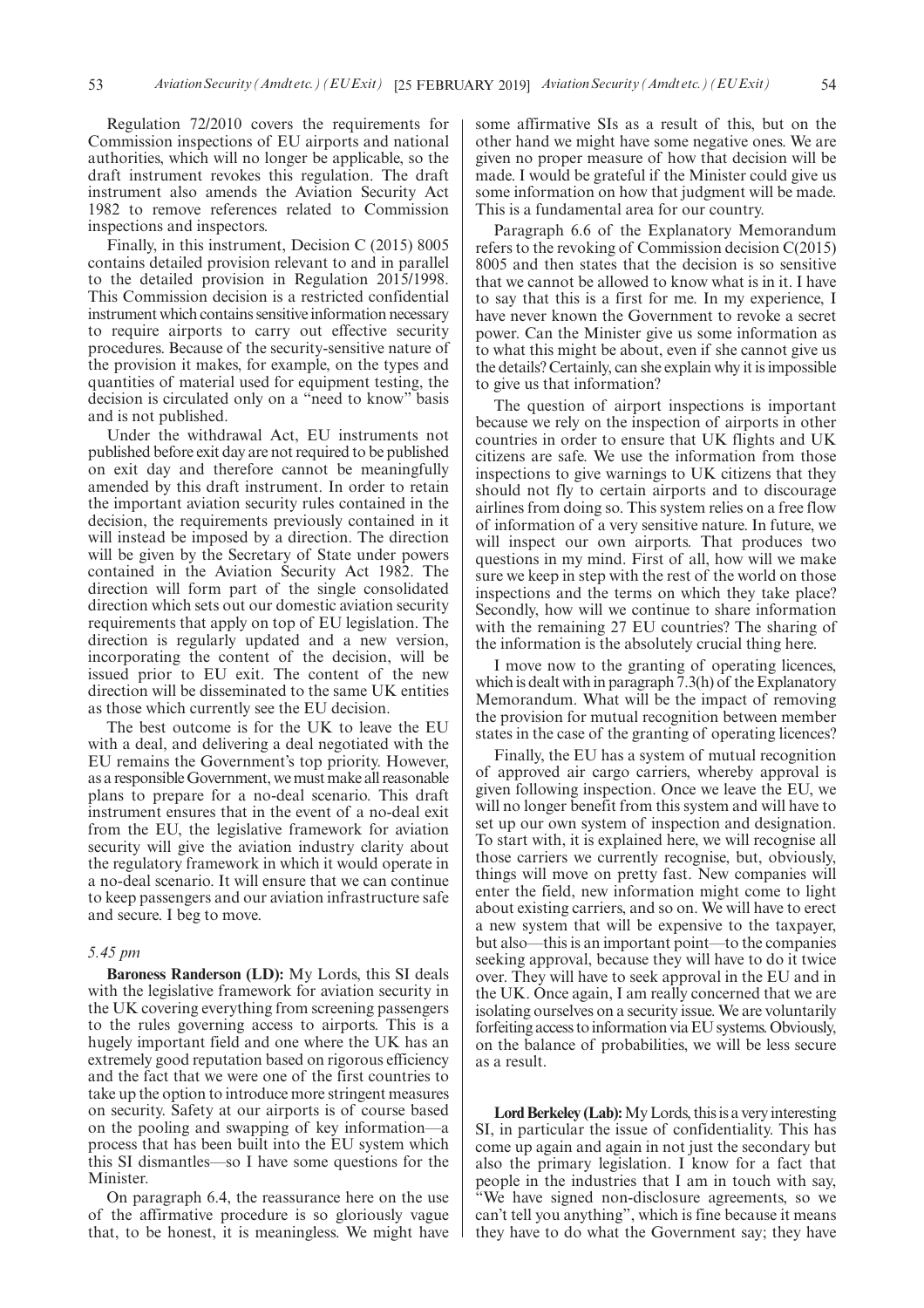Regulation 72/2010 covers the requirements for Commission inspections of EU airports and national authorities, which will no longer be applicable, so the draft instrument revokes this regulation. The draft instrument also amends the Aviation Security Act 1982 to remove references related to Commission inspections and inspectors.

Finally, in this instrument, Decision C (2015) 8005 contains detailed provision relevant to and in parallel to the detailed provision in Regulation 2015/1998. This Commission decision is a restricted confidential instrument which contains sensitive information necessary to require airports to carry out effective security procedures. Because of the security-sensitive nature of the provision it makes, for example, on the types and quantities of material used for equipment testing, the decision is circulated only on a "need to know" basis and is not published.

Under the withdrawal Act, EU instruments not published before exit day are not required to be published on exit day and therefore cannot be meaningfully amended by this draft instrument. In order to retain the important aviation security rules contained in the decision, the requirements previously contained in it will instead be imposed by a direction. The direction will be given by the Secretary of State under powers contained in the Aviation Security Act 1982. The direction will form part of the single consolidated direction which sets out our domestic aviation security requirements that apply on top of EU legislation. The direction is regularly updated and a new version, incorporating the content of the decision, will be issued prior to EU exit. The content of the new direction will be disseminated to the same UK entities as those which currently see the EU decision.

The best outcome is for the UK to leave the EU with a deal, and delivering a deal negotiated with the EU remains the Government's top priority. However, as a responsible Government, we must make all reasonable plans to prepare for a no-deal scenario. This draft instrument ensures that in the event of a no-deal exit from the EU, the legislative framework for aviation security will give the aviation industry clarity about the regulatory framework in which it would operate in a no-deal scenario. It will ensure that we can continue to keep passengers and our aviation infrastructure safe and secure. I beg to move.

#### *5.45 pm*

**Baroness Randerson (LD):** My Lords, this SI deals with the legislative framework for aviation security in the UK covering everything from screening passengers to the rules governing access to airports. This is a hugely important field and one where the UK has an extremely good reputation based on rigorous efficiency and the fact that we were one of the first countries to take up the option to introduce more stringent measures on security. Safety at our airports is of course based on the pooling and swapping of key information—a process that has been built into the EU system which this SI dismantles—so I have some questions for the Minister.

On paragraph 6.4, the reassurance here on the use of the affirmative procedure is so gloriously vague that, to be honest, it is meaningless. We might have some affirmative SIs as a result of this, but on the other hand we might have some negative ones. We are given no proper measure of how that decision will be made. I would be grateful if the Minister could give us some information on how that judgment will be made. This is a fundamental area for our country.

Paragraph 6.6 of the Explanatory Memorandum refers to the revoking of Commission decision C(2015) 8005 and then states that the decision is so sensitive that we cannot be allowed to know what is in it. I have to say that this is a first for me. In my experience, I have never known the Government to revoke a secret power. Can the Minister give us some information as to what this might be about, even if she cannot give us the details? Certainly, can she explain why it is impossible to give us that information?

The question of airport inspections is important because we rely on the inspection of airports in other countries in order to ensure that UK flights and UK citizens are safe. We use the information from those inspections to give warnings to UK citizens that they should not fly to certain airports and to discourage airlines from doing so. This system relies on a free flow of information of a very sensitive nature. In future, we will inspect our own airports. That produces two questions in my mind. First of all, how will we make sure we keep in step with the rest of the world on those inspections and the terms on which they take place? Secondly, how will we continue to share information with the remaining 27 EU countries? The sharing of the information is the absolutely crucial thing here.

I move now to the granting of operating licences, which is dealt with in paragraph 7.3(h) of the Explanatory Memorandum. What will be the impact of removing the provision for mutual recognition between member states in the case of the granting of operating licences?

Finally, the EU has a system of mutual recognition of approved air cargo carriers, whereby approval is given following inspection. Once we leave the EU, we will no longer benefit from this system and will have to set up our own system of inspection and designation. To start with, it is explained here, we will recognise all those carriers we currently recognise, but, obviously, things will move on pretty fast. New companies will enter the field, new information might come to light about existing carriers, and so on. We will have to erect a new system that will be expensive to the taxpayer, but also—this is an important point—to the companies seeking approval, because they will have to do it twice over. They will have to seek approval in the EU and in the UK. Once again, I am really concerned that we are isolating ourselves on a security issue. We are voluntarily forfeiting access to information via EU systems. Obviously, on the balance of probabilities, we will be less secure as a result.

**Lord Berkeley (Lab):**My Lords, this is a very interesting SI, in particular the issue of confidentiality. This has come up again and again in not just the secondary but also the primary legislation. I know for a fact that people in the industries that I am in touch with say, "We have signed non-disclosure agreements, so we can't tell you anything", which is fine because it means they have to do what the Government say; they have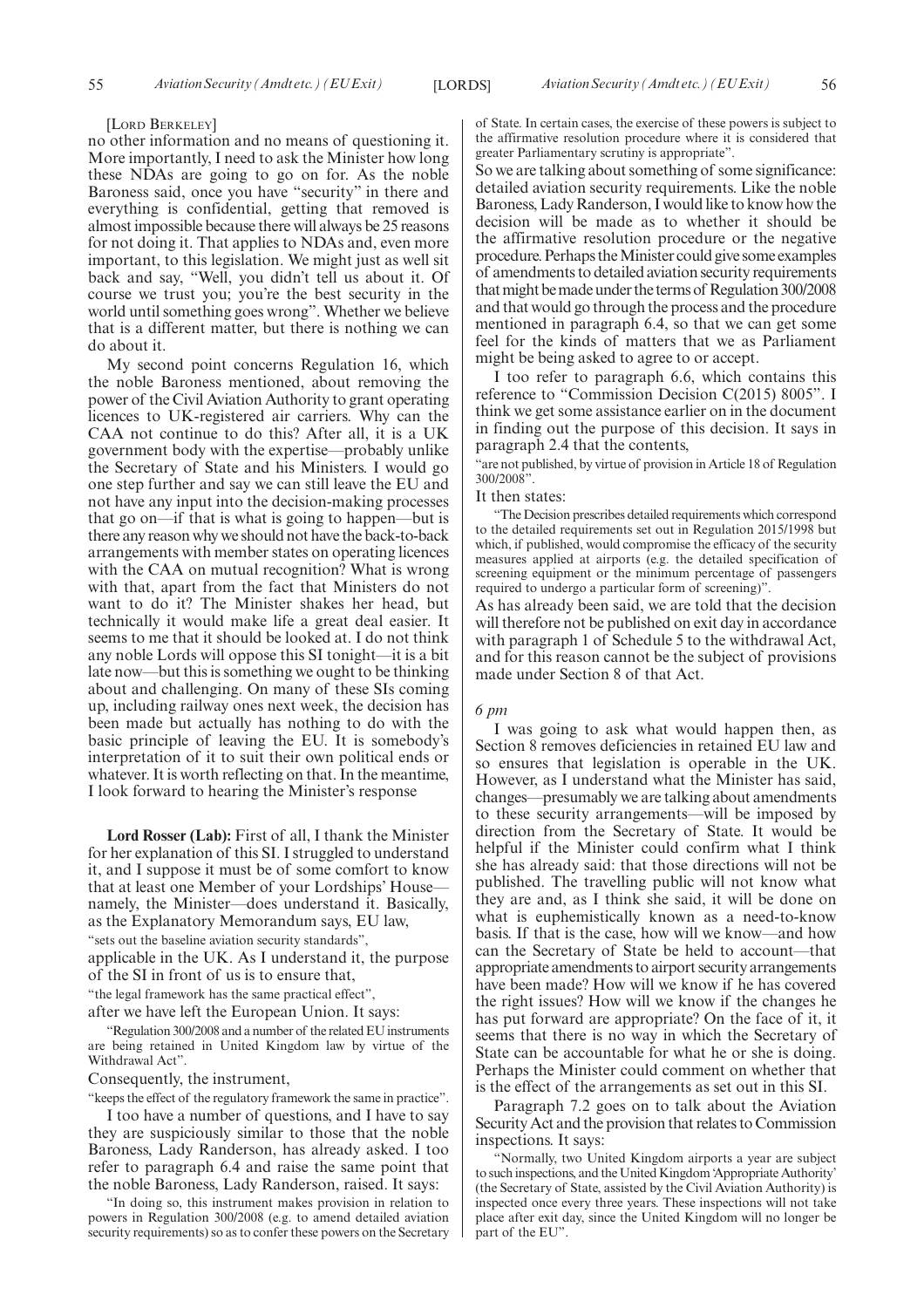#### [LORD BERKELEY]

no other information and no means of questioning it. More importantly, I need to ask the Minister how long these NDAs are going to go on for. As the noble Baroness said, once you have "security" in there and everything is confidential, getting that removed is almost impossible because there will always be 25 reasons for not doing it. That applies to NDAs and, even more important, to this legislation. We might just as well sit back and say, "Well, you didn't tell us about it. Of course we trust you; you're the best security in the world until something goes wrong". Whether we believe that is a different matter, but there is nothing we can do about it.

My second point concerns Regulation 16, which the noble Baroness mentioned, about removing the power of the Civil Aviation Authority to grant operating licences to UK-registered air carriers. Why can the CAA not continue to do this? After all, it is a UK government body with the expertise—probably unlike the Secretary of State and his Ministers. I would go one step further and say we can still leave the EU and not have any input into the decision-making processes that go on—if that is what is going to happen—but is there any reason why we should not have the back-to-back arrangements with member states on operating licences with the CAA on mutual recognition? What is wrong with that, apart from the fact that Ministers do not want to do it? The Minister shakes her head, but technically it would make life a great deal easier. It seems to me that it should be looked at. I do not think any noble Lords will oppose this SI tonight—it is a bit late now—but this is something we ought to be thinking about and challenging. On many of these SIs coming up, including railway ones next week, the decision has been made but actually has nothing to do with the basic principle of leaving the EU. It is somebody's interpretation of it to suit their own political ends or whatever. It is worth reflecting on that. In the meantime, I look forward to hearing the Minister's response

**Lord Rosser (Lab):** First of all, I thank the Minister for her explanation of this SI. I struggled to understand it, and I suppose it must be of some comfort to know that at least one Member of your Lordships' House namely, the Minister—does understand it. Basically, as the Explanatory Memorandum says, EU law, "sets out the baseline aviation security standards",

applicable in the UK. As I understand it, the purpose of the SI in front of us is to ensure that,

"the legal framework has the same practical effect",

after we have left the European Union. It says:

"Regulation 300/2008 and a number of the related EU instruments are being retained in United Kingdom law by virtue of the Withdrawal Act".

Consequently, the instrument,

"keeps the effect of the regulatory framework the same in practice".

I too have a number of questions, and I have to say they are suspiciously similar to those that the noble Baroness, Lady Randerson, has already asked. I too refer to paragraph 6.4 and raise the same point that the noble Baroness, Lady Randerson, raised. It says:

"In doing so, this instrument makes provision in relation to powers in Regulation 300/2008 (e.g. to amend detailed aviation security requirements) so as to confer these powers on the Secretary of State. In certain cases, the exercise of these powers is subject to the affirmative resolution procedure where it is considered that greater Parliamentary scrutiny is appropriate".

So we are talking about something of some significance: detailed aviation security requirements. Like the noble Baroness, Lady Randerson, I would like to know how the decision will be made as to whether it should be the affirmative resolution procedure or the negative procedure. Perhaps the Minister could give some examples of amendments to detailed aviation security requirements that might be made under the terms of Regulation 300/2008 and that would go through the process and the procedure mentioned in paragraph 6.4, so that we can get some feel for the kinds of matters that we as Parliament might be being asked to agree to or accept.

I too refer to paragraph 6.6, which contains this reference to "Commission Decision C(2015) 8005". I think we get some assistance earlier on in the document in finding out the purpose of this decision. It says in paragraph 2.4 that the contents,

"are not published, by virtue of provision in Article 18 of Regulation 300/2008".

#### It then states:

"The Decision prescribes detailed requirements which correspond to the detailed requirements set out in Regulation 2015/1998 but which, if published, would compromise the efficacy of the security measures applied at airports (e.g. the detailed specification of screening equipment or the minimum percentage of passengers required to undergo a particular form of screening)".

As has already been said, we are told that the decision will therefore not be published on exit day in accordance with paragraph 1 of Schedule 5 to the withdrawal Act, and for this reason cannot be the subject of provisions made under Section 8 of that Act.

#### *6 pm*

I was going to ask what would happen then, as Section 8 removes deficiencies in retained EU law and so ensures that legislation is operable in the UK. However, as I understand what the Minister has said, changes—presumably we are talking about amendments to these security arrangements—will be imposed by direction from the Secretary of State. It would be helpful if the Minister could confirm what I think she has already said: that those directions will not be published. The travelling public will not know what they are and, as I think she said, it will be done on what is euphemistically known as a need-to-know basis. If that is the case, how will we know—and how can the Secretary of State be held to account—that appropriate amendments to airport security arrangements have been made? How will we know if he has covered the right issues? How will we know if the changes he has put forward are appropriate? On the face of it, it seems that there is no way in which the Secretary of State can be accountable for what he or she is doing. Perhaps the Minister could comment on whether that is the effect of the arrangements as set out in this SI.

Paragraph 7.2 goes on to talk about the Aviation Security Act and the provision that relates to Commission inspections. It says:

"Normally, two United Kingdom airports a year are subject to such inspections, and the United Kingdom 'Appropriate Authority' (the Secretary of State, assisted by the Civil Aviation Authority) is inspected once every three years. These inspections will not take place after exit day, since the United Kingdom will no longer be part of the EU".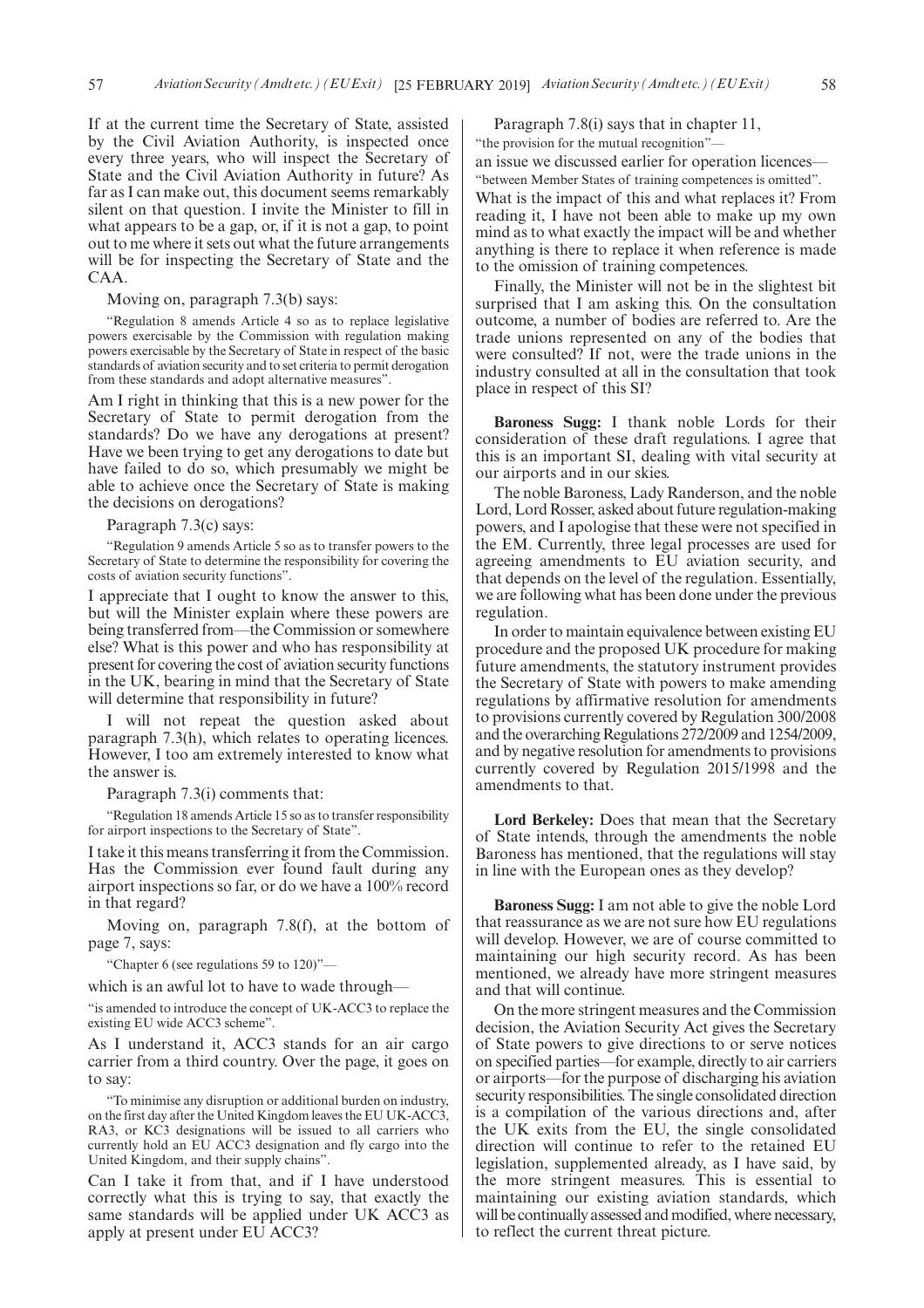If at the current time the Secretary of State, assisted by the Civil Aviation Authority, is inspected once every three years, who will inspect the Secretary of State and the Civil Aviation Authority in future? As far as I can make out, this document seems remarkably silent on that question. I invite the Minister to fill in what appears to be a gap, or, if it is not a gap, to point out to me where it sets out what the future arrangements will be for inspecting the Secretary of State and the CAA.

Moving on, paragraph 7.3(b) says:

"Regulation 8 amends Article 4 so as to replace legislative powers exercisable by the Commission with regulation making powers exercisable by the Secretary of State in respect of the basic standards of aviation security and to set criteria to permit derogation from these standards and adopt alternative measures".

Am I right in thinking that this is a new power for the Secretary of State to permit derogation from the standards? Do we have any derogations at present? Have we been trying to get any derogations to date but have failed to do so, which presumably we might be able to achieve once the Secretary of State is making the decisions on derogations?

Paragraph 7.3(c) says:

"Regulation 9 amends Article 5 so as to transfer powers to the Secretary of State to determine the responsibility for covering the costs of aviation security functions".

I appreciate that I ought to know the answer to this, but will the Minister explain where these powers are being transferred from—the Commission or somewhere else? What is this power and who has responsibility at present for covering the cost of aviation security functions in the UK, bearing in mind that the Secretary of State will determine that responsibility in future?

I will not repeat the question asked about paragraph 7.3(h), which relates to operating licences. However, I too am extremely interested to know what the answer is.

Paragraph 7.3(i) comments that:

"Regulation 18 amends Article 15 so as to transfer responsibility for airport inspections to the Secretary of State".

I take it this means transferring it from the Commission. Has the Commission ever found fault during any airport inspections so far, or do we have a 100% record in that regard?

Moving on, paragraph 7.8(f), at the bottom of page 7, says:

"Chapter 6 (see regulations 59 to 120)"—

which is an awful lot to have to wade through—

"is amended to introduce the concept of UK-ACC3 to replace the existing EU wide ACC3 scheme".

As I understand it, ACC3 stands for an air cargo carrier from a third country. Over the page, it goes on to say:

"To minimise any disruption or additional burden on industry, on the first day after the United Kingdom leaves the EU UK-ACC3, RA3, or KC3 designations will be issued to all carriers who currently hold an EU ACC3 designation and fly cargo into the United Kingdom, and their supply chains".

Can I take it from that, and if I have understood correctly what this is trying to say, that exactly the same standards will be applied under UK ACC3 as apply at present under EU ACC3?

Paragraph 7.8(i) says that in chapter 11, "the provision for the mutual recognition"an issue we discussed earlier for operation licences—

"between Member States of training competences is omitted". What is the impact of this and what replaces it? From reading it, I have not been able to make up my own mind as to what exactly the impact will be and whether anything is there to replace it when reference is made to the omission of training competences.

Finally, the Minister will not be in the slightest bit surprised that I am asking this. On the consultation outcome, a number of bodies are referred to. Are the trade unions represented on any of the bodies that were consulted? If not, were the trade unions in the industry consulted at all in the consultation that took place in respect of this SI?

**Baroness Sugg:** I thank noble Lords for their consideration of these draft regulations. I agree that this is an important SI, dealing with vital security at our airports and in our skies.

The noble Baroness, Lady Randerson, and the noble Lord, Lord Rosser, asked about future regulation-making powers, and I apologise that these were not specified in the EM. Currently, three legal processes are used for agreeing amendments to EU aviation security, and that depends on the level of the regulation. Essentially, we are following what has been done under the previous regulation.

In order to maintain equivalence between existing EU procedure and the proposed UK procedure for making future amendments, the statutory instrument provides the Secretary of State with powers to make amending regulations by affirmative resolution for amendments to provisions currently covered by Regulation 300/2008 and the overarching Regulations 272/2009 and 1254/2009, and by negative resolution for amendments to provisions currently covered by Regulation 2015/1998 and the amendments to that.

**Lord Berkeley:** Does that mean that the Secretary of State intends, through the amendments the noble Baroness has mentioned, that the regulations will stay in line with the European ones as they develop?

**Baroness Sugg:** I am not able to give the noble Lord that reassurance as we are not sure how EU regulations will develop. However, we are of course committed to maintaining our high security record. As has been mentioned, we already have more stringent measures and that will continue.

On the more stringent measures and the Commission decision, the Aviation Security Act gives the Secretary of State powers to give directions to or serve notices on specified parties—for example, directly to air carriers or airports—for the purpose of discharging his aviation security responsibilities. The single consolidated direction is a compilation of the various directions and, after the UK exits from the EU, the single consolidated direction will continue to refer to the retained EU legislation, supplemented already, as I have said, by the more stringent measures. This is essential to maintaining our existing aviation standards, which will be continually assessed and modified, where necessary, to reflect the current threat picture.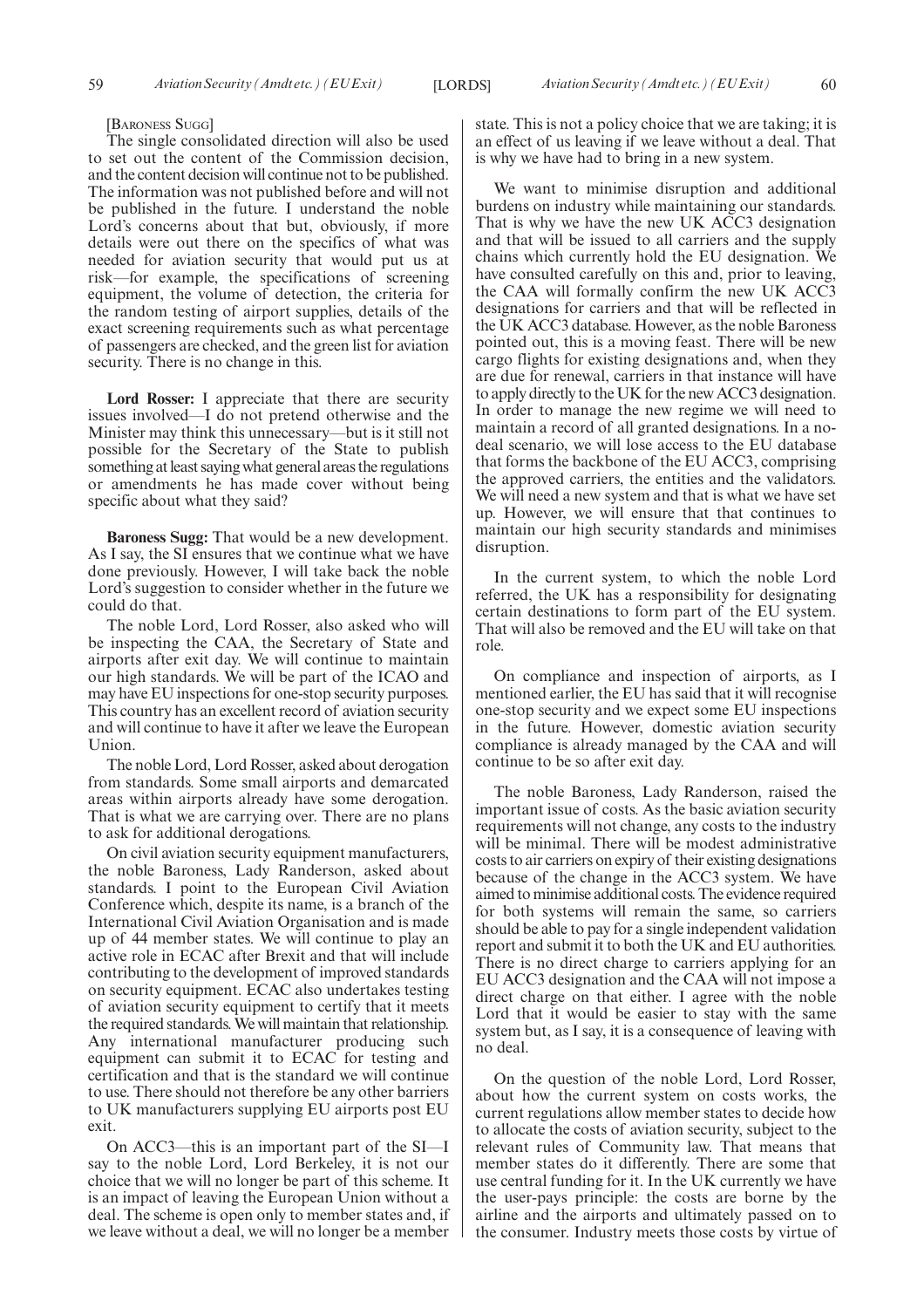#### [BARONESS SUGG]

The single consolidated direction will also be used to set out the content of the Commission decision, and the content decision will continue not to be published. The information was not published before and will not be published in the future. I understand the noble Lord's concerns about that but, obviously, if more details were out there on the specifics of what was needed for aviation security that would put us at risk—for example, the specifications of screening equipment, the volume of detection, the criteria for the random testing of airport supplies, details of the exact screening requirements such as what percentage of passengers are checked, and the green list for aviation security. There is no change in this.

**Lord Rosser:** I appreciate that there are security issues involved—I do not pretend otherwise and the Minister may think this unnecessary—but is it still not possible for the Secretary of the State to publish something at least saying what general areas the regulations or amendments he has made cover without being specific about what they said?

**Baroness Sugg:** That would be a new development. As I say, the SI ensures that we continue what we have done previously. However, I will take back the noble Lord's suggestion to consider whether in the future we could do that.

The noble Lord, Lord Rosser, also asked who will be inspecting the CAA, the Secretary of State and airports after exit day. We will continue to maintain our high standards. We will be part of the ICAO and may have EU inspections for one-stop security purposes. This country has an excellent record of aviation security and will continue to have it after we leave the European Union.

The noble Lord, Lord Rosser, asked about derogation from standards. Some small airports and demarcated areas within airports already have some derogation. That is what we are carrying over. There are no plans to ask for additional derogations.

On civil aviation security equipment manufacturers, the noble Baroness, Lady Randerson, asked about standards. I point to the European Civil Aviation Conference which, despite its name, is a branch of the International Civil Aviation Organisation and is made up of 44 member states. We will continue to play an active role in ECAC after Brexit and that will include contributing to the development of improved standards on security equipment. ECAC also undertakes testing of aviation security equipment to certify that it meets the required standards. We will maintain that relationship. Any international manufacturer producing such equipment can submit it to ECAC for testing and certification and that is the standard we will continue to use. There should not therefore be any other barriers to UK manufacturers supplying EU airports post EU exit.

On ACC3—this is an important part of the SI—I say to the noble Lord, Lord Berkeley, it is not our choice that we will no longer be part of this scheme. It is an impact of leaving the European Union without a deal. The scheme is open only to member states and, if we leave without a deal, we will no longer be a member state. This is not a policy choice that we are taking; it is an effect of us leaving if we leave without a deal. That is why we have had to bring in a new system.

We want to minimise disruption and additional burdens on industry while maintaining our standards. That is why we have the new UK ACC3 designation and that will be issued to all carriers and the supply chains which currently hold the EU designation. We have consulted carefully on this and, prior to leaving, the CAA will formally confirm the new UK ACC3 designations for carriers and that will be reflected in the UK ACC3 database. However, as the noble Baroness pointed out, this is a moving feast. There will be new cargo flights for existing designations and, when they are due for renewal, carriers in that instance will have to apply directly to the UK for the new ACC3 designation. In order to manage the new regime we will need to maintain a record of all granted designations. In a nodeal scenario, we will lose access to the EU database that forms the backbone of the EU ACC3, comprising the approved carriers, the entities and the validators. We will need a new system and that is what we have set up. However, we will ensure that that continues to maintain our high security standards and minimises disruption.

In the current system, to which the noble Lord referred, the UK has a responsibility for designating certain destinations to form part of the EU system. That will also be removed and the EU will take on that role.

On compliance and inspection of airports, as I mentioned earlier, the EU has said that it will recognise one-stop security and we expect some EU inspections in the future. However, domestic aviation security compliance is already managed by the CAA and will continue to be so after exit day.

The noble Baroness, Lady Randerson, raised the important issue of costs. As the basic aviation security requirements will not change, any costs to the industry will be minimal. There will be modest administrative costs to air carriers on expiry of their existing designations because of the change in the ACC3 system. We have aimed to minimise additional costs. The evidence required for both systems will remain the same, so carriers should be able to pay for a single independent validation report and submit it to both the UK and EU authorities. There is no direct charge to carriers applying for an EU ACC3 designation and the CAA will not impose a direct charge on that either. I agree with the noble Lord that it would be easier to stay with the same system but, as I say, it is a consequence of leaving with no deal.

On the question of the noble Lord, Lord Rosser, about how the current system on costs works, the current regulations allow member states to decide how to allocate the costs of aviation security, subject to the relevant rules of Community law. That means that member states do it differently. There are some that use central funding for it. In the UK currently we have the user-pays principle: the costs are borne by the airline and the airports and ultimately passed on to the consumer. Industry meets those costs by virtue of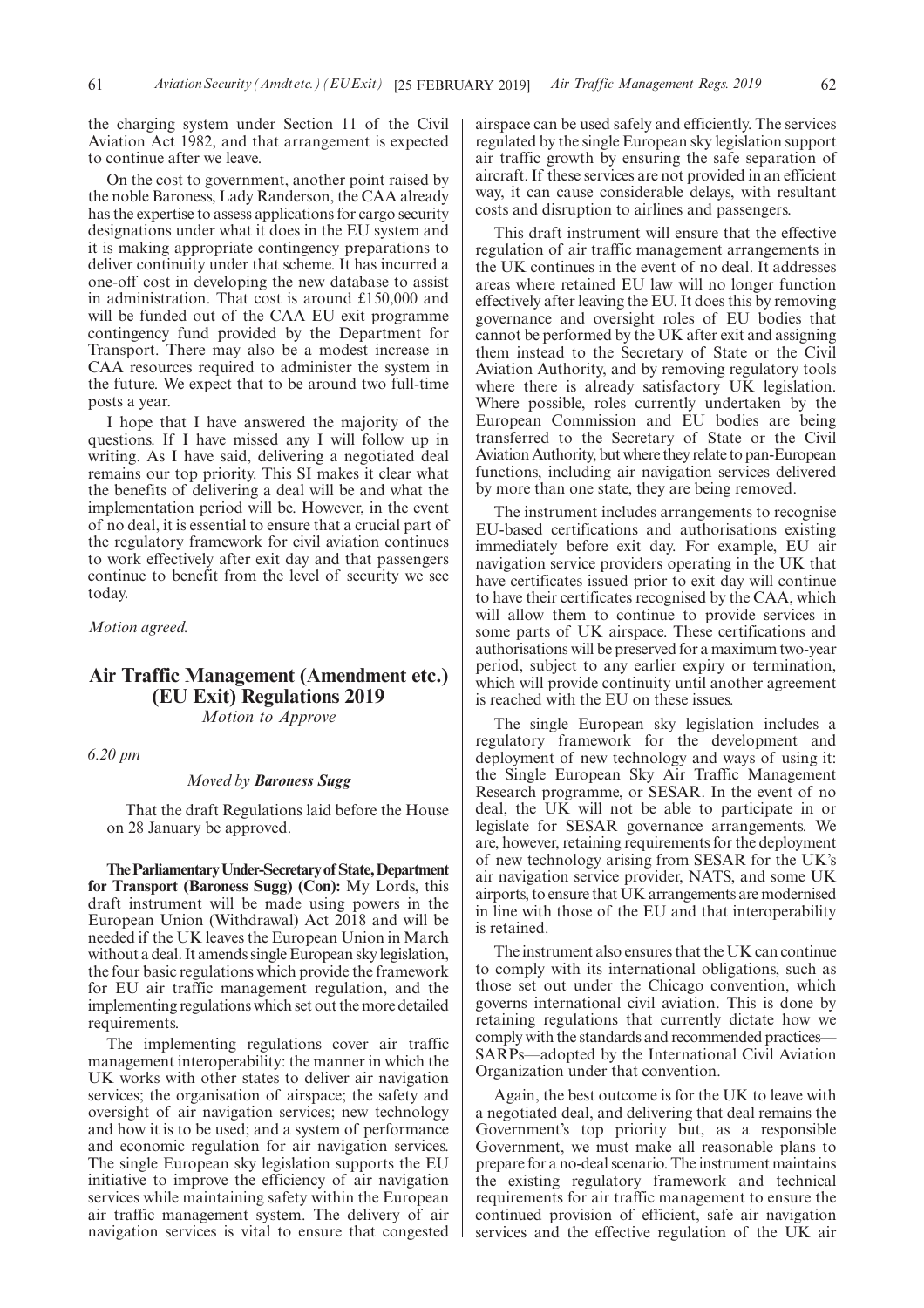the charging system under Section 11 of the Civil Aviation Act 1982, and that arrangement is expected to continue after we leave.

On the cost to government, another point raised by the noble Baroness, Lady Randerson, the CAA already has the expertise to assess applications for cargo security designations under what it does in the EU system and it is making appropriate contingency preparations to deliver continuity under that scheme. It has incurred a one-off cost in developing the new database to assist in administration. That cost is around £150,000 and will be funded out of the CAA EU exit programme contingency fund provided by the Department for Transport. There may also be a modest increase in CAA resources required to administer the system in the future. We expect that to be around two full-time posts a year.

I hope that I have answered the majority of the questions. If I have missed any I will follow up in writing. As I have said, delivering a negotiated deal remains our top priority. This SI makes it clear what the benefits of delivering a deal will be and what the implementation period will be. However, in the event of no deal, it is essential to ensure that a crucial part of the regulatory framework for civil aviation continues to work effectively after exit day and that passengers continue to benefit from the level of security we see today.

*Motion agreed.*

## **Air Traffic Management (Amendment etc.) (EU Exit) Regulations 2019** *Motion to Approve*

*6.20 pm*

#### *Moved by Baroness Sugg*

That the draft Regulations laid before the House on 28 January be approved.

**TheParliamentaryUnder-Secretaryof State,Department for Transport (Baroness Sugg) (Con):** My Lords, this draft instrument will be made using powers in the European Union (Withdrawal) Act 2018 and will be needed if the UK leaves the European Union in March without a deal. It amends single European sky legislation, the four basic regulations which provide the framework for EU air traffic management regulation, and the implementing regulations which set out the more detailed requirements.

The implementing regulations cover air traffic management interoperability: the manner in which the UK works with other states to deliver air navigation services; the organisation of airspace; the safety and oversight of air navigation services; new technology and how it is to be used; and a system of performance and economic regulation for air navigation services. The single European sky legislation supports the EU initiative to improve the efficiency of air navigation services while maintaining safety within the European air traffic management system. The delivery of air navigation services is vital to ensure that congested airspace can be used safely and efficiently. The services regulated by the single European sky legislation support air traffic growth by ensuring the safe separation of aircraft. If these services are not provided in an efficient way, it can cause considerable delays, with resultant costs and disruption to airlines and passengers.

This draft instrument will ensure that the effective regulation of air traffic management arrangements in the UK continues in the event of no deal. It addresses areas where retained EU law will no longer function effectively after leaving the EU. It does this by removing governance and oversight roles of EU bodies that cannot be performed by the UK after exit and assigning them instead to the Secretary of State or the Civil Aviation Authority, and by removing regulatory tools where there is already satisfactory UK legislation. Where possible, roles currently undertaken by the European Commission and EU bodies are being transferred to the Secretary of State or the Civil Aviation Authority, but where they relate to pan-European functions, including air navigation services delivered by more than one state, they are being removed.

The instrument includes arrangements to recognise EU-based certifications and authorisations existing immediately before exit day. For example, EU air navigation service providers operating in the UK that have certificates issued prior to exit day will continue to have their certificates recognised by the CAA, which will allow them to continue to provide services in some parts of UK airspace. These certifications and authorisations will be preserved for a maximum two-year period, subject to any earlier expiry or termination, which will provide continuity until another agreement is reached with the EU on these issues.

The single European sky legislation includes a regulatory framework for the development and deployment of new technology and ways of using it: the Single European Sky Air Traffic Management Research programme, or SESAR. In the event of no deal, the UK will not be able to participate in or legislate for SESAR governance arrangements. We are, however, retaining requirements for the deployment of new technology arising from SESAR for the UK's air navigation service provider, NATS, and some UK airports, to ensure that UK arrangements are modernised in line with those of the EU and that interoperability is retained.

The instrument also ensures that the UK can continue to comply with its international obligations, such as those set out under the Chicago convention, which governs international civil aviation. This is done by retaining regulations that currently dictate how we comply with the standards and recommended practices— SARPs—adopted by the International Civil Aviation Organization under that convention.

Again, the best outcome is for the UK to leave with a negotiated deal, and delivering that deal remains the Government's top priority but, as a responsible Government, we must make all reasonable plans to prepare for a no-deal scenario. The instrument maintains the existing regulatory framework and technical requirements for air traffic management to ensure the continued provision of efficient, safe air navigation services and the effective regulation of the UK air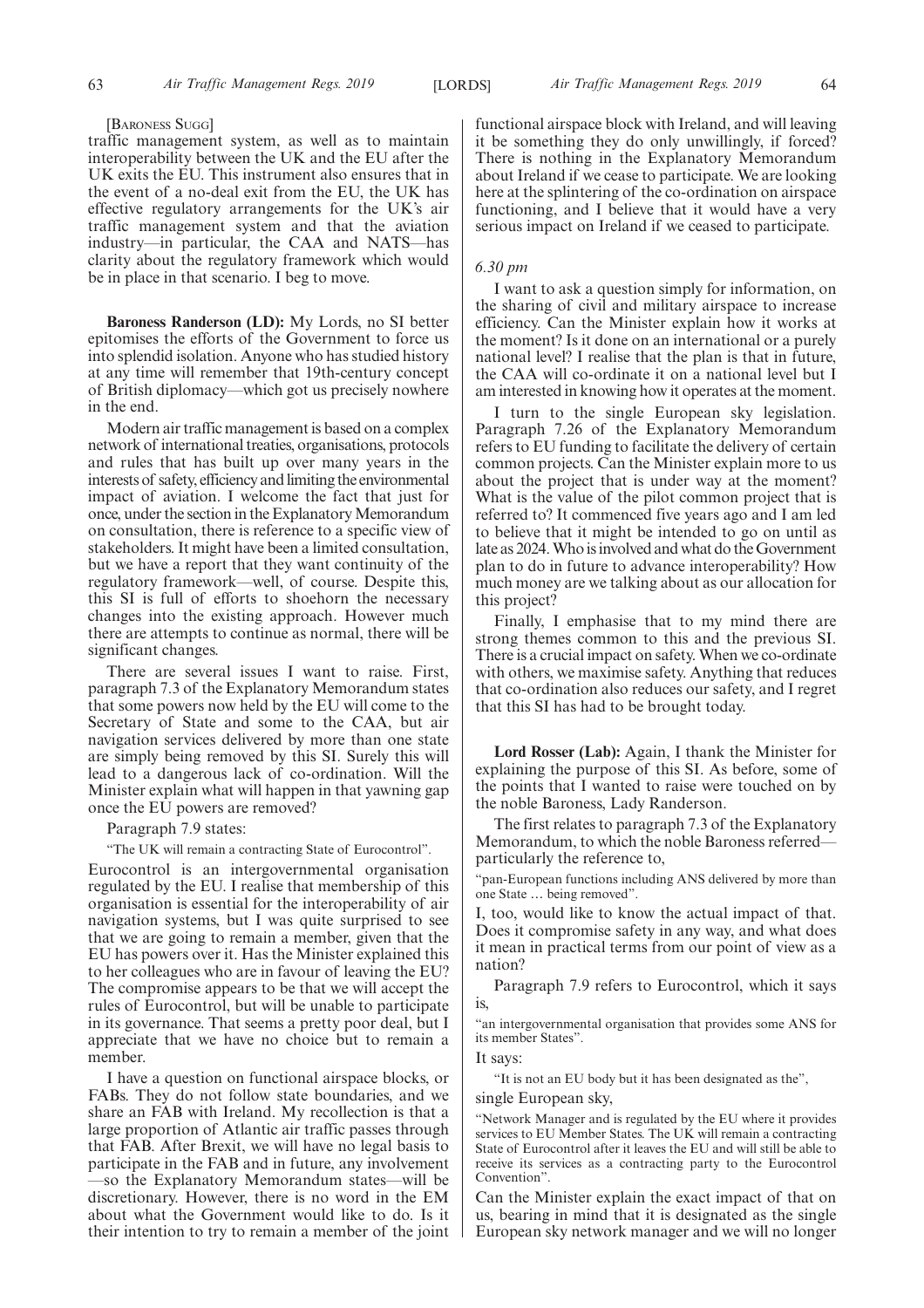#### [BARONESS SUGG]

traffic management system, as well as to maintain interoperability between the UK and the EU after the UK exits the EU. This instrument also ensures that in the event of a no-deal exit from the EU, the UK has effective regulatory arrangements for the UK's air traffic management system and that the aviation industry—in particular, the CAA and NATS—has clarity about the regulatory framework which would be in place in that scenario. I beg to move.

**Baroness Randerson (LD):** My Lords, no SI better epitomises the efforts of the Government to force us into splendid isolation. Anyone who has studied history at any time will remember that 19th-century concept of British diplomacy—which got us precisely nowhere in the end.

Modern air traffic management is based on a complex network of international treaties, organisations, protocols and rules that has built up over many years in the interests of safety, efficiency and limiting the environmental impact of aviation. I welcome the fact that just for once, under the section in the Explanatory Memorandum on consultation, there is reference to a specific view of stakeholders. It might have been a limited consultation, but we have a report that they want continuity of the regulatory framework—well, of course. Despite this, this SI is full of efforts to shoehorn the necessary changes into the existing approach. However much there are attempts to continue as normal, there will be significant changes.

There are several issues I want to raise. First, paragraph 7.3 of the Explanatory Memorandum states that some powers now held by the EU will come to the Secretary of State and some to the CAA, but air navigation services delivered by more than one state are simply being removed by this SI. Surely this will lead to a dangerous lack of co-ordination. Will the Minister explain what will happen in that yawning gap once the EU powers are removed?

Paragraph 7.9 states:

"The UK will remain a contracting State of Eurocontrol".

Eurocontrol is an intergovernmental organisation regulated by the EU. I realise that membership of this organisation is essential for the interoperability of air navigation systems, but I was quite surprised to see that we are going to remain a member, given that the EU has powers over it. Has the Minister explained this to her colleagues who are in favour of leaving the EU? The compromise appears to be that we will accept the rules of Eurocontrol, but will be unable to participate in its governance. That seems a pretty poor deal, but I appreciate that we have no choice but to remain a member.

I have a question on functional airspace blocks, or FABs. They do not follow state boundaries, and we share an FAB with Ireland. My recollection is that a large proportion of Atlantic air traffic passes through that FAB. After Brexit, we will have no legal basis to participate in the FAB and in future, any involvement —so the Explanatory Memorandum states—will be discretionary. However, there is no word in the EM about what the Government would like to do. Is it their intention to try to remain a member of the joint functional airspace block with Ireland, and will leaving it be something they do only unwillingly, if forced? There is nothing in the Explanatory Memorandum about Ireland if we cease to participate. We are looking here at the splintering of the co-ordination on airspace functioning, and I believe that it would have a very serious impact on Ireland if we ceased to participate.

#### *6.30 pm*

I want to ask a question simply for information, on the sharing of civil and military airspace to increase efficiency. Can the Minister explain how it works at the moment? Is it done on an international or a purely national level? I realise that the plan is that in future, the CAA will co-ordinate it on a national level but I am interested in knowing how it operates at the moment.

I turn to the single European sky legislation. Paragraph 7.26 of the Explanatory Memorandum refers to EU funding to facilitate the delivery of certain common projects. Can the Minister explain more to us about the project that is under way at the moment? What is the value of the pilot common project that is referred to? It commenced five years ago and I am led to believe that it might be intended to go on until as late as 2024. Who is involved and what do the Government plan to do in future to advance interoperability? How much money are we talking about as our allocation for this project?

Finally, I emphasise that to my mind there are strong themes common to this and the previous SI. There is a crucial impact on safety. When we co-ordinate with others, we maximise safety. Anything that reduces that co-ordination also reduces our safety, and I regret that this SI has had to be brought today.

**Lord Rosser (Lab):** Again, I thank the Minister for explaining the purpose of this SI. As before, some of the points that I wanted to raise were touched on by the noble Baroness, Lady Randerson.

The first relates to paragraph 7.3 of the Explanatory Memorandum, to which the noble Baroness referred particularly the reference to,

"pan-European functions including ANS delivered by more than one State … being removed".

too, would like to know the actual impact of that. Does it compromise safety in any way, and what does it mean in practical terms from our point of view as a nation?

Paragraph 7.9 refers to Eurocontrol, which it says is,

"an intergovernmental organisation that provides some ANS for its member States".

It says:

"It is not an EU body but it has been designated as the",

single European sky,

"Network Manager and is regulated by the EU where it provides services to EU Member States. The UK will remain a contracting State of Eurocontrol after it leaves the EU and will still be able to receive its services as a contracting party to the Eurocontrol Convention".

Can the Minister explain the exact impact of that on us, bearing in mind that it is designated as the single European sky network manager and we will no longer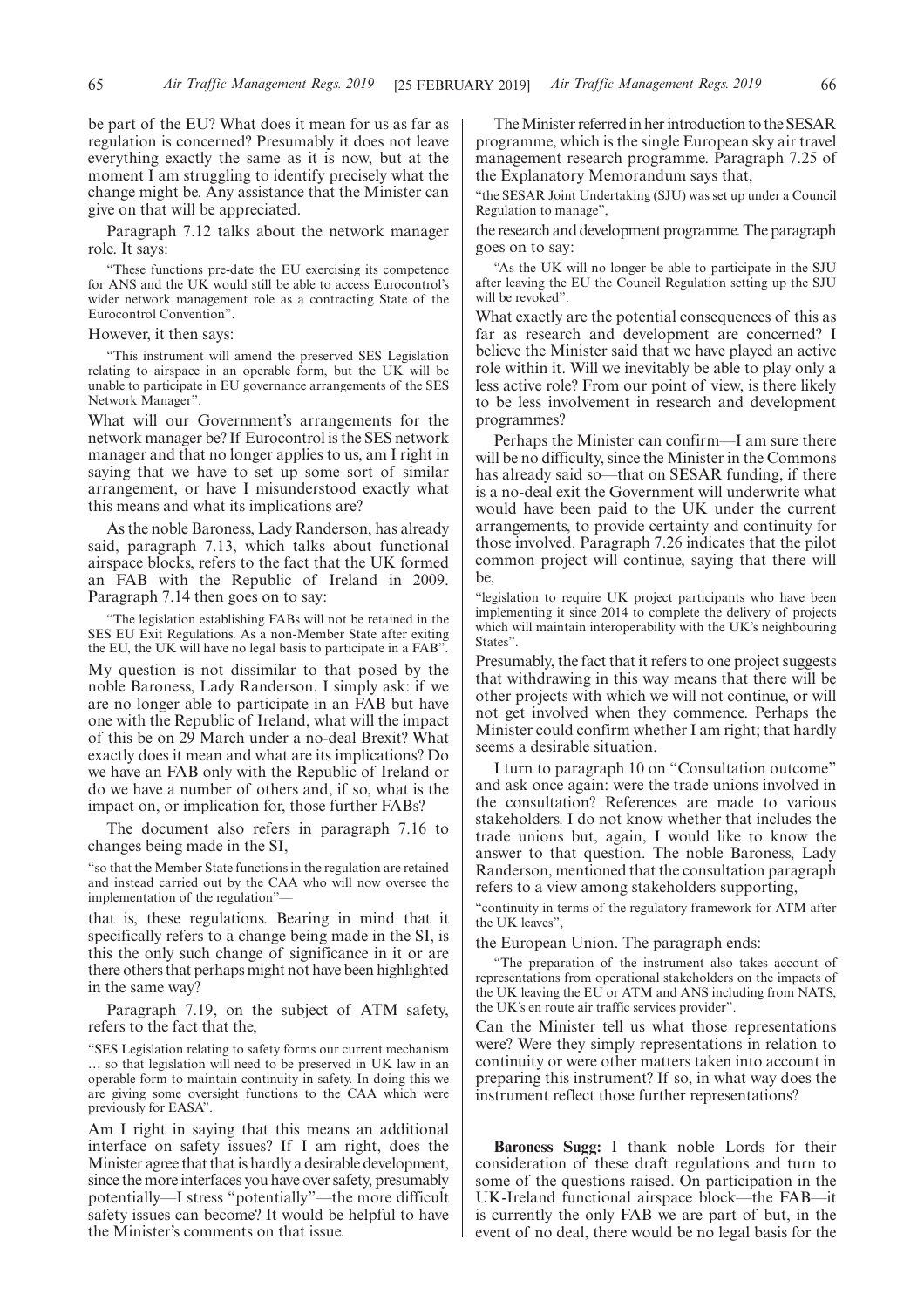be part of the EU? What does it mean for us as far as regulation is concerned? Presumably it does not leave everything exactly the same as it is now, but at the moment I am struggling to identify precisely what the change might be. Any assistance that the Minister can give on that will be appreciated.

Paragraph 7.12 talks about the network manager role. It says:

"These functions pre-date the EU exercising its competence for ANS and the UK would still be able to access Eurocontrol's wider network management role as a contracting State of the Eurocontrol Convention".

#### However, it then says:

"This instrument will amend the preserved SES Legislation relating to airspace in an operable form, but the UK will be unable to participate in EU governance arrangements of the SES Network Manager".

What will our Government's arrangements for the network manager be? If Eurocontrol is the SES network manager and that no longer applies to us, am I right in saying that we have to set up some sort of similar arrangement, or have I misunderstood exactly what this means and what its implications are?

As the noble Baroness, Lady Randerson, has already said, paragraph 7.13, which talks about functional airspace blocks, refers to the fact that the UK formed an FAB with the Republic of Ireland in 2009. Paragraph 7.14 then goes on to say:

"The legislation establishing FABs will not be retained in the SES EU Exit Regulations. As a non-Member State after exiting the EU, the UK will have no legal basis to participate in a FAB".

My question is not dissimilar to that posed by the noble Baroness, Lady Randerson. I simply ask: if we are no longer able to participate in an FAB but have one with the Republic of Ireland, what will the impact of this be on 29 March under a no-deal Brexit? What exactly does it mean and what are its implications? Do we have an FAB only with the Republic of Ireland or do we have a number of others and, if so, what is the impact on, or implication for, those further FABs?

The document also refers in paragraph 7.16 to changes being made in the SI,

"so that the Member State functions in the regulation are retained and instead carried out by the CAA who will now oversee the implementation of the regulation"—

that is, these regulations. Bearing in mind that it specifically refers to a change being made in the SI, is this the only such change of significance in it or are there others that perhaps might not have been highlighted in the same way?

Paragraph 7.19, on the subject of ATM safety, refers to the fact that the,

"SES Legislation relating to safety forms our current mechanism … so that legislation will need to be preserved in UK law in an operable form to maintain continuity in safety. In doing this we are giving some oversight functions to the CAA which were previously for EASA".

Am I right in saying that this means an additional interface on safety issues? If I am right, does the Minister agree that that is hardly a desirable development, since the more interfaces you have over safety, presumably potentially—I stress "potentially"—the more difficult safety issues can become? It would be helpful to have the Minister's comments on that issue.

The Minister referred in her introduction to the SESAR programme, which is the single European sky air travel management research programme. Paragraph 7.25 of the Explanatory Memorandum says that,

"the SESAR Joint Undertaking (SJU) was set up under a Council Regulation to manage",

the research and development programme. The paragraph goes on to say:

"As the UK will no longer be able to participate in the SJU after leaving the EU the Council Regulation setting up the SJU will be revoked".

What exactly are the potential consequences of this as far as research and development are concerned? I believe the Minister said that we have played an active role within it. Will we inevitably be able to play only a less active role? From our point of view, is there likely to be less involvement in research and development programmes?

Perhaps the Minister can confirm—I am sure there will be no difficulty, since the Minister in the Commons has already said so—that on SESAR funding, if there is a no-deal exit the Government will underwrite what would have been paid to the UK under the current arrangements, to provide certainty and continuity for those involved. Paragraph 7.26 indicates that the pilot common project will continue, saying that there will be,

"legislation to require UK project participants who have been implementing it since 2014 to complete the delivery of projects which will maintain interoperability with the UK's neighbouring States".

Presumably, the fact that it refers to one project suggests that withdrawing in this way means that there will be other projects with which we will not continue, or will not get involved when they commence. Perhaps the Minister could confirm whether I am right; that hardly seems a desirable situation.

I turn to paragraph 10 on "Consultation outcome" and ask once again: were the trade unions involved in the consultation? References are made to various stakeholders. I do not know whether that includes the trade unions but, again, I would like to know the answer to that question. The noble Baroness, Lady Randerson, mentioned that the consultation paragraph refers to a view among stakeholders supporting,

"continuity in terms of the regulatory framework for ATM after the UK leaves",

the European Union. The paragraph ends:

"The preparation of the instrument also takes account of representations from operational stakeholders on the impacts of the UK leaving the EU or ATM and ANS including from NATS, the UK's en route air traffic services provider".

Can the Minister tell us what those representations were? Were they simply representations in relation to continuity or were other matters taken into account in preparing this instrument? If so, in what way does the instrument reflect those further representations?

**Baroness Sugg:** I thank noble Lords for their consideration of these draft regulations and turn to some of the questions raised. On participation in the UK-Ireland functional airspace block—the FAB—it is currently the only FAB we are part of but, in the event of no deal, there would be no legal basis for the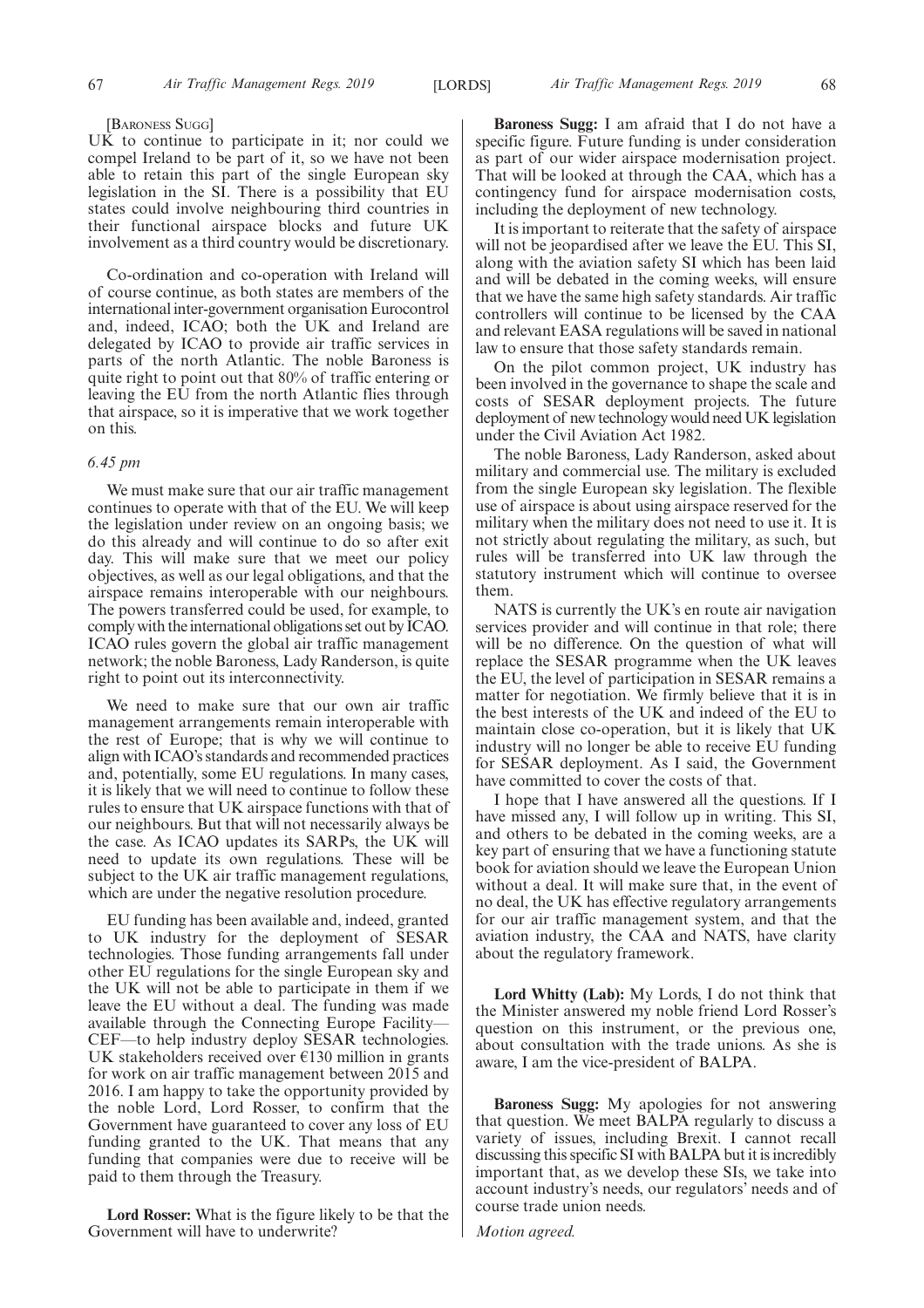#### [BARONESS SUGG]

UK to continue to participate in it; nor could we compel Ireland to be part of it, so we have not been able to retain this part of the single European sky legislation in the SI. There is a possibility that EU states could involve neighbouring third countries in their functional airspace blocks and future UK involvement as a third country would be discretionary.

Co-ordination and co-operation with Ireland will of course continue, as both states are members of the international inter-government organisation Eurocontrol and, indeed, ICAO; both the UK and Ireland are delegated by ICAO to provide air traffic services in parts of the north Atlantic. The noble Baroness is quite right to point out that 80% of traffic entering or leaving the EU from the north Atlantic flies through that airspace, so it is imperative that we work together on this.

#### *6.45 pm*

We must make sure that our air traffic management continues to operate with that of the EU. We will keep the legislation under review on an ongoing basis; we do this already and will continue to do so after exit day. This will make sure that we meet our policy objectives, as well as our legal obligations, and that the airspace remains interoperable with our neighbours. The powers transferred could be used, for example, to comply with the international obligations set out by ICAO. ICAO rules govern the global air traffic management network; the noble Baroness, Lady Randerson, is quite right to point out its interconnectivity.

We need to make sure that our own air traffic management arrangements remain interoperable with the rest of Europe; that is why we will continue to align with ICAO's standards and recommended practices and, potentially, some EU regulations. In many cases, it is likely that we will need to continue to follow these rules to ensure that UK airspace functions with that of our neighbours. But that will not necessarily always be the case. As ICAO updates its SARPs, the UK will need to update its own regulations. These will be subject to the UK air traffic management regulations, which are under the negative resolution procedure.

EU funding has been available and, indeed, granted to UK industry for the deployment of SESAR technologies. Those funding arrangements fall under other EU regulations for the single European sky and the UK will not be able to participate in them if we leave the EU without a deal. The funding was made available through the Connecting Europe Facility— CEF—to help industry deploy SESAR technologies. UK stakeholders received over  $E130$  million in grants for work on air traffic management between 2015 and 2016. I am happy to take the opportunity provided by the noble Lord, Lord Rosser, to confirm that the Government have guaranteed to cover any loss of EU funding granted to the UK. That means that any funding that companies were due to receive will be paid to them through the Treasury.

**Lord Rosser:** What is the figure likely to be that the Government will have to underwrite?

**Baroness Sugg:** I am afraid that I do not have a specific figure. Future funding is under consideration as part of our wider airspace modernisation project. That will be looked at through the CAA, which has a contingency fund for airspace modernisation costs, including the deployment of new technology.

It is important to reiterate that the safety of airspace will not be jeopardised after we leave the EU. This SI, along with the aviation safety SI which has been laid and will be debated in the coming weeks, will ensure that we have the same high safety standards. Air traffic controllers will continue to be licensed by the CAA and relevant EASA regulations will be saved in national law to ensure that those safety standards remain.

On the pilot common project, UK industry has been involved in the governance to shape the scale and costs of SESAR deployment projects. The future deployment of new technology would need UK legislation under the Civil Aviation Act 1982.

The noble Baroness, Lady Randerson, asked about military and commercial use. The military is excluded from the single European sky legislation. The flexible use of airspace is about using airspace reserved for the military when the military does not need to use it. It is not strictly about regulating the military, as such, but rules will be transferred into UK law through the statutory instrument which will continue to oversee them.

NATS is currently the UK's en route air navigation services provider and will continue in that role; there will be no difference. On the question of what will replace the SESAR programme when the UK leaves the EU, the level of participation in SESAR remains a matter for negotiation. We firmly believe that it is in the best interests of the UK and indeed of the EU to maintain close co-operation, but it is likely that UK industry will no longer be able to receive EU funding for SESAR deployment. As I said, the Government have committed to cover the costs of that.

I hope that I have answered all the questions. If I have missed any, I will follow up in writing. This SI, and others to be debated in the coming weeks, are a key part of ensuring that we have a functioning statute book for aviation should we leave the European Union without a deal. It will make sure that, in the event of no deal, the UK has effective regulatory arrangements for our air traffic management system, and that the aviation industry, the CAA and NATS, have clarity about the regulatory framework.

**Lord Whitty (Lab):** My Lords, I do not think that the Minister answered my noble friend Lord Rosser's question on this instrument, or the previous one, about consultation with the trade unions. As she is aware, I am the vice-president of BALPA.

**Baroness Sugg:** My apologies for not answering that question. We meet BALPA regularly to discuss a variety of issues, including Brexit. I cannot recall discussing this specific SI with BALPA but it is incredibly important that, as we develop these SIs, we take into account industry's needs, our regulators' needs and of course trade union needs.

*Motion agreed.*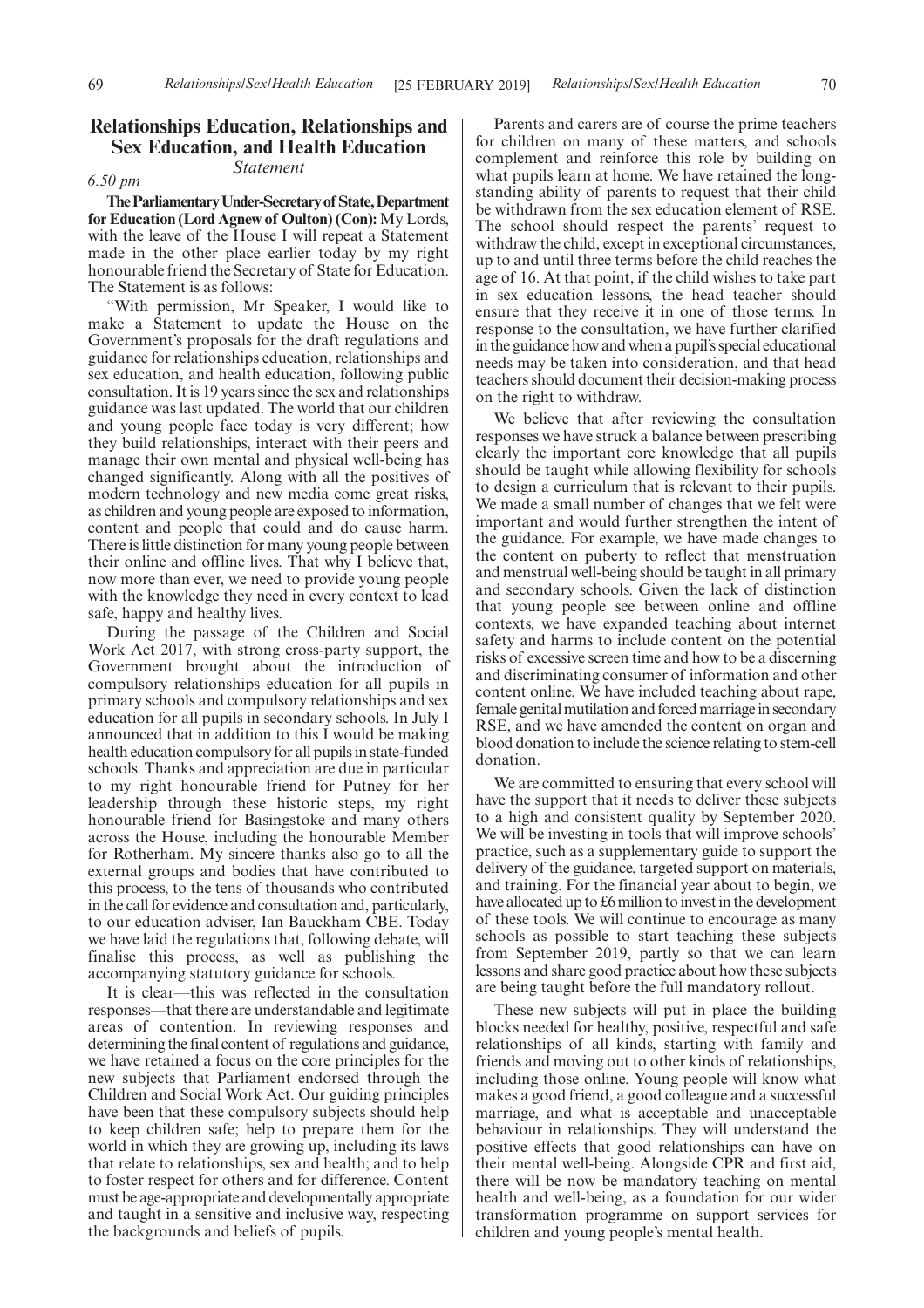### **Relationships Education, Relationships and Sex Education, and Health Education** *Statement*

*6.50 pm*

**TheParliamentaryUnder-Secretaryof State,Department for Education (Lord Agnew of Oulton) (Con):** My Lords, with the leave of the House I will repeat a Statement made in the other place earlier today by my right honourable friend the Secretary of State for Education. The Statement is as follows:

"With permission, Mr Speaker, I would like to make a Statement to update the House on the Government's proposals for the draft regulations and guidance for relationships education, relationships and sex education, and health education, following public consultation. It is 19 years since the sex and relationships guidance was last updated. The world that our children and young people face today is very different; how they build relationships, interact with their peers and manage their own mental and physical well-being has changed significantly. Along with all the positives of modern technology and new media come great risks, as children and young people are exposed to information, content and people that could and do cause harm. There is little distinction for many young people between their online and offline lives. That why I believe that, now more than ever, we need to provide young people with the knowledge they need in every context to lead safe, happy and healthy lives.

During the passage of the Children and Social Work Act 2017, with strong cross-party support, the Government brought about the introduction of compulsory relationships education for all pupils in primary schools and compulsory relationships and sex education for all pupils in secondary schools. In July I announced that in addition to this I would be making health education compulsory for all pupils in state-funded schools. Thanks and appreciation are due in particular to my right honourable friend for Putney for her leadership through these historic steps, my right honourable friend for Basingstoke and many others across the House, including the honourable Member for Rotherham. My sincere thanks also go to all the external groups and bodies that have contributed to this process, to the tens of thousands who contributed in the call for evidence and consultation and, particularly, to our education adviser, Ian Bauckham CBE. Today we have laid the regulations that, following debate, will finalise this process, as well as publishing the accompanying statutory guidance for schools.

It is clear—this was reflected in the consultation responses—that there are understandable and legitimate areas of contention. In reviewing responses and determining the final content of regulations and guidance, we have retained a focus on the core principles for the new subjects that Parliament endorsed through the Children and Social Work Act. Our guiding principles have been that these compulsory subjects should help to keep children safe; help to prepare them for the world in which they are growing up, including its laws that relate to relationships, sex and health; and to help to foster respect for others and for difference. Content must be age-appropriate and developmentally appropriate and taught in a sensitive and inclusive way, respecting the backgrounds and beliefs of pupils.

Parents and carers are of course the prime teachers for children on many of these matters, and schools complement and reinforce this role by building on what pupils learn at home. We have retained the longstanding ability of parents to request that their child be withdrawn from the sex education element of RSE. The school should respect the parents' request to withdraw the child, except in exceptional circumstances, up to and until three terms before the child reaches the age of 16. At that point, if the child wishes to take part in sex education lessons, the head teacher should ensure that they receive it in one of those terms. In response to the consultation, we have further clarified in the guidance how and when a pupil's special educational needs may be taken into consideration, and that head teachers should document their decision-making process on the right to withdraw.

We believe that after reviewing the consultation responses we have struck a balance between prescribing clearly the important core knowledge that all pupils should be taught while allowing flexibility for schools to design a curriculum that is relevant to their pupils. We made a small number of changes that we felt were important and would further strengthen the intent of the guidance. For example, we have made changes to the content on puberty to reflect that menstruation and menstrual well-being should be taught in all primary and secondary schools. Given the lack of distinction that young people see between online and offline contexts, we have expanded teaching about internet safety and harms to include content on the potential risks of excessive screen time and how to be a discerning and discriminating consumer of information and other content online. We have included teaching about rape, female genital mutilation and forced marriage in secondary RSE, and we have amended the content on organ and blood donation to include the science relating to stem-cell donation.

We are committed to ensuring that every school will have the support that it needs to deliver these subjects to a high and consistent quality by September 2020. We will be investing in tools that will improve schools' practice, such as a supplementary guide to support the delivery of the guidance, targeted support on materials, and training. For the financial year about to begin, we have allocated up to £6 million to invest in the development of these tools. We will continue to encourage as many schools as possible to start teaching these subjects from September 2019, partly so that we can learn lessons and share good practice about how these subjects are being taught before the full mandatory rollout.

These new subjects will put in place the building blocks needed for healthy, positive, respectful and safe relationships of all kinds, starting with family and friends and moving out to other kinds of relationships, including those online. Young people will know what makes a good friend, a good colleague and a successful marriage, and what is acceptable and unacceptable behaviour in relationships. They will understand the positive effects that good relationships can have on their mental well-being. Alongside CPR and first aid, there will be now be mandatory teaching on mental health and well-being, as a foundation for our wider transformation programme on support services for children and young people's mental health.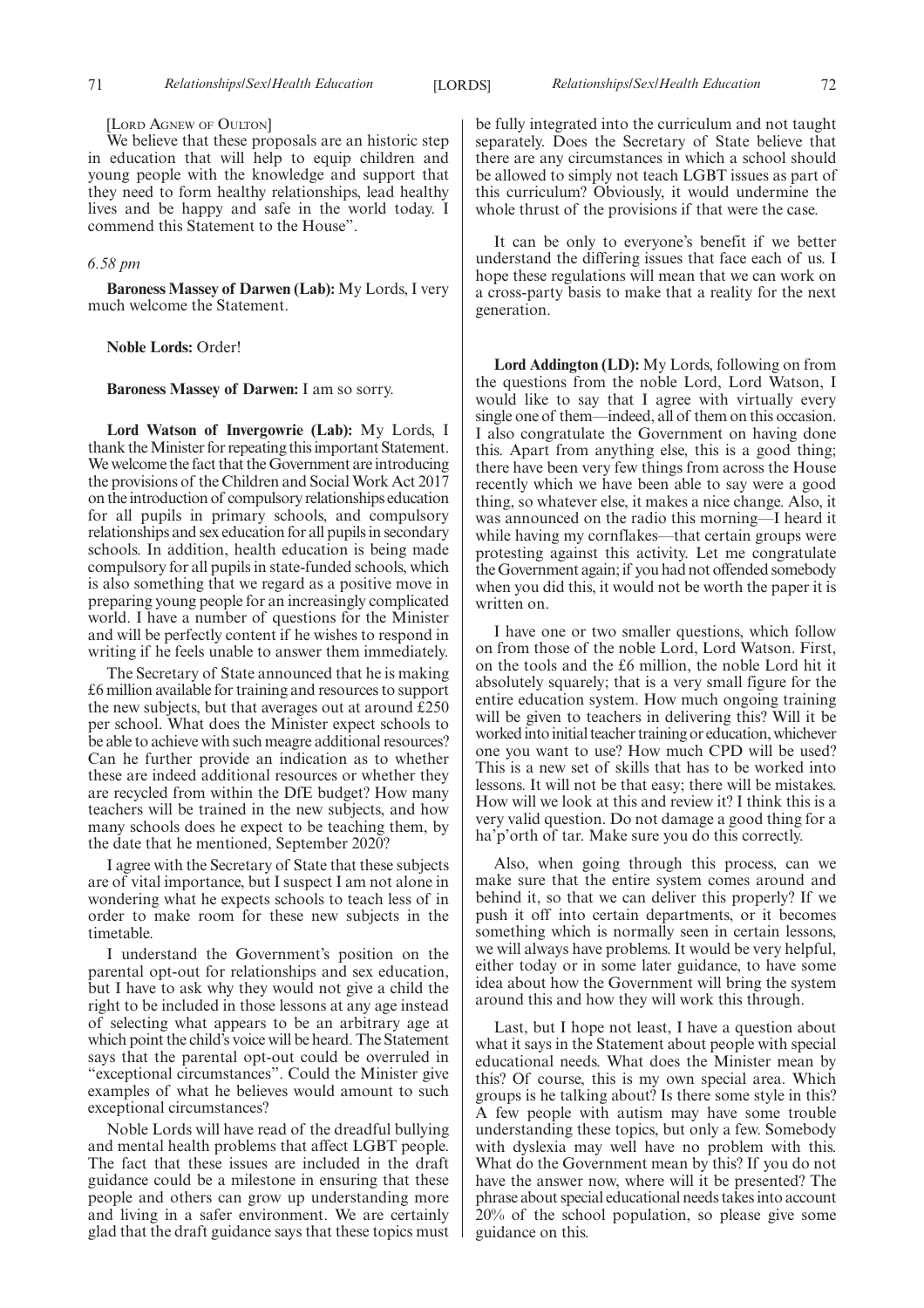#### [LORD AGNEW OF OULTON]

We believe that these proposals are an historic step in education that will help to equip children and young people with the knowledge and support that they need to form healthy relationships, lead healthy lives and be happy and safe in the world today. I commend this Statement to the House".

#### *6.58 pm*

**Baroness Massey of Darwen (Lab):** My Lords, I very much welcome the Statement.

#### **Noble Lords:** Order!

#### **Baroness Massey of Darwen:** I am so sorry.

**Lord Watson of Invergowrie (Lab):** My Lords, I thank the Minister for repeating this important Statement. We welcome the fact that the Government are introducing the provisions of the Children and Social Work Act 2017 on the introduction of compulsory relationships education for all pupils in primary schools, and compulsory relationships and sex education for all pupils in secondary schools. In addition, health education is being made compulsory for all pupils in state-funded schools, which is also something that we regard as a positive move in preparing young people for an increasingly complicated world. I have a number of questions for the Minister and will be perfectly content if he wishes to respond in writing if he feels unable to answer them immediately.

The Secretary of State announced that he is making £6 million available for training and resources to support the new subjects, but that averages out at around £250 per school. What does the Minister expect schools to be able to achieve with such meagre additional resources? Can he further provide an indication as to whether these are indeed additional resources or whether they are recycled from within the DfE budget? How many teachers will be trained in the new subjects, and how many schools does he expect to be teaching them, by the date that he mentioned, September 2020?

I agree with the Secretary of State that these subjects are of vital importance, but I suspect I am not alone in wondering what he expects schools to teach less of in order to make room for these new subjects in the timetable.

I understand the Government's position on the parental opt-out for relationships and sex education, but I have to ask why they would not give a child the right to be included in those lessons at any age instead of selecting what appears to be an arbitrary age at which point the child's voice will be heard. The Statement says that the parental opt-out could be overruled in "exceptional circumstances". Could the Minister give examples of what he believes would amount to such exceptional circumstances?

Noble Lords will have read of the dreadful bullying and mental health problems that affect LGBT people. The fact that these issues are included in the draft guidance could be a milestone in ensuring that these people and others can grow up understanding more and living in a safer environment. We are certainly glad that the draft guidance says that these topics must be fully integrated into the curriculum and not taught separately. Does the Secretary of State believe that there are any circumstances in which a school should be allowed to simply not teach LGBT issues as part of this curriculum? Obviously, it would undermine the whole thrust of the provisions if that were the case.

It can be only to everyone's benefit if we better understand the differing issues that face each of us. I hope these regulations will mean that we can work on a cross-party basis to make that a reality for the next generation.

**Lord Addington (LD):** My Lords, following on from the questions from the noble Lord, Lord Watson, I would like to say that I agree with virtually every single one of them—indeed, all of them on this occasion. I also congratulate the Government on having done this. Apart from anything else, this is a good thing; there have been very few things from across the House recently which we have been able to say were a good thing, so whatever else, it makes a nice change. Also, it was announced on the radio this morning—I heard it while having my cornflakes—that certain groups were protesting against this activity. Let me congratulate the Government again; if you had not offended somebody when you did this, it would not be worth the paper it is written on.

I have one or two smaller questions, which follow on from those of the noble Lord, Lord Watson. First, on the tools and the £6 million, the noble Lord hit it absolutely squarely; that is a very small figure for the entire education system. How much ongoing training will be given to teachers in delivering this? Will it be worked into initial teacher training or education, whichever one you want to use? How much CPD will be used? This is a new set of skills that has to be worked into lessons. It will not be that easy; there will be mistakes. How will we look at this and review it? I think this is a very valid question. Do not damage a good thing for a ha'p'orth of tar. Make sure you do this correctly.

Also, when going through this process, can we make sure that the entire system comes around and behind it, so that we can deliver this properly? If we push it off into certain departments, or it becomes something which is normally seen in certain lessons, we will always have problems. It would be very helpful, either today or in some later guidance, to have some idea about how the Government will bring the system around this and how they will work this through.

Last, but I hope not least, I have a question about what it says in the Statement about people with special educational needs. What does the Minister mean by this? Of course, this is my own special area. Which groups is he talking about? Is there some style in this? A few people with autism may have some trouble understanding these topics, but only a few. Somebody with dyslexia may well have no problem with this. What do the Government mean by this? If you do not have the answer now, where will it be presented? The phrase about special educational needs takes into account 20% of the school population, so please give some guidance on this.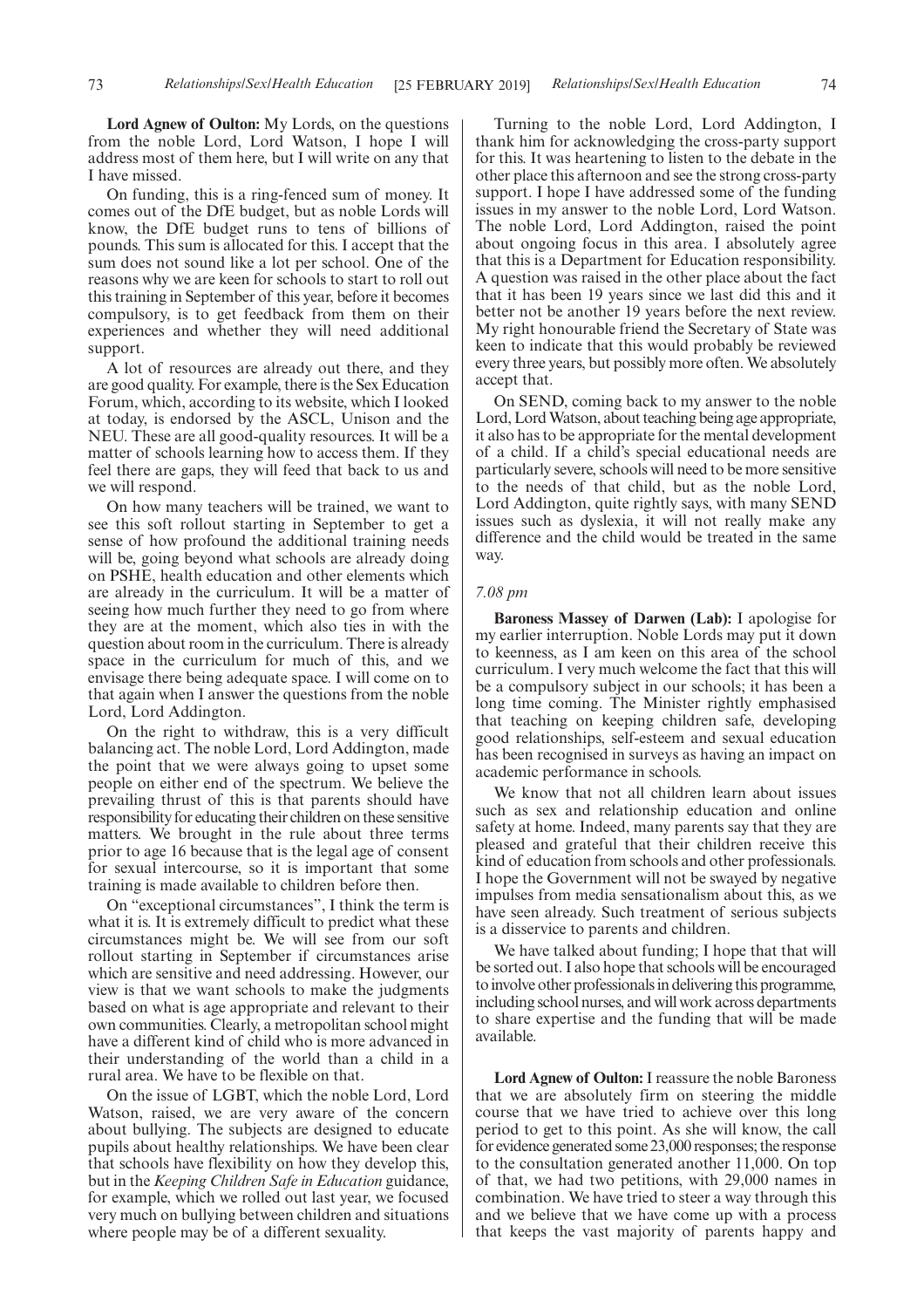**Lord Agnew of Oulton:** My Lords, on the questions from the noble Lord, Lord Watson, I hope I will address most of them here, but I will write on any that I have missed.

On funding, this is a ring-fenced sum of money. It comes out of the DfE budget, but as noble Lords will know, the DfE budget runs to tens of billions of pounds. This sum is allocated for this. I accept that the sum does not sound like a lot per school. One of the reasons why we are keen for schools to start to roll out this training in September of this year, before it becomes compulsory, is to get feedback from them on their experiences and whether they will need additional support.

A lot of resources are already out there, and they are good quality. For example, there is the Sex Education Forum, which, according to its website, which I looked at today, is endorsed by the ASCL, Unison and the NEU. These are all good-quality resources. It will be a matter of schools learning how to access them. If they feel there are gaps, they will feed that back to us and we will respond.

On how many teachers will be trained, we want to see this soft rollout starting in September to get a sense of how profound the additional training needs will be, going beyond what schools are already doing on PSHE, health education and other elements which are already in the curriculum. It will be a matter of seeing how much further they need to go from where they are at the moment, which also ties in with the question about room in the curriculum. There is already space in the curriculum for much of this, and we envisage there being adequate space. I will come on to that again when I answer the questions from the noble Lord, Lord Addington.

On the right to withdraw, this is a very difficult balancing act. The noble Lord, Lord Addington, made the point that we were always going to upset some people on either end of the spectrum. We believe the prevailing thrust of this is that parents should have responsibility for educating their children on these sensitive matters. We brought in the rule about three terms prior to age 16 because that is the legal age of consent for sexual intercourse, so it is important that some training is made available to children before then.

On "exceptional circumstances", I think the term is what it is. It is extremely difficult to predict what these circumstances might be. We will see from our soft rollout starting in September if circumstances arise which are sensitive and need addressing. However, our view is that we want schools to make the judgments based on what is age appropriate and relevant to their own communities. Clearly, a metropolitan school might have a different kind of child who is more advanced in their understanding of the world than a child in a rural area. We have to be flexible on that.

On the issue of LGBT, which the noble Lord, Lord Watson, raised, we are very aware of the concern about bullying. The subjects are designed to educate pupils about healthy relationships. We have been clear that schools have flexibility on how they develop this, but in the *Keeping Children Safe in Education* guidance, for example, which we rolled out last year, we focused very much on bullying between children and situations where people may be of a different sexuality.

Turning to the noble Lord, Lord Addington, I thank him for acknowledging the cross-party support for this. It was heartening to listen to the debate in the other place this afternoon and see the strong cross-party support. I hope I have addressed some of the funding issues in my answer to the noble Lord, Lord Watson. The noble Lord, Lord Addington, raised the point about ongoing focus in this area. I absolutely agree that this is a Department for Education responsibility. A question was raised in the other place about the fact that it has been 19 years since we last did this and it better not be another 19 years before the next review. My right honourable friend the Secretary of State was keen to indicate that this would probably be reviewed every three years, but possibly more often. We absolutely accept that.

On SEND, coming back to my answer to the noble Lord, Lord Watson, about teaching being age appropriate, it also has to be appropriate for the mental development of a child. If a child's special educational needs are particularly severe, schools will need to be more sensitive to the needs of that child, but as the noble Lord, Lord Addington, quite rightly says, with many SEND issues such as dyslexia, it will not really make any difference and the child would be treated in the same way.

#### *7.08 pm*

**Baroness Massey of Darwen (Lab):** I apologise for my earlier interruption. Noble Lords may put it down to keenness, as I am keen on this area of the school curriculum. I very much welcome the fact that this will be a compulsory subject in our schools; it has been a long time coming. The Minister rightly emphasised that teaching on keeping children safe, developing good relationships, self-esteem and sexual education has been recognised in surveys as having an impact on academic performance in schools.

We know that not all children learn about issues such as sex and relationship education and online safety at home. Indeed, many parents say that they are pleased and grateful that their children receive this kind of education from schools and other professionals. I hope the Government will not be swayed by negative impulses from media sensationalism about this, as we have seen already. Such treatment of serious subjects is a disservice to parents and children.

We have talked about funding; I hope that that will be sorted out. I also hope that schools will be encouraged to involve other professionals in delivering this programme, including school nurses, and will work across departments to share expertise and the funding that will be made available.

**Lord Agnew of Oulton:**I reassure the noble Baroness that we are absolutely firm on steering the middle course that we have tried to achieve over this long period to get to this point. As she will know, the call for evidence generated some 23,000 responses; the response to the consultation generated another 11,000. On top of that, we had two petitions, with 29,000 names in combination. We have tried to steer a way through this and we believe that we have come up with a process that keeps the vast majority of parents happy and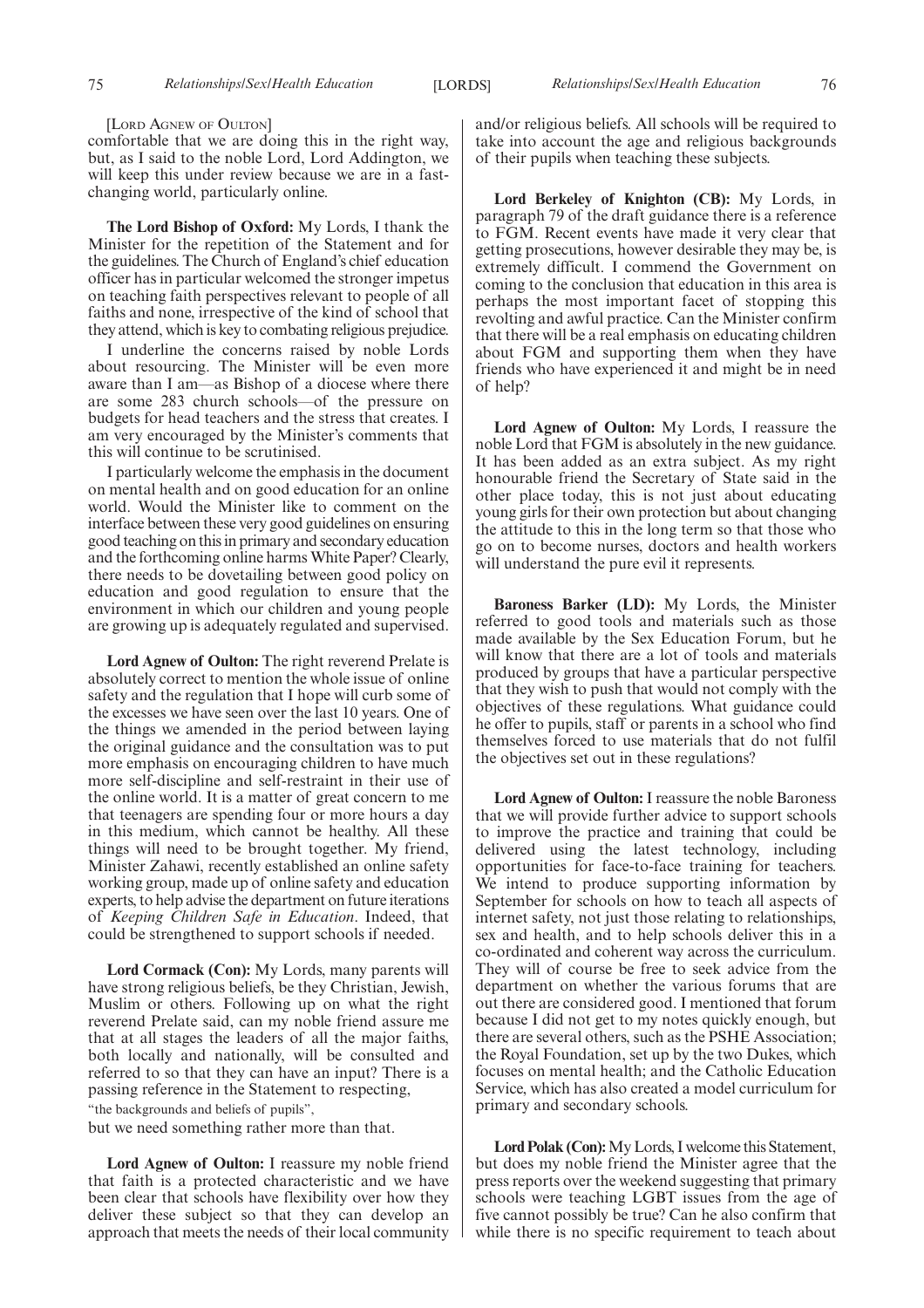[LORD AGNEW OF OULTON]

comfortable that we are doing this in the right way, but, as I said to the noble Lord, Lord Addington, we will keep this under review because we are in a fastchanging world, particularly online.

**The Lord Bishop of Oxford:** My Lords, I thank the Minister for the repetition of the Statement and for the guidelines. The Church of England's chief education officer has in particular welcomed the stronger impetus on teaching faith perspectives relevant to people of all faiths and none, irrespective of the kind of school that they attend, which is key to combating religious prejudice.

I underline the concerns raised by noble Lords about resourcing. The Minister will be even more aware than I am—as Bishop of a diocese where there are some 283 church schools—of the pressure on budgets for head teachers and the stress that creates. I am very encouraged by the Minister's comments that this will continue to be scrutinised.

I particularly welcome the emphasis in the document on mental health and on good education for an online world. Would the Minister like to comment on the interface between these very good guidelines on ensuring good teaching on this in primary and secondary education and the forthcoming online harms White Paper? Clearly, there needs to be dovetailing between good policy on education and good regulation to ensure that the environment in which our children and young people are growing up is adequately regulated and supervised.

**Lord Agnew of Oulton:** The right reverend Prelate is absolutely correct to mention the whole issue of online safety and the regulation that I hope will curb some of the excesses we have seen over the last 10 years. One of the things we amended in the period between laying the original guidance and the consultation was to put more emphasis on encouraging children to have much more self-discipline and self-restraint in their use of the online world. It is a matter of great concern to me that teenagers are spending four or more hours a day in this medium, which cannot be healthy. All these things will need to be brought together. My friend, Minister Zahawi, recently established an online safety working group, made up of online safety and education experts, to help advise the department on future iterations of *Keeping Children Safe in Education*. Indeed, that could be strengthened to support schools if needed.

**Lord Cormack (Con):** My Lords, many parents will have strong religious beliefs, be they Christian, Jewish, Muslim or others. Following up on what the right reverend Prelate said, can my noble friend assure me that at all stages the leaders of all the major faiths, both locally and nationally, will be consulted and referred to so that they can have an input? There is a passing reference in the Statement to respecting, "the backgrounds and beliefs of pupils",

but we need something rather more than that.

**Lord Agnew of Oulton:** I reassure my noble friend that faith is a protected characteristic and we have been clear that schools have flexibility over how they deliver these subject so that they can develop an approach that meets the needs of their local community and/or religious beliefs. All schools will be required to take into account the age and religious backgrounds of their pupils when teaching these subjects.

**Lord Berkeley of Knighton (CB):** My Lords, in paragraph 79 of the draft guidance there is a reference to FGM. Recent events have made it very clear that getting prosecutions, however desirable they may be, is extremely difficult. I commend the Government on coming to the conclusion that education in this area is perhaps the most important facet of stopping this revolting and awful practice. Can the Minister confirm that there will be a real emphasis on educating children about FGM and supporting them when they have friends who have experienced it and might be in need of help?

**Lord Agnew of Oulton:** My Lords, I reassure the noble Lord that FGM is absolutely in the new guidance. It has been added as an extra subject. As my right honourable friend the Secretary of State said in the other place today, this is not just about educating young girls for their own protection but about changing the attitude to this in the long term so that those who go on to become nurses, doctors and health workers will understand the pure evil it represents.

**Baroness Barker (LD):** My Lords, the Minister referred to good tools and materials such as those made available by the Sex Education Forum, but he will know that there are a lot of tools and materials produced by groups that have a particular perspective that they wish to push that would not comply with the objectives of these regulations. What guidance could he offer to pupils, staff or parents in a school who find themselves forced to use materials that do not fulfil the objectives set out in these regulations?

**Lord Agnew of Oulton:**I reassure the noble Baroness that we will provide further advice to support schools to improve the practice and training that could be delivered using the latest technology, including opportunities for face-to-face training for teachers. We intend to produce supporting information by September for schools on how to teach all aspects of internet safety, not just those relating to relationships, sex and health, and to help schools deliver this in a co-ordinated and coherent way across the curriculum. They will of course be free to seek advice from the department on whether the various forums that are out there are considered good. I mentioned that forum because I did not get to my notes quickly enough, but there are several others, such as the PSHE Association; the Royal Foundation, set up by the two Dukes, which focuses on mental health; and the Catholic Education Service, which has also created a model curriculum for primary and secondary schools.

**Lord Polak (Con):**My Lords, I welcome this Statement, but does my noble friend the Minister agree that the press reports over the weekend suggesting that primary schools were teaching LGBT issues from the age of five cannot possibly be true? Can he also confirm that while there is no specific requirement to teach about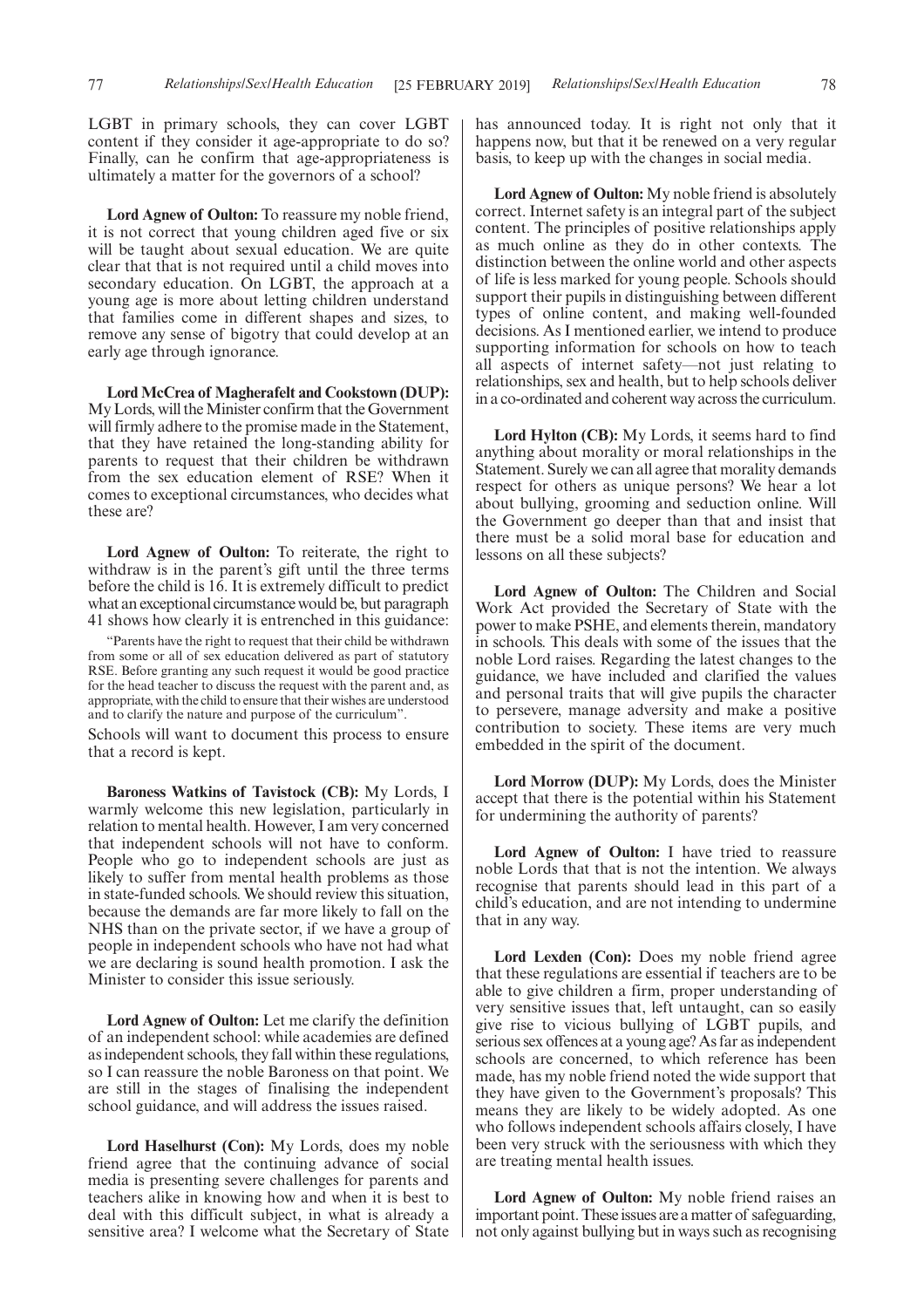**Lord Agnew of Oulton:** To reassure my noble friend, it is not correct that young children aged five or six will be taught about sexual education. We are quite clear that that is not required until a child moves into secondary education. On LGBT, the approach at a young age is more about letting children understand that families come in different shapes and sizes, to remove any sense of bigotry that could develop at an early age through ignorance.

**Lord McCrea of Magherafelt and Cookstown (DUP):** My Lords, will the Minister confirm that the Government will firmly adhere to the promise made in the Statement, that they have retained the long-standing ability for parents to request that their children be withdrawn from the sex education element of RSE? When it comes to exceptional circumstances, who decides what these are?

**Lord Agnew of Oulton:** To reiterate, the right to withdraw is in the parent's gift until the three terms before the child is 16. It is extremely difficult to predict what an exceptional circumstance would be, but paragraph 41 shows how clearly it is entrenched in this guidance:

"Parents have the right to request that their child be withdrawn from some or all of sex education delivered as part of statutory RSE. Before granting any such request it would be good practice for the head teacher to discuss the request with the parent and, as appropriate, with the child to ensure that their wishes are understood and to clarify the nature and purpose of the curriculum".

Schools will want to document this process to ensure that a record is kept.

**Baroness Watkins of Tavistock (CB):** My Lords, I warmly welcome this new legislation, particularly in relation to mental health. However, I am very concerned that independent schools will not have to conform. People who go to independent schools are just as likely to suffer from mental health problems as those in state-funded schools. We should review this situation, because the demands are far more likely to fall on the NHS than on the private sector, if we have a group of people in independent schools who have not had what we are declaring is sound health promotion. I ask the Minister to consider this issue seriously.

**Lord Agnew of Oulton:** Let me clarify the definition of an independent school: while academies are defined as independent schools, they fall within these regulations, so I can reassure the noble Baroness on that point. We are still in the stages of finalising the independent school guidance, and will address the issues raised.

**Lord Haselhurst (Con):** My Lords, does my noble friend agree that the continuing advance of social media is presenting severe challenges for parents and teachers alike in knowing how and when it is best to deal with this difficult subject, in what is already a sensitive area? I welcome what the Secretary of State has announced today. It is right not only that it happens now, but that it be renewed on a very regular basis, to keep up with the changes in social media.

**Lord Agnew of Oulton:** My noble friend is absolutely correct. Internet safety is an integral part of the subject content. The principles of positive relationships apply as much online as they do in other contexts. The distinction between the online world and other aspects of life is less marked for young people. Schools should support their pupils in distinguishing between different types of online content, and making well-founded decisions. As I mentioned earlier, we intend to produce supporting information for schools on how to teach all aspects of internet safety—not just relating to relationships, sex and health, but to help schools deliver in a co-ordinated and coherent way across the curriculum.

**Lord Hylton (CB):** My Lords, it seems hard to find anything about morality or moral relationships in the Statement. Surely we can all agree that morality demands respect for others as unique persons? We hear a lot about bullying, grooming and seduction online. Will the Government go deeper than that and insist that there must be a solid moral base for education and lessons on all these subjects?

**Lord Agnew of Oulton:** The Children and Social Work Act provided the Secretary of State with the power to make PSHE, and elements therein, mandatory in schools. This deals with some of the issues that the noble Lord raises. Regarding the latest changes to the guidance, we have included and clarified the values and personal traits that will give pupils the character to persevere, manage adversity and make a positive contribution to society. These items are very much embedded in the spirit of the document.

**Lord Morrow (DUP):** My Lords, does the Minister accept that there is the potential within his Statement for undermining the authority of parents?

**Lord Agnew of Oulton:** I have tried to reassure noble Lords that that is not the intention. We always recognise that parents should lead in this part of a child's education, and are not intending to undermine that in any way.

**Lord Lexden (Con):** Does my noble friend agree that these regulations are essential if teachers are to be able to give children a firm, proper understanding of very sensitive issues that, left untaught, can so easily give rise to vicious bullying of LGBT pupils, and serious sex offences at a young age? As far as independent schools are concerned, to which reference has been made, has my noble friend noted the wide support that they have given to the Government's proposals? This means they are likely to be widely adopted. As one who follows independent schools affairs closely, I have been very struck with the seriousness with which they are treating mental health issues.

**Lord Agnew of Oulton:** My noble friend raises an important point. These issues are a matter of safeguarding, not only against bullying but in ways such as recognising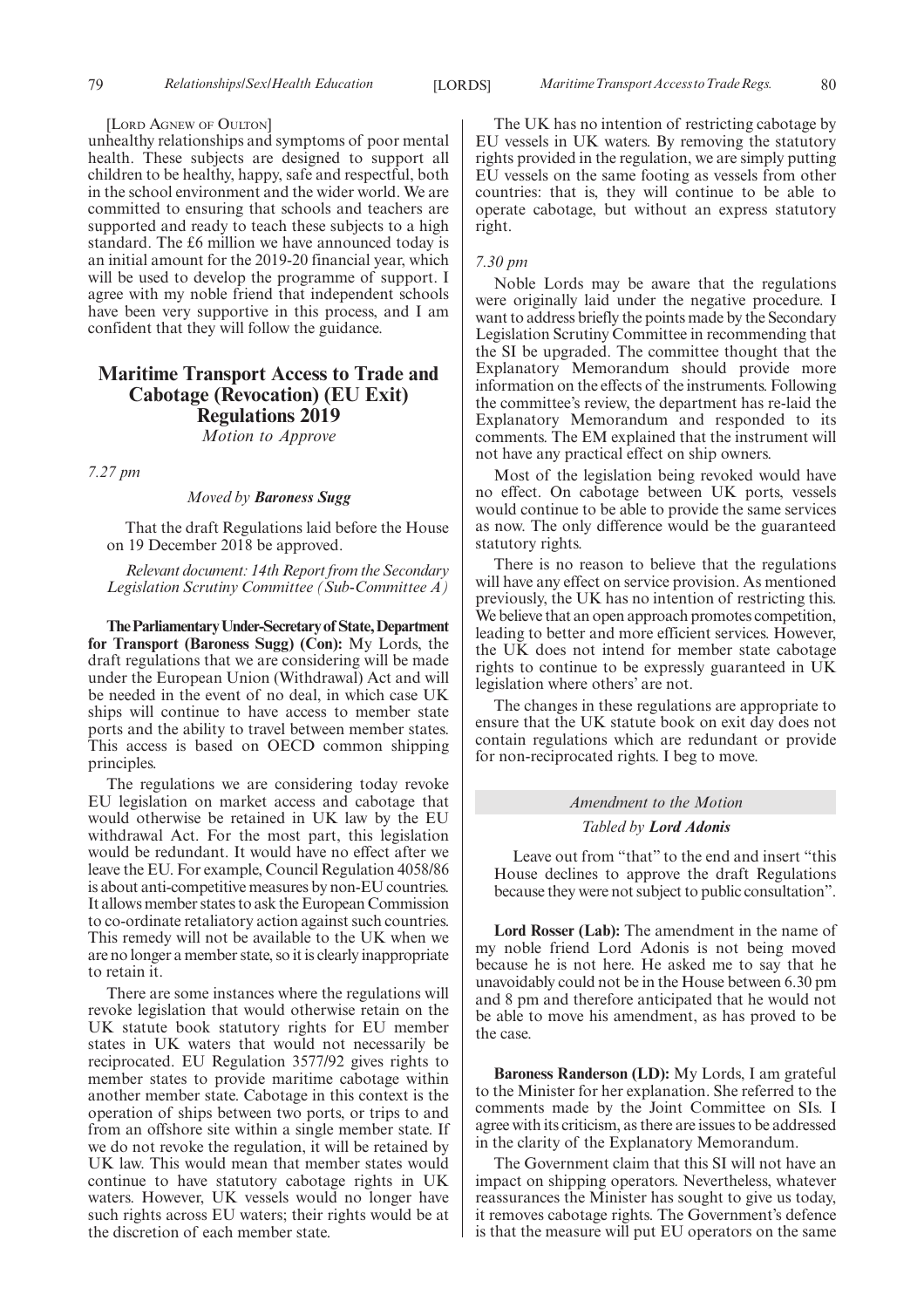#### [LORD AGNEW OF OULTON]

unhealthy relationships and symptoms of poor mental health. These subjects are designed to support all children to be healthy, happy, safe and respectful, both in the school environment and the wider world. We are committed to ensuring that schools and teachers are supported and ready to teach these subjects to a high standard. The £6 million we have announced today is an initial amount for the 2019-20 financial year, which will be used to develop the programme of support. I agree with my noble friend that independent schools have been very supportive in this process, and I am confident that they will follow the guidance.

## **Maritime Transport Access to Trade and Cabotage (Revocation) (EU Exit) Regulations 2019**

*Motion to Approve*

*7.27 pm*

#### *Moved by Baroness Sugg*

That the draft Regulations laid before the House on 19 December 2018 be approved.

*Relevant document: 14th Report from the Secondary Legislation Scrutiny Committee (Sub-Committee A)*

**TheParliamentaryUnder-Secretaryof State,Department for Transport (Baroness Sugg) (Con):** My Lords, the draft regulations that we are considering will be made under the European Union (Withdrawal) Act and will be needed in the event of no deal, in which case UK ships will continue to have access to member state ports and the ability to travel between member states. This access is based on OECD common shipping principles.

The regulations we are considering today revoke EU legislation on market access and cabotage that would otherwise be retained in UK law by the EU withdrawal Act. For the most part, this legislation would be redundant. It would have no effect after we leave the EU. For example, Council Regulation 4058/86 is about anti-competitive measures by non-EU countries. It allows member states to ask the European Commission to co-ordinate retaliatory action against such countries. This remedy will not be available to the UK when we are no longer a member state, so it is clearly inappropriate to retain it.

There are some instances where the regulations will revoke legislation that would otherwise retain on the UK statute book statutory rights for EU member states in UK waters that would not necessarily be reciprocated. EU Regulation 3577/92 gives rights to member states to provide maritime cabotage within another member state. Cabotage in this context is the operation of ships between two ports, or trips to and from an offshore site within a single member state. If we do not revoke the regulation, it will be retained by UK law. This would mean that member states would continue to have statutory cabotage rights in UK waters. However, UK vessels would no longer have such rights across EU waters; their rights would be at the discretion of each member state.

The UK has no intention of restricting cabotage by EU vessels in UK waters. By removing the statutory rights provided in the regulation, we are simply putting EU vessels on the same footing as vessels from other countries: that is, they will continue to be able to operate cabotage, but without an express statutory right.

#### *7.30 pm*

Noble Lords may be aware that the regulations were originally laid under the negative procedure. I want to address briefly the points made by the Secondary Legislation Scrutiny Committee in recommending that the SI be upgraded. The committee thought that the Explanatory Memorandum should provide more information on the effects of the instruments. Following the committee's review, the department has re-laid the Explanatory Memorandum and responded to its comments. The EM explained that the instrument will not have any practical effect on ship owners.

Most of the legislation being revoked would have no effect. On cabotage between UK ports, vessels would continue to be able to provide the same services as now. The only difference would be the guaranteed statutory rights.

There is no reason to believe that the regulations will have any effect on service provision. As mentioned previously, the UK has no intention of restricting this. We believe that an open approach promotes competition, leading to better and more efficient services. However, the UK does not intend for member state cabotage rights to continue to be expressly guaranteed in UK legislation where others' are not.

The changes in these regulations are appropriate to ensure that the UK statute book on exit day does not contain regulations which are redundant or provide for non-reciprocated rights. I beg to move.

#### *Amendment to the Motion*

#### *Tabled by Lord Adonis*

Leave out from "that" to the end and insert "this House declines to approve the draft Regulations because they were not subject to public consultation".

**Lord Rosser (Lab):** The amendment in the name of my noble friend Lord Adonis is not being moved because he is not here. He asked me to say that he unavoidably could not be in the House between 6.30 pm and 8 pm and therefore anticipated that he would not be able to move his amendment, as has proved to be the case.

**Baroness Randerson (LD):** My Lords, I am grateful to the Minister for her explanation. She referred to the comments made by the Joint Committee on SIs. I agree with its criticism, as there are issues to be addressed in the clarity of the Explanatory Memorandum.

The Government claim that this SI will not have an impact on shipping operators. Nevertheless, whatever reassurances the Minister has sought to give us today, it removes cabotage rights. The Government's defence is that the measure will put EU operators on the same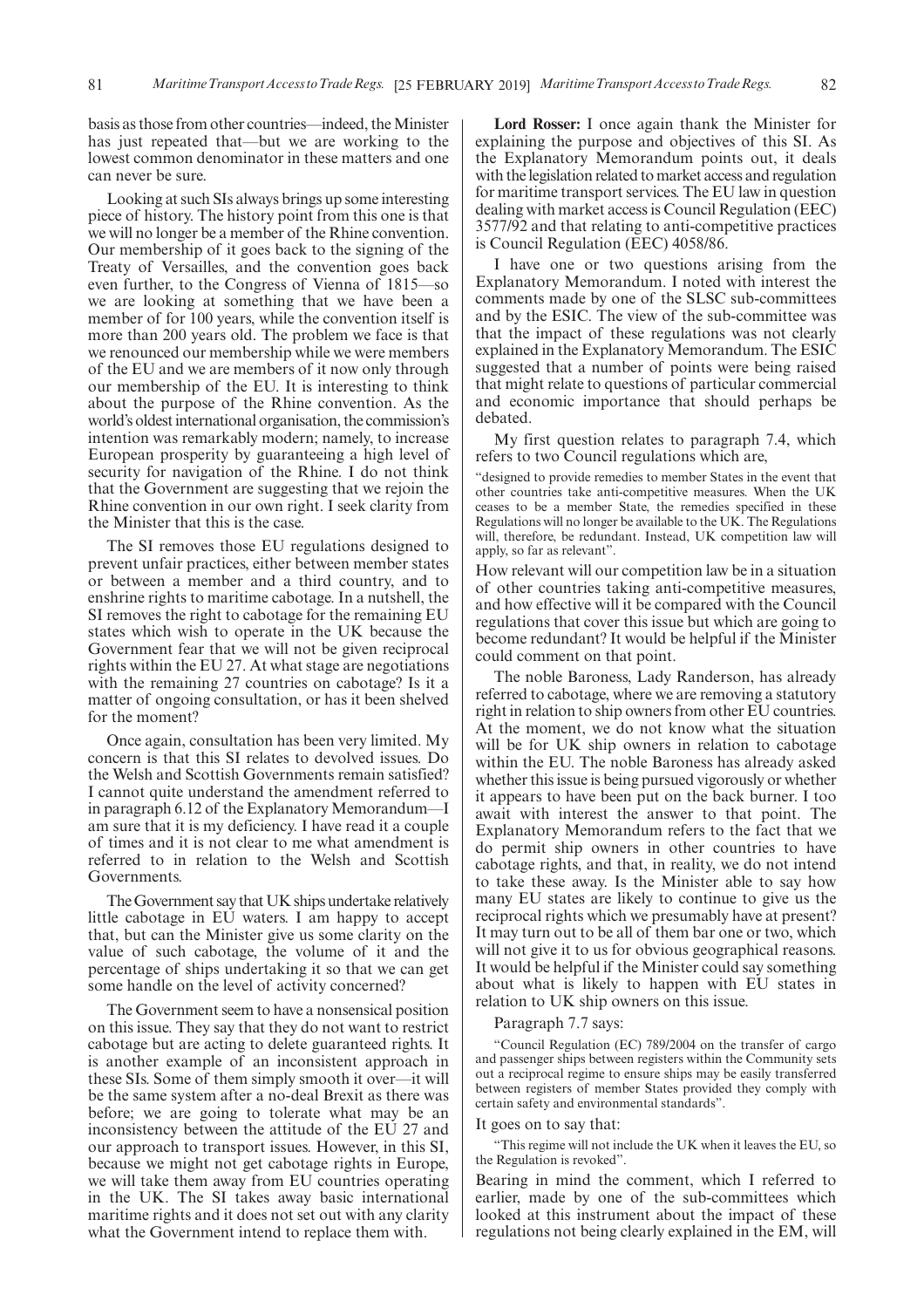basis as those from other countries—indeed, the Minister has just repeated that—but we are working to the lowest common denominator in these matters and one can never be sure.

Looking at such SIs always brings up some interesting piece of history. The history point from this one is that we will no longer be a member of the Rhine convention. Our membership of it goes back to the signing of the Treaty of Versailles, and the convention goes back even further, to the Congress of Vienna of 1815—so we are looking at something that we have been a member of for 100 years, while the convention itself is more than 200 years old. The problem we face is that we renounced our membership while we were members of the EU and we are members of it now only through our membership of the EU. It is interesting to think about the purpose of the Rhine convention. As the world's oldest international organisation, the commission's intention was remarkably modern; namely, to increase European prosperity by guaranteeing a high level of security for navigation of the Rhine. I do not think that the Government are suggesting that we rejoin the Rhine convention in our own right. I seek clarity from the Minister that this is the case.

The SI removes those EU regulations designed to prevent unfair practices, either between member states or between a member and a third country, and to enshrine rights to maritime cabotage. In a nutshell, the SI removes the right to cabotage for the remaining EU states which wish to operate in the UK because the Government fear that we will not be given reciprocal rights within the EU 27. At what stage are negotiations with the remaining 27 countries on cabotage? Is it a matter of ongoing consultation, or has it been shelved for the moment?

Once again, consultation has been very limited. My concern is that this SI relates to devolved issues. Do the Welsh and Scottish Governments remain satisfied? I cannot quite understand the amendment referred to in paragraph 6.12 of the Explanatory Memorandum—I am sure that it is my deficiency. I have read it a couple of times and it is not clear to me what amendment is referred to in relation to the Welsh and Scottish Governments.

The Government say that UK ships undertake relatively little cabotage in EU waters. I am happy to accept that, but can the Minister give us some clarity on the value of such cabotage, the volume of it and the percentage of ships undertaking it so that we can get some handle on the level of activity concerned?

The Government seem to have a nonsensical position on this issue. They say that they do not want to restrict cabotage but are acting to delete guaranteed rights. It is another example of an inconsistent approach in these SIs. Some of them simply smooth it over—it will be the same system after a no-deal Brexit as there was before; we are going to tolerate what may be an inconsistency between the attitude of the EU 27 and our approach to transport issues. However, in this SI, because we might not get cabotage rights in Europe, we will take them away from EU countries operating in the UK. The SI takes away basic international maritime rights and it does not set out with any clarity what the Government intend to replace them with.

**Lord Rosser:** I once again thank the Minister for explaining the purpose and objectives of this SI. As the Explanatory Memorandum points out, it deals with the legislation related to market access and regulation for maritime transport services. The EU law in question dealing with market access is Council Regulation (EEC) 3577/92 and that relating to anti-competitive practices is Council Regulation (EEC) 4058/86.

I have one or two questions arising from the Explanatory Memorandum. I noted with interest the comments made by one of the SLSC sub-committees and by the ESIC. The view of the sub-committee was that the impact of these regulations was not clearly explained in the Explanatory Memorandum. The ESIC suggested that a number of points were being raised that might relate to questions of particular commercial and economic importance that should perhaps be debated.

My first question relates to paragraph 7.4, which refers to two Council regulations which are,

"designed to provide remedies to member States in the event that other countries take anti-competitive measures. When the UK ceases to be a member State, the remedies specified in these Regulations will no longer be available to the UK. The Regulations will, therefore, be redundant. Instead, UK competition law will apply, so far as relevant".

How relevant will our competition law be in a situation of other countries taking anti-competitive measures, and how effective will it be compared with the Council regulations that cover this issue but which are going to become redundant? It would be helpful if the Minister could comment on that point.

The noble Baroness, Lady Randerson, has already referred to cabotage, where we are removing a statutory right in relation to ship owners from other EU countries. At the moment, we do not know what the situation will be for UK ship owners in relation to cabotage within the EU. The noble Baroness has already asked whether this issue is being pursued vigorously or whether it appears to have been put on the back burner. I too await with interest the answer to that point. The Explanatory Memorandum refers to the fact that we do permit ship owners in other countries to have cabotage rights, and that, in reality, we do not intend to take these away. Is the Minister able to say how many EU states are likely to continue to give us the reciprocal rights which we presumably have at present? It may turn out to be all of them bar one or two, which will not give it to us for obvious geographical reasons. It would be helpful if the Minister could say something about what is likely to happen with EU states in relation to UK ship owners on this issue.

#### Paragraph 7.7 says:

"Council Regulation (EC) 789/2004 on the transfer of cargo and passenger ships between registers within the Community sets out a reciprocal regime to ensure ships may be easily transferred between registers of member States provided they comply with certain safety and environmental standards".

#### It goes on to say that:

"This regime will not include the UK when it leaves the EU, so the Regulation is revoked".

Bearing in mind the comment, which I referred to earlier, made by one of the sub-committees which looked at this instrument about the impact of these regulations not being clearly explained in the EM, will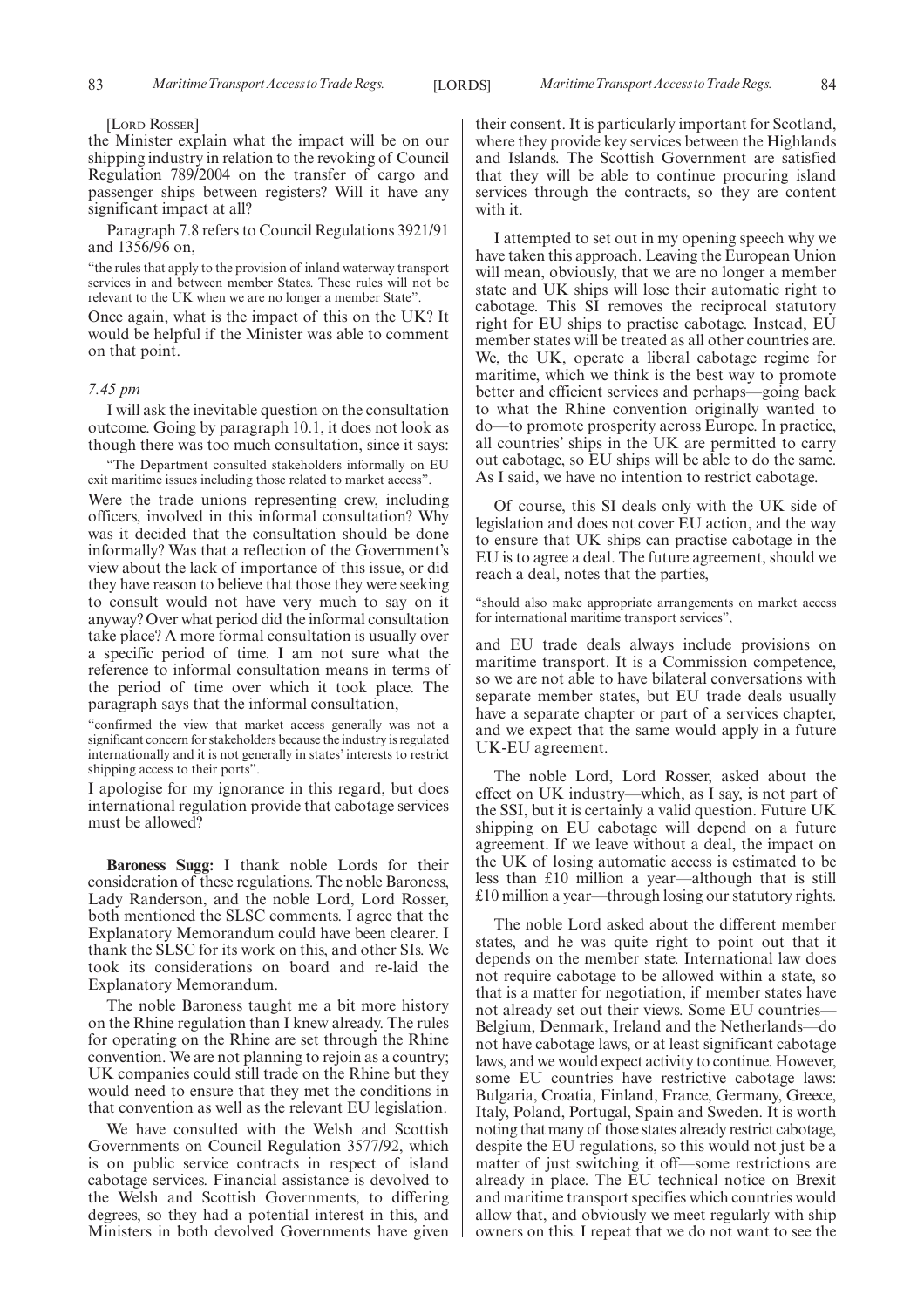#### [LORD ROSSER]

the Minister explain what the impact will be on our shipping industry in relation to the revoking of Council Regulation 789/2004 on the transfer of cargo and passenger ships between registers? Will it have any significant impact at all?

Paragraph 7.8 refers to Council Regulations 3921/91 and 1356/96 on,

"the rules that apply to the provision of inland waterway transport services in and between member States. These rules will not be relevant to the UK when we are no longer a member State".

Once again, what is the impact of this on the UK? It would be helpful if the Minister was able to comment on that point.

#### *7.45 pm*

I will ask the inevitable question on the consultation outcome. Going by paragraph 10.1, it does not look as though there was too much consultation, since it says:

"The Department consulted stakeholders informally on EU exit maritime issues including those related to market access".

Were the trade unions representing crew, including officers, involved in this informal consultation? Why was it decided that the consultation should be done informally? Was that a reflection of the Government's view about the lack of importance of this issue, or did they have reason to believe that those they were seeking to consult would not have very much to say on it anyway? Over what period did the informal consultation take place? A more formal consultation is usually over a specific period of time. I am not sure what the reference to informal consultation means in terms of the period of time over which it took place. The paragraph says that the informal consultation,

"confirmed the view that market access generally was not a significant concern for stakeholders because the industry is regulated internationally and it is not generally in states' interests to restrict shipping access to their ports".

I apologise for my ignorance in this regard, but does international regulation provide that cabotage services must be allowed?

**Baroness Sugg:** I thank noble Lords for their consideration of these regulations. The noble Baroness, Lady Randerson, and the noble Lord, Lord Rosser, both mentioned the SLSC comments. I agree that the Explanatory Memorandum could have been clearer. I thank the SLSC for its work on this, and other SIs. We took its considerations on board and re-laid the Explanatory Memorandum.

The noble Baroness taught me a bit more history on the Rhine regulation than I knew already. The rules for operating on the Rhine are set through the Rhine convention. We are not planning to rejoin as a country; UK companies could still trade on the Rhine but they would need to ensure that they met the conditions in that convention as well as the relevant EU legislation.

We have consulted with the Welsh and Scottish Governments on Council Regulation 3577/92, which is on public service contracts in respect of island cabotage services. Financial assistance is devolved to the Welsh and Scottish Governments, to differing degrees, so they had a potential interest in this, and Ministers in both devolved Governments have given their consent. It is particularly important for Scotland, where they provide key services between the Highlands and Islands. The Scottish Government are satisfied that they will be able to continue procuring island services through the contracts, so they are content with it.

I attempted to set out in my opening speech why we have taken this approach. Leaving the European Union will mean, obviously, that we are no longer a member state and UK ships will lose their automatic right to cabotage. This SI removes the reciprocal statutory right for EU ships to practise cabotage. Instead, EU member states will be treated as all other countries are. We, the UK, operate a liberal cabotage regime for maritime, which we think is the best way to promote better and efficient services and perhaps—going back to what the Rhine convention originally wanted to do—to promote prosperity across Europe. In practice, all countries' ships in the UK are permitted to carry out cabotage, so EU ships will be able to do the same. As I said, we have no intention to restrict cabotage.

Of course, this SI deals only with the UK side of legislation and does not cover EU action, and the way to ensure that UK ships can practise cabotage in the EU is to agree a deal. The future agreement, should we reach a deal, notes that the parties,

"should also make appropriate arrangements on market access for international maritime transport services",

and EU trade deals always include provisions on maritime transport. It is a Commission competence, so we are not able to have bilateral conversations with separate member states, but EU trade deals usually have a separate chapter or part of a services chapter, and we expect that the same would apply in a future UK-EU agreement.

The noble Lord, Lord Rosser, asked about the effect on UK industry—which, as I say, is not part of the SSI, but it is certainly a valid question. Future UK shipping on EU cabotage will depend on a future agreement. If we leave without a deal, the impact on the UK of losing automatic access is estimated to be less than £10 million a year—although that is still £10 million a year—through losing our statutory rights.

The noble Lord asked about the different member states, and he was quite right to point out that it depends on the member state. International law does not require cabotage to be allowed within a state, so that is a matter for negotiation, if member states have not already set out their views. Some EU countries— Belgium, Denmark, Ireland and the Netherlands—do not have cabotage laws, or at least significant cabotage laws, and we would expect activity to continue. However, some EU countries have restrictive cabotage laws: Bulgaria, Croatia, Finland, France, Germany, Greece, Italy, Poland, Portugal, Spain and Sweden. It is worth noting that many of those states already restrict cabotage, despite the EU regulations, so this would not just be a matter of just switching it off—some restrictions are already in place. The EU technical notice on Brexit and maritime transport specifies which countries would allow that, and obviously we meet regularly with ship owners on this. I repeat that we do not want to see the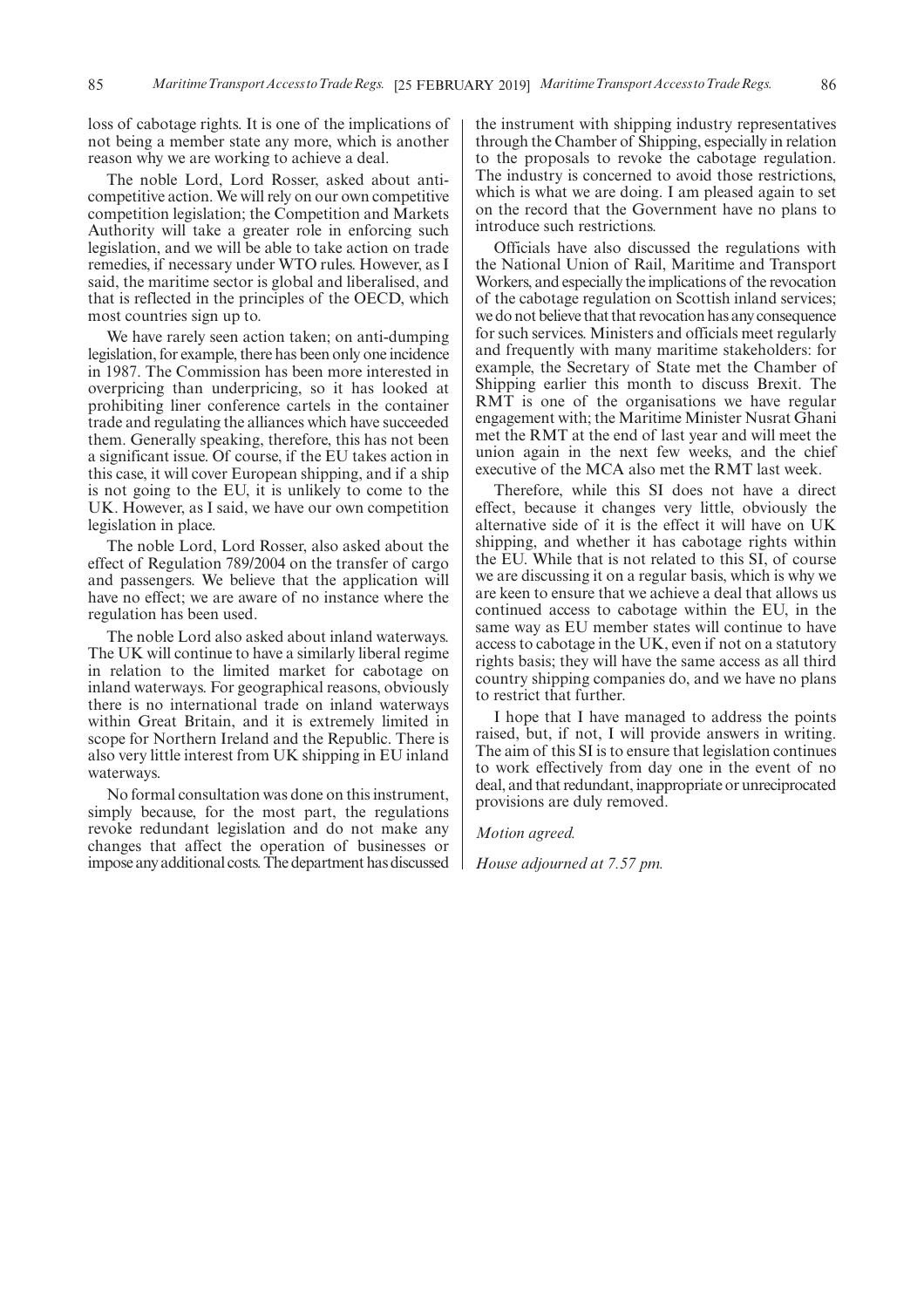loss of cabotage rights. It is one of the implications of not being a member state any more, which is another reason why we are working to achieve a deal.

The noble Lord, Lord Rosser, asked about anticompetitive action. We will rely on our own competitive competition legislation; the Competition and Markets Authority will take a greater role in enforcing such legislation, and we will be able to take action on trade remedies, if necessary under WTO rules. However, as I said, the maritime sector is global and liberalised, and that is reflected in the principles of the OECD, which most countries sign up to.

We have rarely seen action taken; on anti-dumping legislation, for example, there has been only one incidence in 1987. The Commission has been more interested in overpricing than underpricing, so it has looked at prohibiting liner conference cartels in the container trade and regulating the alliances which have succeeded them. Generally speaking, therefore, this has not been a significant issue. Of course, if the EU takes action in this case, it will cover European shipping, and if a ship is not going to the EU, it is unlikely to come to the UK. However, as I said, we have our own competition legislation in place.

The noble Lord, Lord Rosser, also asked about the effect of Regulation 789/2004 on the transfer of cargo and passengers. We believe that the application will have no effect; we are aware of no instance where the regulation has been used.

The noble Lord also asked about inland waterways. The UK will continue to have a similarly liberal regime in relation to the limited market for cabotage on inland waterways. For geographical reasons, obviously there is no international trade on inland waterways within Great Britain, and it is extremely limited in scope for Northern Ireland and the Republic. There is also very little interest from UK shipping in EU inland waterways.

No formal consultation was done on this instrument, simply because, for the most part, the regulations revoke redundant legislation and do not make any changes that affect the operation of businesses or impose any additional costs. The department has discussed the instrument with shipping industry representatives through the Chamber of Shipping, especially in relation to the proposals to revoke the cabotage regulation. The industry is concerned to avoid those restrictions, which is what we are doing. I am pleased again to set on the record that the Government have no plans to introduce such restrictions.

Officials have also discussed the regulations with the National Union of Rail, Maritime and Transport Workers, and especially the implications of the revocation of the cabotage regulation on Scottish inland services; we do not believe that that revocation has any consequence for such services. Ministers and officials meet regularly and frequently with many maritime stakeholders: for example, the Secretary of State met the Chamber of Shipping earlier this month to discuss Brexit. The RMT is one of the organisations we have regular engagement with; the Maritime Minister Nusrat Ghani met the RMT at the end of last year and will meet the union again in the next few weeks, and the chief executive of the MCA also met the RMT last week.

Therefore, while this SI does not have a direct effect, because it changes very little, obviously the alternative side of it is the effect it will have on UK shipping, and whether it has cabotage rights within the EU. While that is not related to this SI, of course we are discussing it on a regular basis, which is why we are keen to ensure that we achieve a deal that allows us continued access to cabotage within the EU, in the same way as EU member states will continue to have access to cabotage in the UK, even if not on a statutory rights basis; they will have the same access as all third country shipping companies do, and we have no plans to restrict that further.

I hope that I have managed to address the points raised, but, if not, I will provide answers in writing. The aim of this SI is to ensure that legislation continues to work effectively from day one in the event of no deal, and that redundant, inappropriate or unreciprocated provisions are duly removed.

*Motion agreed.*

*House adjourned at 7.57 pm.*